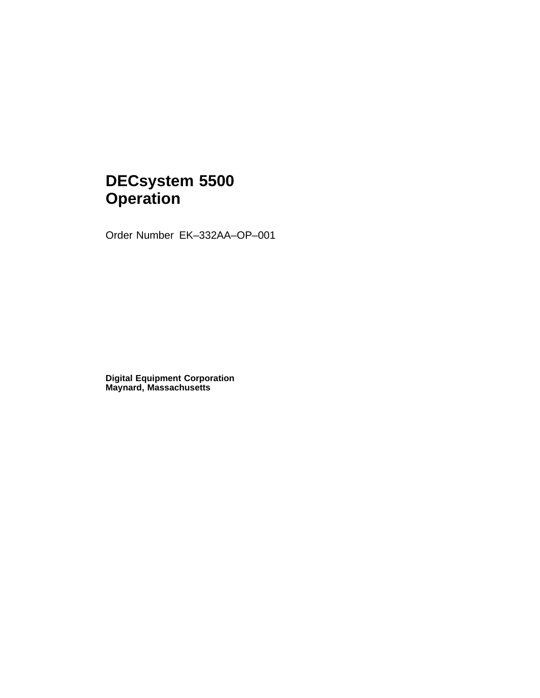# **DECsystem 5500 Operation**

Order Number EK–332AA–OP–001

**Digital Equipment Corporation Maynard, Massachusetts**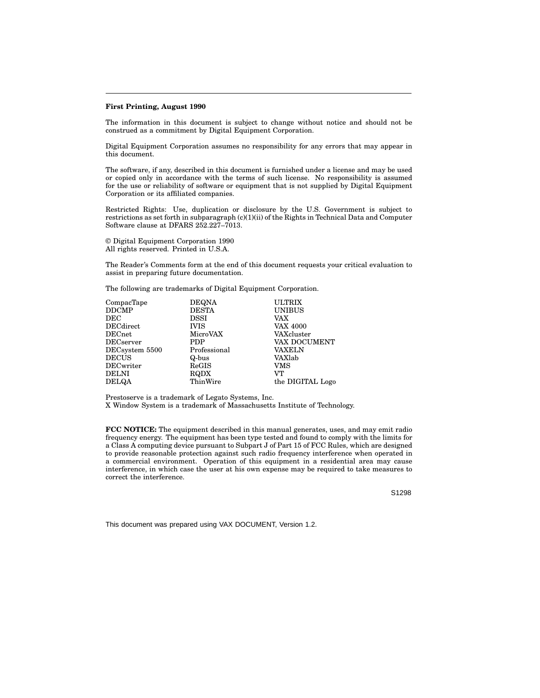#### **First Printing, August 1990**

The information in this document is subject to change without notice and should not be construed as a commitment by Digital Equipment Corporation.

Digital Equipment Corporation assumes no responsibility for any errors that may appear in this document.

The software, if any, described in this document is furnished under a license and may be used or copied only in accordance with the terms of such license. No responsibility is assumed for the use or reliability of software or equipment that is not supplied by Digital Equipment Corporation or its affiliated companies.

Restricted Rights: Use, duplication or disclosure by the U.S. Government is subject to restrictions as set forth in subparagraph (c)(1)(ii) of the Rights in Technical Data and Computer Software clause at DFARS 252.227–7013.

© Digital Equipment Corporation 1990 All rights reserved. Printed in U.S.A.

The Reader's Comments form at the end of this document requests your critical evaluation to assist in preparing future documentation.

The following are trademarks of Digital Equipment Corporation.

| CompacTape                 | <b>DEQNA</b> | <b>ULTRIX</b>    |
|----------------------------|--------------|------------------|
| DDCMP                      | <b>DESTA</b> | <b>UNIBUS</b>    |
| $_{\rm DEC}$               | <b>DSSI</b>  | <b>VAX</b>       |
| $DEC\!$                    | <b>IVIS</b>  | <b>VAX 4000</b>  |
| $\rm{DECnet}$              | MicroVAX     | VAXcluster       |
| $\operatorname{DECserver}$ | <b>PDP</b>   | VAX DOCUMENT     |
| DECsystem 5500             | Professional | <b>VAXELN</b>    |
| $\operatorname{DECUS}$     | Q-bus        | VAXlab           |
| DECwriter                  | ReGIS        | VMS              |
| DELNI                      | RQDX         | VТ               |
| DELQA                      | ThinWire     | the DIGITAL Logo |
|                            |              |                  |

Prestoserve is a trademark of Legato Systems, Inc.

X Window System is a trademark of Massachusetts Institute of Technology.

**FCC NOTICE:** The equipment described in this manual generates, uses, and may emit radio frequency energy. The equipment has been type tested and found to comply with the limits for a Class A computing device pursuant to Subpart J of Part 15 of FCC Rules, which are designed to provide reasonable protection against such radio frequency interference when operated in a commercial environment. Operation of this equipment in a residential area may cause interference, in which case the user at his own expense may be required to take measures to correct the interference.

S1298

This document was prepared using VAX DOCUMENT, Version 1.2.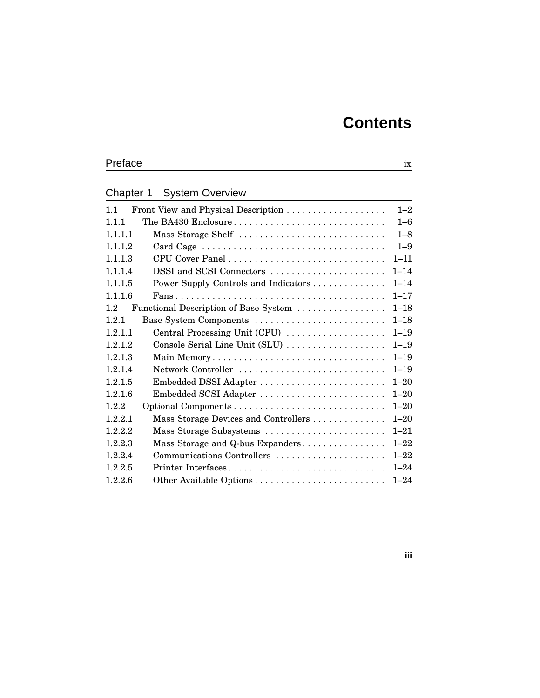# Preface ix

# Chapter 1 System Overview

| 1.1                                             | $1 - 2$  |
|-------------------------------------------------|----------|
| The BA430 Enclosure<br>111                      | $1 - 6$  |
| Mass Storage Shelf<br>1.1.1.1                   | $1 - 8$  |
| 1.1.1.2                                         | $1 - 9$  |
| 1.1.1.3                                         | $1 - 11$ |
| DSSI and SCSI Connectors<br>1.1.1.4             | $1 - 14$ |
| 1.1.1.5<br>Power Supply Controls and Indicators | $1 - 14$ |
| 1.1.1.6                                         | $1 - 17$ |
| 1.2<br>Functional Description of Base System    | $1 - 18$ |
| Base System Components<br>1.2.1                 | $1 - 18$ |
| Central Processing Unit (CPU)<br>1.2.1.1        | $1 - 19$ |
| 1.2.1.2<br>Console Serial Line Unit (SLU)       | $1 - 19$ |
| 1.2.1.3<br>Main Memory                          | $1 - 19$ |
| Network Controller<br>1.2.1.4                   | $1 - 19$ |
| 1.2.1.5<br>Embedded DSSI Adapter                | $1 - 20$ |
| 1.2.1.6<br>Embedded SCSI Adapter                | $1 - 20$ |
| 1.2.2                                           | $1 - 20$ |
| 1.2.2.1<br>Mass Storage Devices and Controllers | $1 - 20$ |
| Mass Storage Subsystems<br>1.2.2.2              | $1 - 21$ |
| 1.2.2.3<br>Mass Storage and Q-bus Expanders     | $1 - 22$ |
| Communications Controllers<br>1.2.2.4           | $1 - 22$ |
| Printer Interfaces<br>1.2.2.5                   | $1 - 24$ |
| 1.2.2.6                                         | $1 - 24$ |
|                                                 |          |

**iii**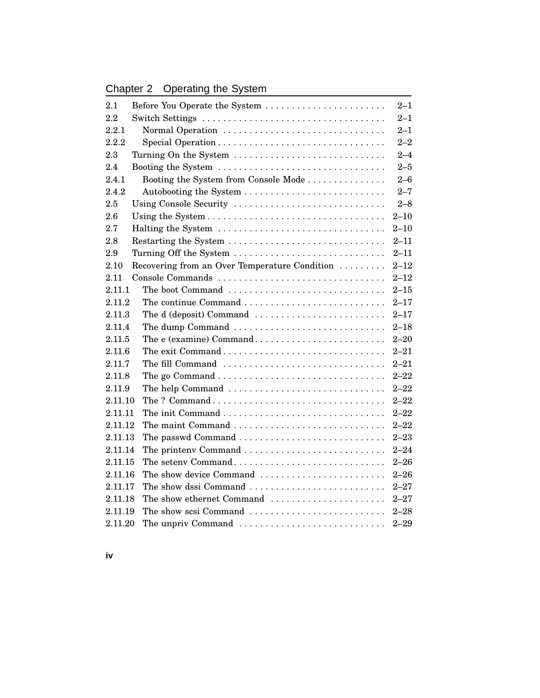# Chapter 2 Operating the System

| 2.1     | Before You Operate the System                 | $2 - 1$  |
|---------|-----------------------------------------------|----------|
| 2.2     |                                               | $2 - 1$  |
| 2.2.1   | Normal Operation                              | $2 - 1$  |
| 2.2.2   |                                               | $2 - 2$  |
| 2.3     | Turning On the System                         | $2 - 4$  |
| 2.4     | Booting the System                            | $2 - 5$  |
| 2.4.1   | Booting the System from Console Mode          | $2 - 6$  |
| 2.4.2   | $2 - 7$                                       |          |
| 2.5     | Using Console Security                        | $2 - 8$  |
| 2.6     |                                               | $2 - 10$ |
| 2.7     | Halting the System                            | $2 - 10$ |
| 2.8     | Restarting the System                         | $2 - 11$ |
| 2.9     | Turning Off the System                        | $2 - 11$ |
| 2.10    | Recovering from an Over Temperature Condition | $2 - 12$ |
| 2.11    | Console Commands                              | $2 - 12$ |
| 2.11.1  | The boot Command                              | $2 - 15$ |
| 2.11.2  |                                               | $2 - 17$ |
| 2.11.3  | The d (deposit) Command                       | $2 - 17$ |
| 2.11.4  | The dump Command                              | $2 - 18$ |
| 2.11.5  | The e (examine) Command                       | $2 - 20$ |
| 2.11.6  |                                               | $2 - 21$ |
| 2.11.7  | The fill Command                              | $2 - 21$ |
| 2.11.8  |                                               | $2 - 22$ |
| 2.11.9  | The help Command                              | $2 - 22$ |
| 2.11.10 |                                               | $2 - 22$ |
| 2.11.11 |                                               | $2 - 22$ |
| 2.11.12 |                                               | $2 - 22$ |
| 2.11.13 | The passwd Command                            | $2 - 23$ |
| 2.11.14 | The printenv Command                          | $2 - 24$ |
| 2.11.15 | The seteny Command                            | $2 - 26$ |
| 2.11.16 | The show device Command                       | $2 - 26$ |
| 2.11.17 | The show dssi Command                         | $2 - 27$ |
| 2.11.18 | The show ethernet Command                     | $2 - 27$ |
| 2.11.19 | The show scsi Command                         | $2 - 28$ |
| 2.11.20 | The unpriv Command                            | $2 - 29$ |

**iv**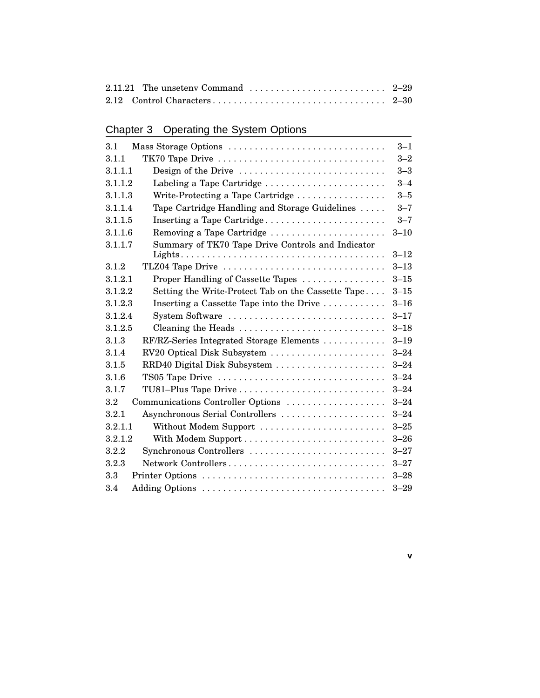# Chapter 3 Operating the System Options

| Mass Storage Options<br>3.1                                                           | $3 - 1$  |
|---------------------------------------------------------------------------------------|----------|
| TK70 Tape Drive<br>3.1.1                                                              | $3 - 2$  |
| 3.1.1.1<br>Design of the Drive                                                        | $3 - 3$  |
| Labeling a Tape Cartridge<br>3.1.1.2                                                  | $3 - 4$  |
| 3.1.1.3<br>Write-Protecting a Tape Cartridge                                          | $3 - 5$  |
| Tape Cartridge Handling and Storage Guidelines<br>3.1.1.4                             | $3 - 7$  |
| 3.1.1.5<br>Inserting a Tape Cartridge                                                 | $3 - 7$  |
| Removing a Tape Cartridge<br>3.1.1.6                                                  | $3 - 10$ |
| Summary of TK70 Tape Drive Controls and Indicator<br>3.1.1.7                          |          |
|                                                                                       | $3 - 12$ |
| TLZ04 Tape Drive<br>3.1.2                                                             | $3 - 13$ |
| 3.1.2.1<br>Proper Handling of Cassette Tapes                                          | $3 - 15$ |
| 3.1.2.2<br>Setting the Write-Protect Tab on the Cassette Tape                         | $3 - 15$ |
| 3.1.2.3<br>Inserting a Cassette Tape into the Drive $\dots \dots \dots$               | $3 - 16$ |
| System Software<br>3.1.2.4                                                            | $3 - 17$ |
| Cleaning the Heads $\dots \dots \dots \dots \dots \dots \dots \dots \dots$<br>3.1.2.5 | $3 - 18$ |
| RF/RZ-Series Integrated Storage Elements<br>3.1.3                                     | $3 - 19$ |
| RV20 Optical Disk Subsystem<br>3.1.4                                                  | $3 - 24$ |
| RRD40 Digital Disk Subsystem<br>3.1.5                                                 | $3 - 24$ |
| 3.1.6<br>TS05 Tape Drive                                                              | $3 - 24$ |
| TU81-Plus Tape Drive<br>3.1.7                                                         | $3 - 24$ |
| 3.2<br>Communications Controller Options                                              | $3 - 24$ |
| 3.2.1<br>Asynchronous Serial Controllers                                              | $3 - 24$ |
| Without Modem Support<br>3.2.1.1                                                      | $3 - 25$ |
| 3.2.1.2                                                                               | $3 - 26$ |
| Synchronous Controllers<br>3.2.2                                                      | $3 - 27$ |
| 3.2.3<br>Network Controllers                                                          | $3 - 27$ |
| 3.3                                                                                   | $3 - 28$ |
| 3.4                                                                                   | $3 - 29$ |

**v**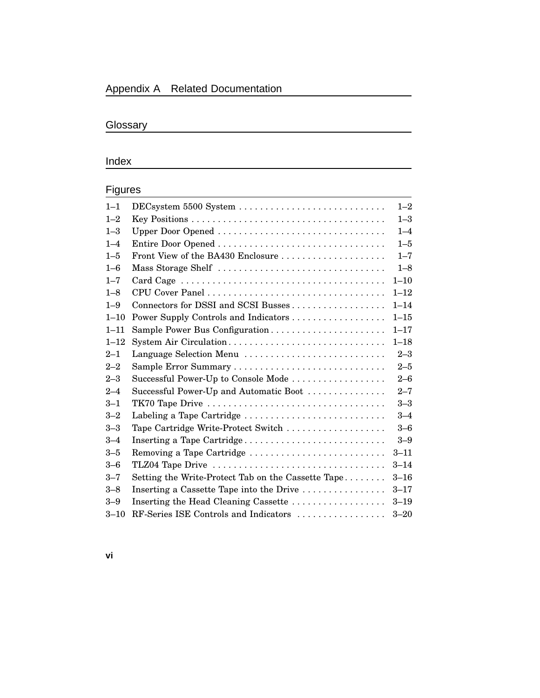### Appendix A Related Documentation

### Glossary

## **Index**

### Figures

| $1 - 1$  |                                                    | $1 - 2$  |
|----------|----------------------------------------------------|----------|
| $1 - 2$  |                                                    | $1 - 3$  |
| $1 - 3$  | Upper Door Opened                                  | $1 - 4$  |
| $1 - 4$  |                                                    | $1 - 5$  |
| $1 - 5$  | Front View of the BA430 Enclosure                  | $1 - 7$  |
| $1 - 6$  | Mass Storage Shelf                                 | $1 - 8$  |
| $1 - 7$  |                                                    | $1 - 10$ |
| $1 - 8$  |                                                    | $1 - 12$ |
| $1 - 9$  | Connectors for DSSI and SCSI Busses                | $1 - 14$ |
| $1 - 10$ |                                                    | $1 - 15$ |
| $1 - 11$ | Sample Power Bus Configuration                     | $1 - 17$ |
| $1 - 12$ | System Air Circulation                             | $1 - 18$ |
| $2 - 1$  | Language Selection Menu                            | $2 - 3$  |
| $2 - 2$  |                                                    | $2 - 5$  |
| $2 - 3$  | Successful Power-Up to Console Mode                | $2 - 6$  |
| $2 - 4$  | Successful Power-Up and Automatic Boot             | $2 - 7$  |
| $3 - 1$  |                                                    | $3 - 3$  |
| $3 - 2$  | Labeling a Tape Cartridge                          | $3 - 4$  |
| $3 - 3$  | Tape Cartridge Write-Protect Switch                | $3-6$    |
| $3 - 4$  | Inserting a Tape Cartridge                         | $3-9$    |
| $3 - 5$  | Removing a Tape Cartridge                          | $3 - 11$ |
| $3 - 6$  | TLZ04 Tape Drive                                   | $3 - 14$ |
| $3 - 7$  | Setting the Write-Protect Tab on the Cassette Tape | $3 - 16$ |
| $3 - 8$  | Inserting a Cassette Tape into the Drive           | $3 - 17$ |
| $3 - 9$  | Inserting the Head Cleaning Cassette               | $3 - 19$ |
| $3 - 10$ | RF-Series ISE Controls and Indicators              | $3 - 20$ |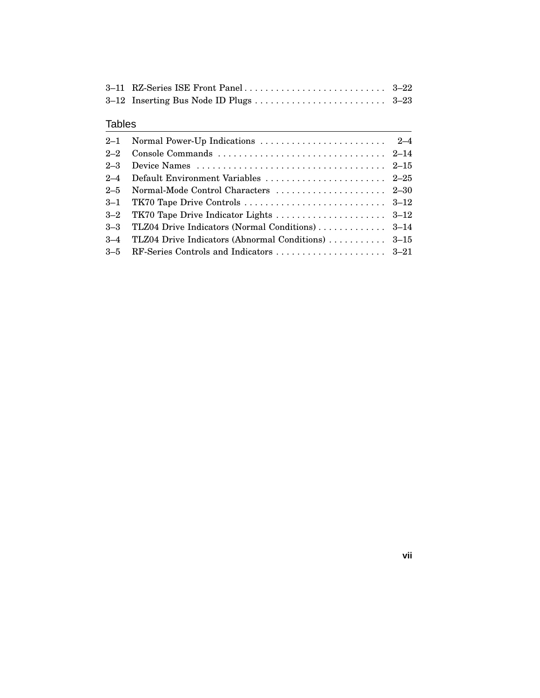### Tables

| 2-4 Default Environment Variables  2-25                |  |
|--------------------------------------------------------|--|
| 2-5 Normal-Mode Control Characters  2-30               |  |
|                                                        |  |
|                                                        |  |
|                                                        |  |
| 3–4 TLZ04 Drive Indicators (Abnormal Conditions)  3–15 |  |
|                                                        |  |

**vii**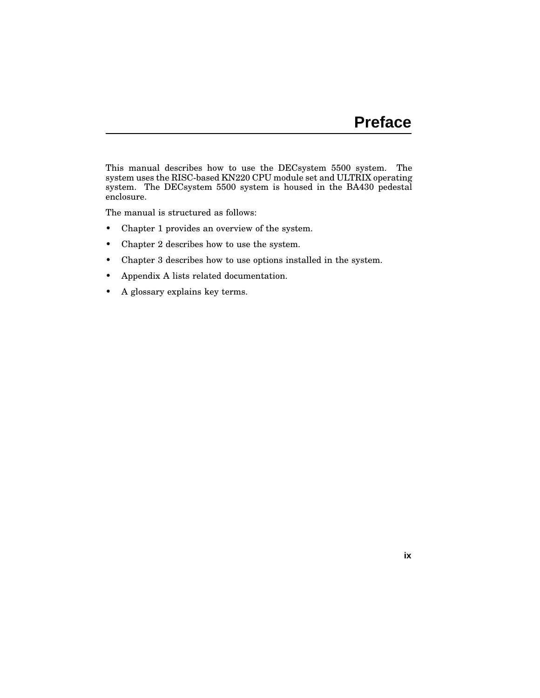This manual describes how to use the DECsystem 5500 system. The system uses the RISC-based KN220 CPU module set and ULTRIX operating system. The DECsystem 5500 system is housed in the BA430 pedestal enclosure.

The manual is structured as follows:

- Chapter 1 provides an overview of the system.
- Chapter 2 describes how to use the system.
- Chapter 3 describes how to use options installed in the system.
- Appendix A lists related documentation.
- A glossary explains key terms.

**ix**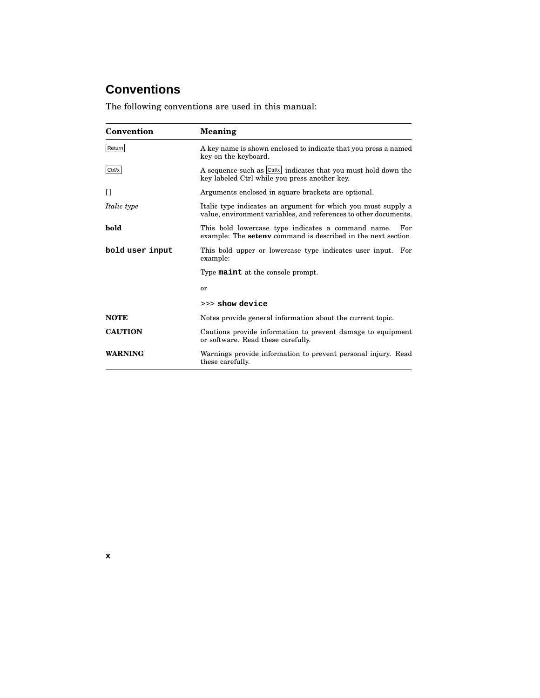# **Conventions**

The following conventions are used in this manual:

| Convention         | Meaning                                                                                                                           |
|--------------------|-----------------------------------------------------------------------------------------------------------------------------------|
| Return             | A key name is shown enclosed to indicate that you press a named<br>key on the keyboard.                                           |
| Ctrl/x             | A sequence such as Ctrl/x indicates that you must hold down the<br>key labeled Ctrl while you press another key.                  |
| Ħ                  | Arguments enclosed in square brackets are optional.                                                                               |
| <i>Italic type</i> | Italic type indicates an argument for which you must supply a<br>value, environment variables, and references to other documents. |
| bold               | This bold lowercase type indicates a command name.<br>For<br>example: The <b>seteny</b> command is described in the next section. |
| bold user input    | This bold upper or lowercase type indicates user input. For<br>example:                                                           |
|                    | Type <b>maint</b> at the console prompt.                                                                                          |
|                    | or                                                                                                                                |
|                    | >>> show device                                                                                                                   |
| <b>NOTE</b>        | Notes provide general information about the current topic.                                                                        |
| <b>CAUTION</b>     | Cautions provide information to prevent damage to equipment<br>or software. Read these carefully.                                 |
| <b>WARNING</b>     | Warnings provide information to prevent personal injury. Read<br>these carefully.                                                 |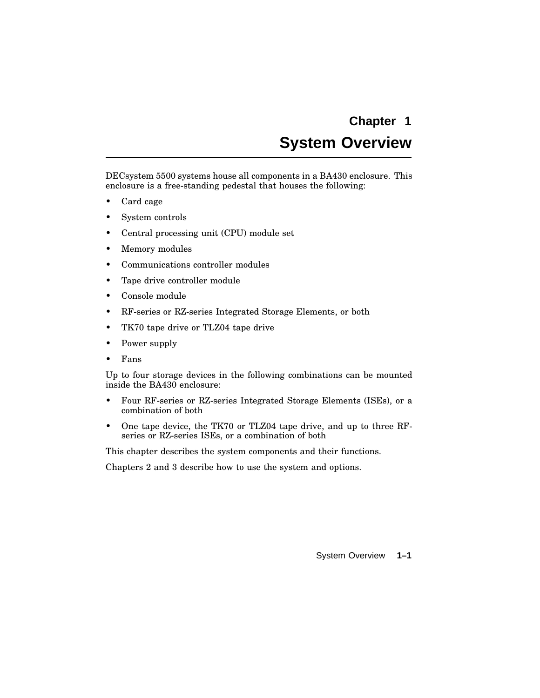# **System Overview**

DECsystem 5500 systems house all components in a BA430 enclosure. This enclosure is a free-standing pedestal that houses the following:

- Card cage
- System controls
- Central processing unit (CPU) module set
- Memory modules
- Communications controller modules
- Tape drive controller module
- Console module
- RF-series or RZ-series Integrated Storage Elements, or both
- TK70 tape drive or TLZ04 tape drive
- Power supply
- Fans

Up to four storage devices in the following combinations can be mounted inside the BA430 enclosure:

- Four RF-series or RZ-series Integrated Storage Elements (ISEs), or a combination of both
- One tape device, the TK70 or TLZ04 tape drive, and up to three RFseries or RZ-series ISEs, or a combination of both

This chapter describes the system components and their functions.

Chapters 2 and 3 describe how to use the system and options.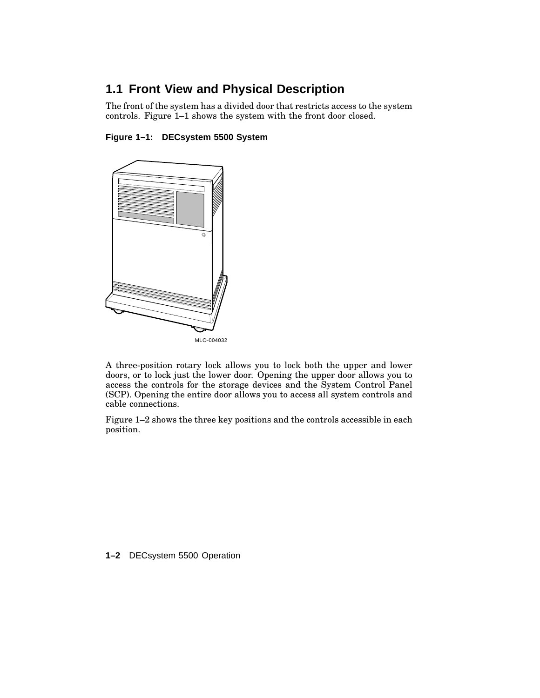## **1.1 Front View and Physical Description**

The front of the system has a divided door that restricts access to the system controls. Figure 1–1 shows the system with the front door closed.

#### **Figure 1–1: DECsystem 5500 System**



A three-position rotary lock allows you to lock both the upper and lower doors, or to lock just the lower door. Opening the upper door allows you to access the controls for the storage devices and the System Control Panel (SCP). Opening the entire door allows you to access all system controls and cable connections.

Figure 1–2 shows the three key positions and the controls accessible in each position.

**1–2** DECsystem 5500 Operation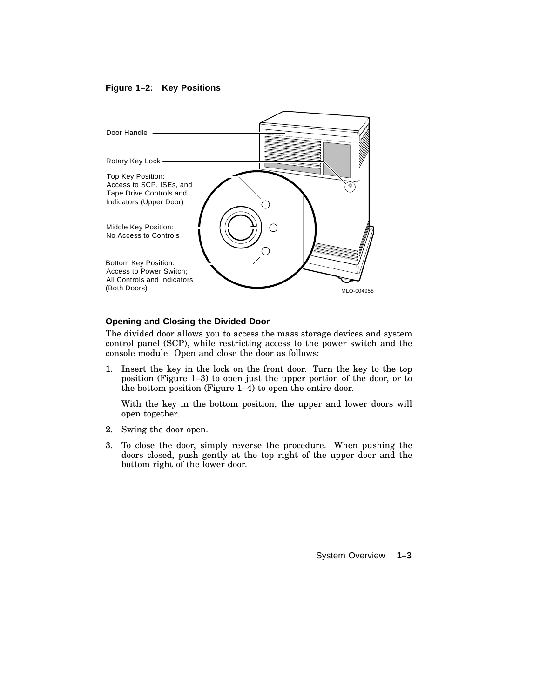#### **Figure 1–2: Key Positions**



#### **Opening and Closing the Divided Door**

The divided door allows you to access the mass storage devices and system control panel (SCP), while restricting access to the power switch and the console module. Open and close the door as follows:

1. Insert the key in the lock on the front door. Turn the key to the top position (Figure 1–3) to open just the upper portion of the door, or to the bottom position (Figure 1–4) to open the entire door.

With the key in the bottom position, the upper and lower doors will open together.

- 2. Swing the door open.
- 3. To close the door, simply reverse the procedure. When pushing the doors closed, push gently at the top right of the upper door and the bottom right of the lower door.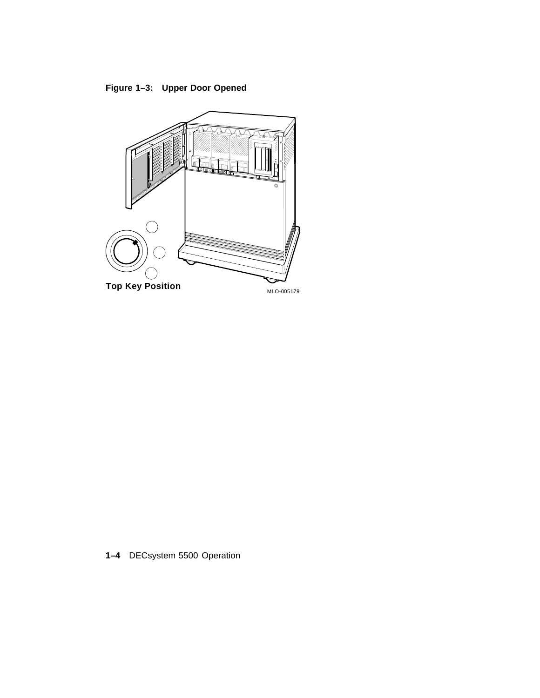**Figure 1–3: Upper Door Opened**



**1–4** DECsystem 5500 Operation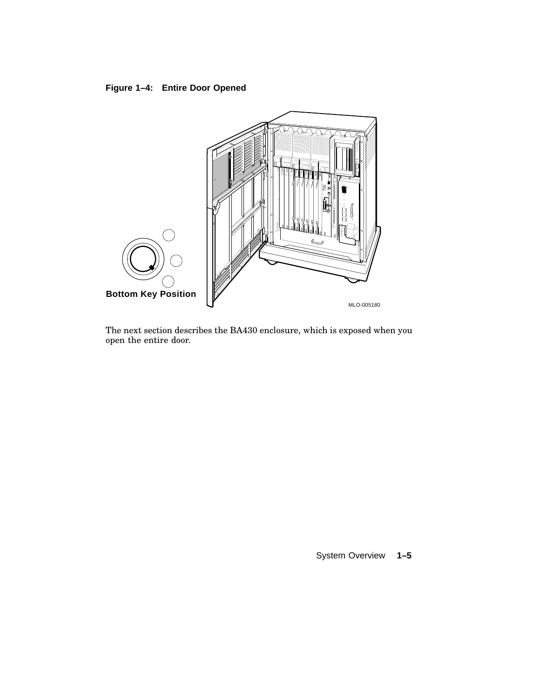### **Figure 1–4: Entire Door Opened**



The next section describes the BA430 enclosure, which is exposed when you open the entire door.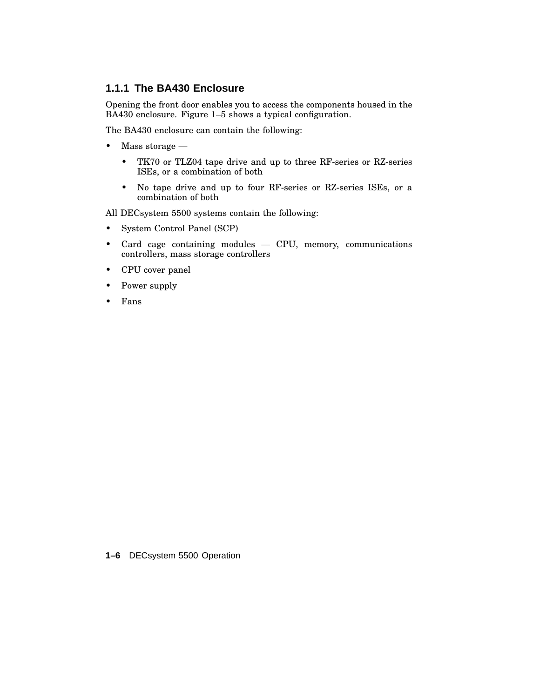#### **1.1.1 The BA430 Enclosure**

Opening the front door enables you to access the components housed in the BA430 enclosure. Figure 1–5 shows a typical configuration.

The BA430 enclosure can contain the following:

- Mass storage
	- TK70 or TLZ04 tape drive and up to three RF-series or RZ-series ISEs, or a combination of both
	- No tape drive and up to four RF-series or RZ-series ISEs, or a combination of both

All DECsystem 5500 systems contain the following:

- System Control Panel (SCP)
- Card cage containing modules CPU, memory, communications controllers, mass storage controllers
- CPU cover panel
- Power supply
- Fans

**1–6** DECsystem 5500 Operation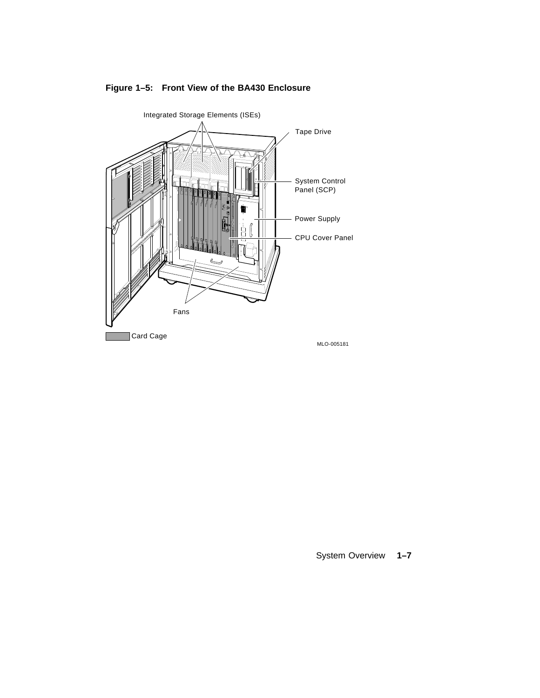

**Figure 1–5: Front View of the BA430 Enclosure**

System Overview **1–7**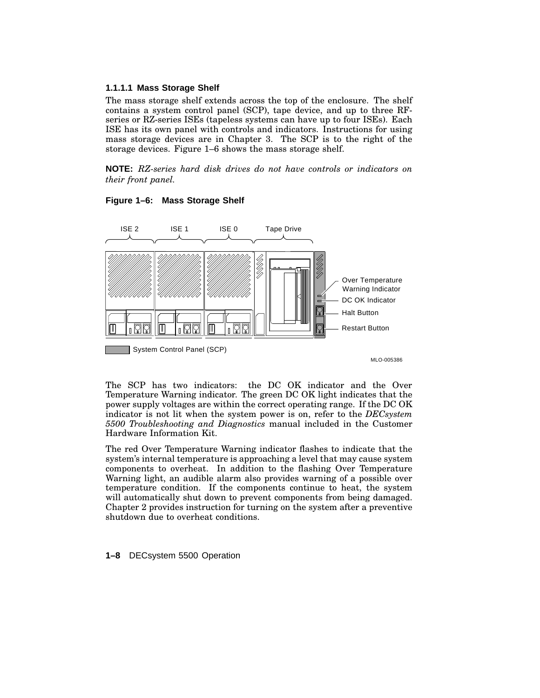#### **1.1.1.1 Mass Storage Shelf**

The mass storage shelf extends across the top of the enclosure. The shelf contains a system control panel (SCP), tape device, and up to three RFseries or RZ-series ISEs (tapeless systems can have up to four ISEs). Each ISE has its own panel with controls and indicators. Instructions for using mass storage devices are in Chapter 3. The SCP is to the right of the storage devices. Figure 1–6 shows the mass storage shelf.

**NOTE:** *RZ-series hard disk drives do not have controls or indicators on their front panel.*



#### **Figure 1–6: Mass Storage Shelf**

MLO-005386

The SCP has two indicators: the DC OK indicator and the Over Temperature Warning indicator. The green DC OK light indicates that the power supply voltages are within the correct operating range. If the DC OK indicator is not lit when the system power is on, refer to the *DECsystem 5500 Troubleshooting and Diagnostics* manual included in the Customer Hardware Information Kit.

The red Over Temperature Warning indicator flashes to indicate that the system's internal temperature is approaching a level that may cause system components to overheat. In addition to the flashing Over Temperature Warning light, an audible alarm also provides warning of a possible over temperature condition. If the components continue to heat, the system will automatically shut down to prevent components from being damaged. Chapter 2 provides instruction for turning on the system after a preventive shutdown due to overheat conditions.

**1–8** DECsystem 5500 Operation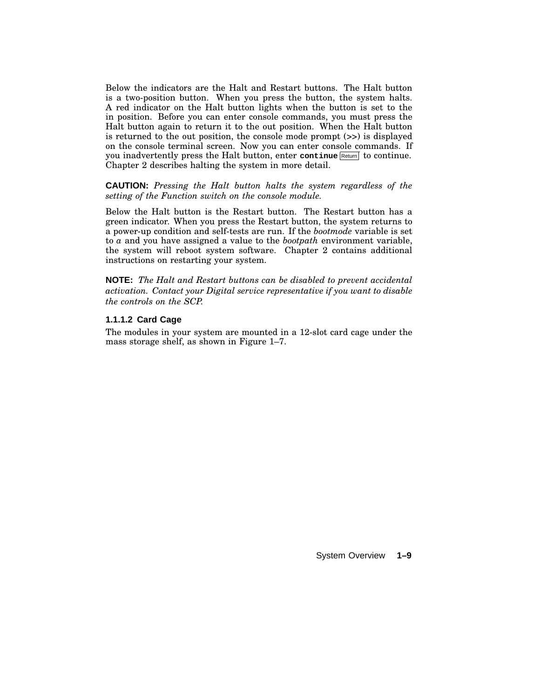Below the indicators are the Halt and Restart buttons. The Halt button is a two-position button. When you press the button, the system halts. A red indicator on the Halt button lights when the button is set to the in position. Before you can enter console commands, you must press the Halt button again to return it to the out position. When the Halt button is returned to the out position, the console mode prompt (>>) is displayed on the console terminal screen. Now you can enter console commands. If you inadvertently press the Halt button, enter continue Return to continue. Chapter 2 describes halting the system in more detail.

**CAUTION:** *Pressing the Halt button halts the system regardless of the setting of the Function switch on the console module.*

Below the Halt button is the Restart button. The Restart button has a green indicator. When you press the Restart button, the system returns to a power-up condition and self-tests are run. If the *bootmode* variable is set to *a* and you have assigned a value to the *bootpath* environment variable, the system will reboot system software. Chapter 2 contains additional instructions on restarting your system.

**NOTE:** *The Halt and Restart buttons can be disabled to prevent accidental activation. Contact your Digital service representative if you want to disable the controls on the SCP.*

#### **1.1.1.2 Card Cage**

The modules in your system are mounted in a 12-slot card cage under the mass storage shelf, as shown in Figure 1–7.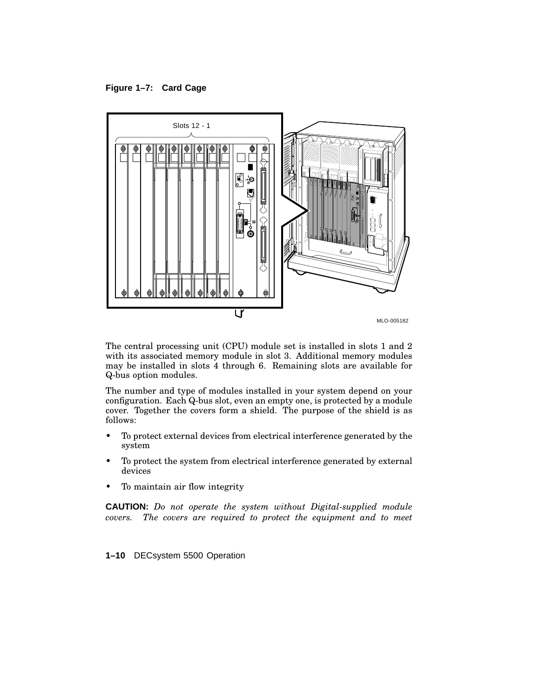**Figure 1–7: Card Cage**



The central processing unit (CPU) module set is installed in slots 1 and 2 with its associated memory module in slot 3. Additional memory modules may be installed in slots 4 through 6. Remaining slots are available for Q-bus option modules.

The number and type of modules installed in your system depend on your configuration. Each Q-bus slot, even an empty one, is protected by a module cover. Together the covers form a shield. The purpose of the shield is as follows:

- To protect external devices from electrical interference generated by the system
- To protect the system from electrical interference generated by external devices
- To maintain air flow integrity

**CAUTION:** *Do not operate the system without Digital-supplied module covers. The covers are required to protect the equipment and to meet*

**1–10** DECsystem 5500 Operation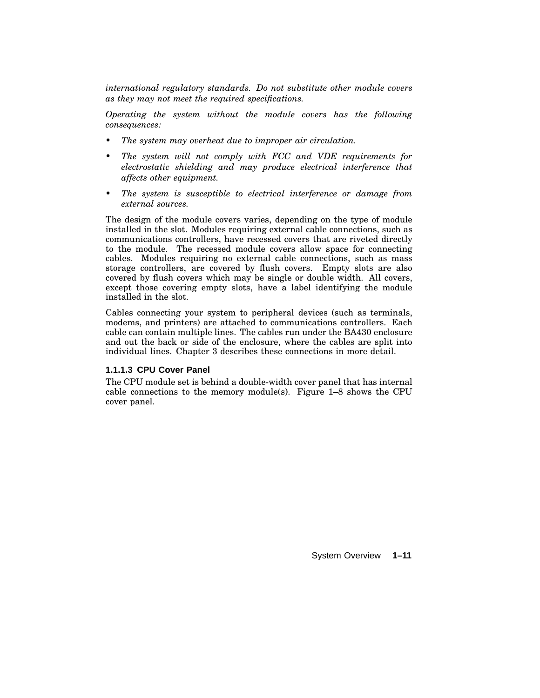*international regulatory standards. Do not substitute other module covers as they may not meet the required specifications.*

*Operating the system without the module covers has the following consequences:*

- *• The system may overheat due to improper air circulation.*
- *• The system will not comply with FCC and VDE requirements for electrostatic shielding and may produce electrical interference that affects other equipment.*
- *• The system is susceptible to electrical interference or damage from external sources.*

The design of the module covers varies, depending on the type of module installed in the slot. Modules requiring external cable connections, such as communications controllers, have recessed covers that are riveted directly to the module. The recessed module covers allow space for connecting cables. Modules requiring no external cable connections, such as mass storage controllers, are covered by flush covers. Empty slots are also covered by flush covers which may be single or double width. All covers, except those covering empty slots, have a label identifying the module installed in the slot.

Cables connecting your system to peripheral devices (such as terminals, modems, and printers) are attached to communications controllers. Each cable can contain multiple lines. The cables run under the BA430 enclosure and out the back or side of the enclosure, where the cables are split into individual lines. Chapter 3 describes these connections in more detail.

#### **1.1.1.3 CPU Cover Panel**

The CPU module set is behind a double-width cover panel that has internal cable connections to the memory module(s). Figure 1–8 shows the CPU cover panel.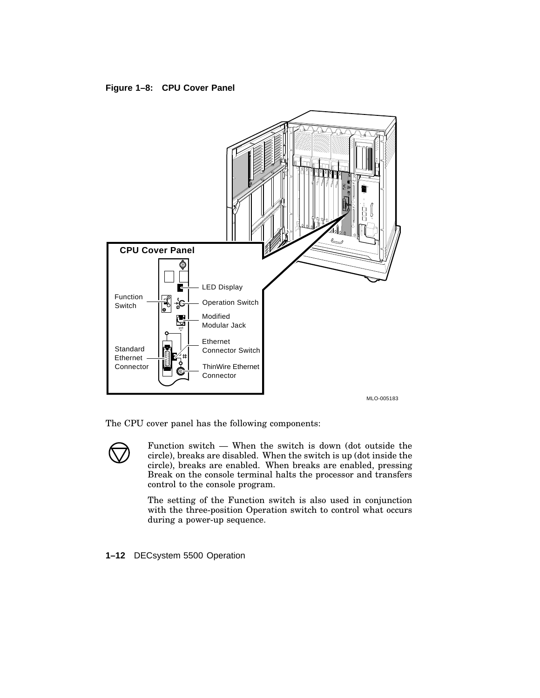**Figure 1–8: CPU Cover Panel**



The CPU cover panel has the following components:

Function switch — When the switch is down (dot outside the circle), breaks are disabled. When the switch is up (dot inside the circle), breaks are enabled. When breaks are enabled, pressing Break on the console terminal halts the processor and transfers control to the console program.

The setting of the Function switch is also used in conjunction with the three-position Operation switch to control what occurs during a power-up sequence.

#### **1–12** DECsystem 5500 Operation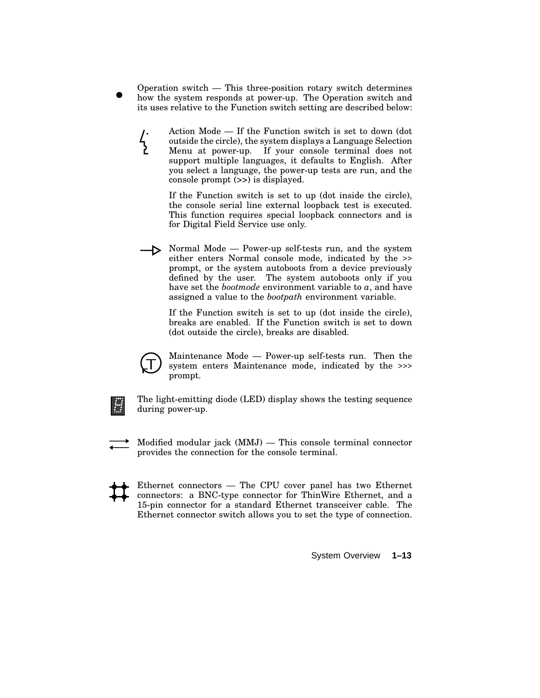- Operation switch This three-position rotary switch determines how the system responds at power-up. The Operation switch and its uses relative to the Function switch setting are described below:
	- Action Mode If the Function switch is set to down (dot  $\frac{1}{2}$ outside the circle), the system displays a Language Selection Menu at power-up. If your console terminal does not support multiple languages, it defaults to English. After you select a language, the power-up tests are run, and the console prompt (>>) is displayed.

If the Function switch is set to up (dot inside the circle), the console serial line external loopback test is executed. This function requires special loopback connectors and is for Digital Field Service use only.

Normal Mode — Power-up self-tests run, and the system either enters Normal console mode, indicated by the >> prompt, or the system autoboots from a device previously defined by the user. The system autoboots only if you have set the *bootmode* environment variable to *a*, and have assigned a value to the *bootpath* environment variable.

If the Function switch is set to up (dot inside the circle), breaks are enabled. If the Function switch is set to down (dot outside the circle), breaks are disabled.



Maintenance Mode — Power-up self-tests run. Then the system enters Maintenance mode, indicated by the >>> prompt.



The light-emitting diode (LED) display shows the testing sequence during power-up.

Modified modular jack (MMJ) — This console terminal connector provides the connection for the console terminal.

Ethernet connectors — The CPU cover panel has two Ethernet connectors: a BNC-type connector for ThinWire Ethernet, and a 15-pin connector for a standard Ethernet transceiver cable. The Ethernet connector switch allows you to set the type of connection.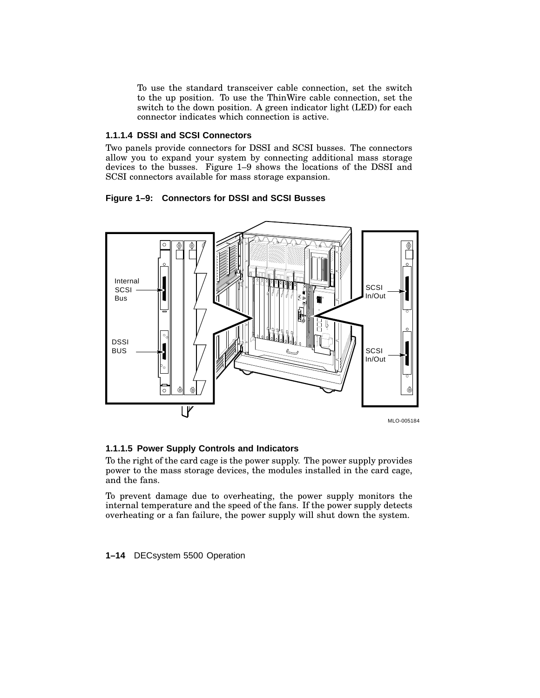To use the standard transceiver cable connection, set the switch to the up position. To use the ThinWire cable connection, set the switch to the down position. A green indicator light (LED) for each connector indicates which connection is active.

#### **1.1.1.4 DSSI and SCSI Connectors**

Two panels provide connectors for DSSI and SCSI busses. The connectors allow you to expand your system by connecting additional mass storage devices to the busses. Figure 1–9 shows the locations of the DSSI and SCSI connectors available for mass storage expansion.

#### **Figure 1–9: Connectors for DSSI and SCSI Busses**



#### **1.1.1.5 Power Supply Controls and Indicators**

To the right of the card cage is the power supply. The power supply provides power to the mass storage devices, the modules installed in the card cage, and the fans.

To prevent damage due to overheating, the power supply monitors the internal temperature and the speed of the fans. If the power supply detects overheating or a fan failure, the power supply will shut down the system.

**1–14** DECsystem 5500 Operation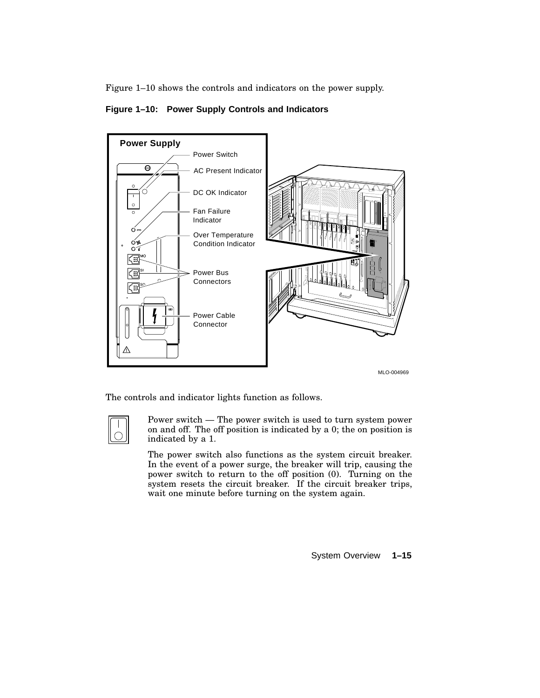Figure 1–10 shows the controls and indicators on the power supply.





The controls and indicator lights function as follows.



Power switch — The power switch is used to turn system power on and off. The off position is indicated by a 0; the on position is indicated by a 1.

The power switch also functions as the system circuit breaker. In the event of a power surge, the breaker will trip, causing the power switch to return to the off position (0). Turning on the system resets the circuit breaker. If the circuit breaker trips, wait one minute before turning on the system again.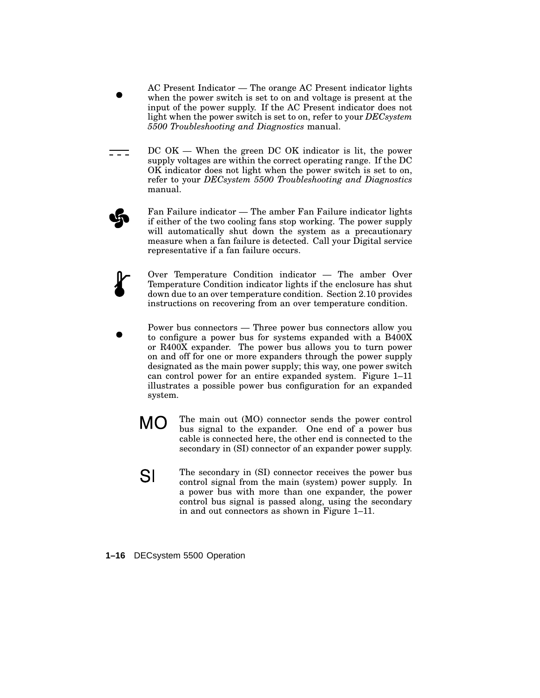- AC Present Indicator The orange AC Present indicator lights when the power switch is set to on and voltage is present at the input of the power supply. If the AC Present indicator does not light when the power switch is set to on, refer to your *DECsystem 5500 Troubleshooting and Diagnostics* manual.
- DC OK When the green DC OK indicator is lit, the power === supply voltages are within the correct operating range. If the DC OK indicator does not light when the power switch is set to on, refer to your *DECsystem 5500 Troubleshooting and Diagnostics* manual.
	- Fan Failure indicator The amber Fan Failure indicator lights if either of the two cooling fans stop working. The power supply will automatically shut down the system as a precautionary measure when a fan failure is detected. Call your Digital service representative if a fan failure occurs.
	- Over Temperature Condition indicator The amber Over Temperature Condition indicator lights if the enclosure has shut down due to an over temperature condition. Section 2.10 provides instructions on recovering from an over temperature condition.
	- Power bus connectors Three power bus connectors allow you to configure a power bus for systems expanded with a B400X or R400X expander. The power bus allows you to turn power on and off for one or more expanders through the power supply designated as the main power supply; this way, one power switch can control power for an entire expanded system. Figure 1–11 illustrates a possible power bus configuration for an expanded system.
		- **MO** The main out (MO) connector sends the power control bus signal to the expander. One end of a power bus cable is connected here, the other end is connected to the secondary in (SI) connector of an expander power supply.
		- The secondary in (SI) connector receives the power bus SI control signal from the main (system) power supply. In a power bus with more than one expander, the power control bus signal is passed along, using the secondary in and out connectors as shown in Figure 1–11.
- **1–16** DECsystem 5500 Operation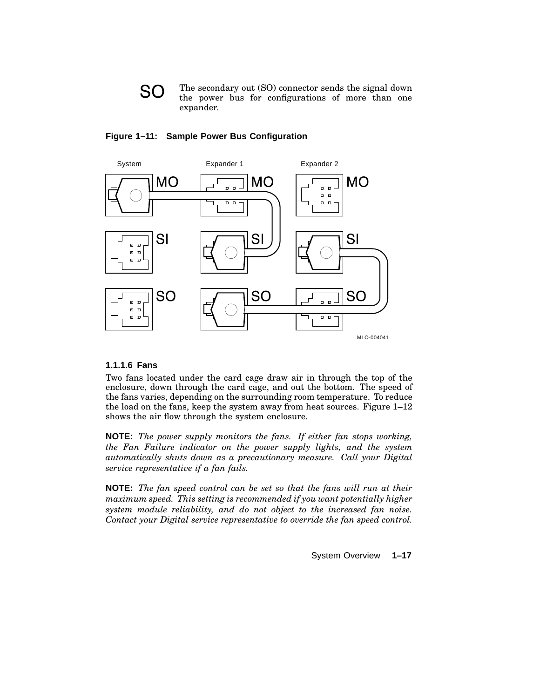



#### **Figure 1–11: Sample Power Bus Configuration**

#### **1.1.1.6 Fans**

Two fans located under the card cage draw air in through the top of the enclosure, down through the card cage, and out the bottom. The speed of the fans varies, depending on the surrounding room temperature. To reduce the load on the fans, keep the system away from heat sources. Figure 1–12 shows the air flow through the system enclosure.

**NOTE:** *The power supply monitors the fans. If either fan stops working, the Fan Failure indicator on the power supply lights, and the system automatically shuts down as a precautionary measure. Call your Digital service representative if a fan fails.*

**NOTE:** *The fan speed control can be set so that the fans will run at their maximum speed. This setting is recommended if you want potentially higher system module reliability, and do not object to the increased fan noise. Contact your Digital service representative to override the fan speed control.*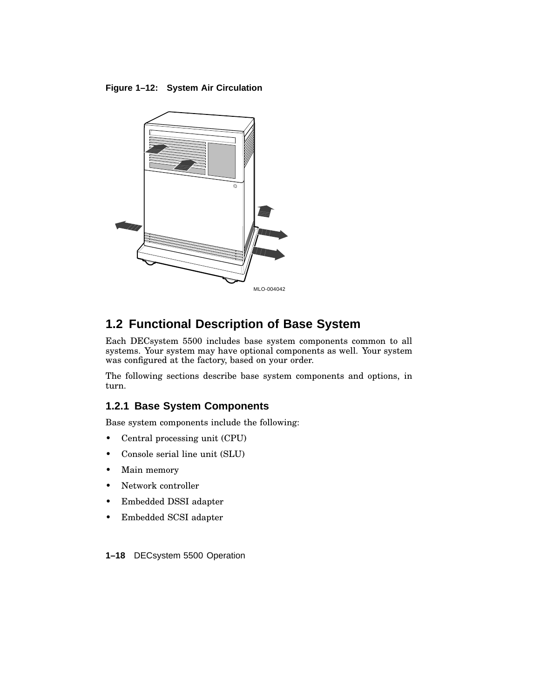**Figure 1–12: System Air Circulation**



# **1.2 Functional Description of Base System**

Each DECsystem 5500 includes base system components common to all systems. Your system may have optional components as well. Your system was configured at the factory, based on your order.

The following sections describe base system components and options, in turn.

### **1.2.1 Base System Components**

Base system components include the following:

- Central processing unit (CPU)
- Console serial line unit (SLU)
- Main memory
- Network controller
- Embedded DSSI adapter
- Embedded SCSI adapter

**1–18** DECsystem 5500 Operation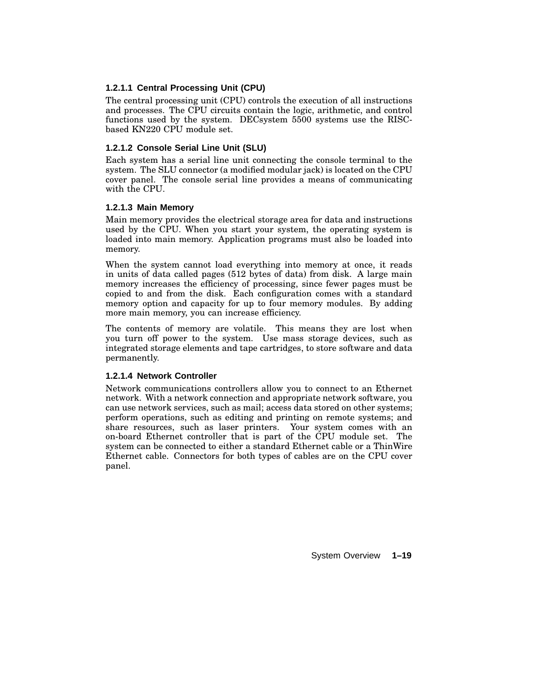#### **1.2.1.1 Central Processing Unit (CPU)**

The central processing unit (CPU) controls the execution of all instructions and processes. The CPU circuits contain the logic, arithmetic, and control functions used by the system. DECsystem 5500 systems use the RISCbased KN220 CPU module set.

#### **1.2.1.2 Console Serial Line Unit (SLU)**

Each system has a serial line unit connecting the console terminal to the system. The SLU connector (a modified modular jack) is located on the CPU cover panel. The console serial line provides a means of communicating with the CPU.

#### **1.2.1.3 Main Memory**

Main memory provides the electrical storage area for data and instructions used by the CPU. When you start your system, the operating system is loaded into main memory. Application programs must also be loaded into memory.

When the system cannot load everything into memory at once, it reads in units of data called pages (512 bytes of data) from disk. A large main memory increases the efficiency of processing, since fewer pages must be copied to and from the disk. Each configuration comes with a standard memory option and capacity for up to four memory modules. By adding more main memory, you can increase efficiency.

The contents of memory are volatile. This means they are lost when you turn off power to the system. Use mass storage devices, such as integrated storage elements and tape cartridges, to store software and data permanently.

#### **1.2.1.4 Network Controller**

Network communications controllers allow you to connect to an Ethernet network. With a network connection and appropriate network software, you can use network services, such as mail; access data stored on other systems; perform operations, such as editing and printing on remote systems; and share resources, such as laser printers. Your system comes with an on-board Ethernet controller that is part of the CPU module set. The system can be connected to either a standard Ethernet cable or a ThinWire Ethernet cable. Connectors for both types of cables are on the CPU cover panel.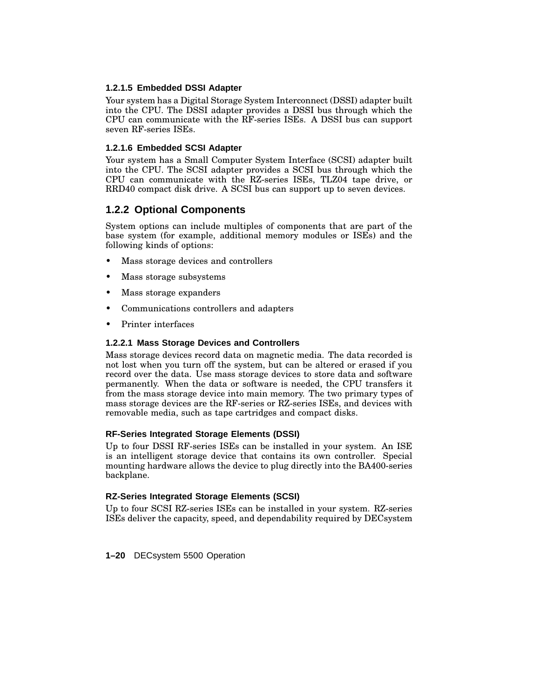#### **1.2.1.5 Embedded DSSI Adapter**

Your system has a Digital Storage System Interconnect (DSSI) adapter built into the CPU. The DSSI adapter provides a DSSI bus through which the CPU can communicate with the RF-series ISEs. A DSSI bus can support seven RF-series ISEs.

#### **1.2.1.6 Embedded SCSI Adapter**

Your system has a Small Computer System Interface (SCSI) adapter built into the CPU. The SCSI adapter provides a SCSI bus through which the CPU can communicate with the RZ-series ISEs, TLZ04 tape drive, or RRD40 compact disk drive. A SCSI bus can support up to seven devices.

### **1.2.2 Optional Components**

System options can include multiples of components that are part of the base system (for example, additional memory modules or ISEs) and the following kinds of options:

- Mass storage devices and controllers
- Mass storage subsystems
- Mass storage expanders
- Communications controllers and adapters
- Printer interfaces

#### **1.2.2.1 Mass Storage Devices and Controllers**

Mass storage devices record data on magnetic media. The data recorded is not lost when you turn off the system, but can be altered or erased if you record over the data. Use mass storage devices to store data and software permanently. When the data or software is needed, the CPU transfers it from the mass storage device into main memory. The two primary types of mass storage devices are the RF-series or RZ-series ISEs, and devices with removable media, such as tape cartridges and compact disks.

#### **RF-Series Integrated Storage Elements (DSSI)**

Up to four DSSI RF-series ISEs can be installed in your system. An ISE is an intelligent storage device that contains its own controller. Special mounting hardware allows the device to plug directly into the BA400-series backplane.

#### **RZ-Series Integrated Storage Elements (SCSI)**

Up to four SCSI RZ-series ISEs can be installed in your system. RZ-series ISEs deliver the capacity, speed, and dependability required by DECsystem

**1–20** DECsystem 5500 Operation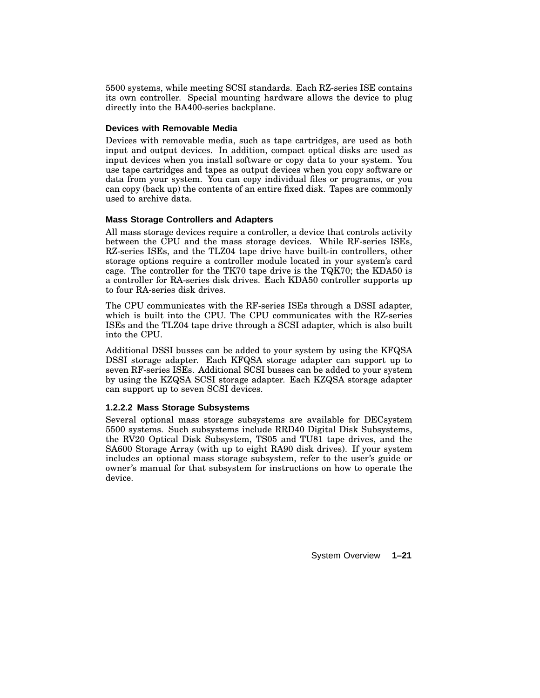5500 systems, while meeting SCSI standards. Each RZ-series ISE contains its own controller. Special mounting hardware allows the device to plug directly into the BA400-series backplane.

#### **Devices with Removable Media**

Devices with removable media, such as tape cartridges, are used as both input and output devices. In addition, compact optical disks are used as input devices when you install software or copy data to your system. You use tape cartridges and tapes as output devices when you copy software or data from your system. You can copy individual files or programs, or you can copy (back up) the contents of an entire fixed disk. Tapes are commonly used to archive data.

#### **Mass Storage Controllers and Adapters**

All mass storage devices require a controller, a device that controls activity between the CPU and the mass storage devices. While RF-series ISEs, RZ-series ISEs, and the TLZ04 tape drive have built-in controllers, other storage options require a controller module located in your system's card cage. The controller for the TK70 tape drive is the TQK70; the KDA50 is a controller for RA-series disk drives. Each KDA50 controller supports up to four RA-series disk drives.

The CPU communicates with the RF-series ISEs through a DSSI adapter, which is built into the CPU. The CPU communicates with the RZ-series ISEs and the TLZ04 tape drive through a SCSI adapter, which is also built into the CPU.

Additional DSSI busses can be added to your system by using the KFQSA DSSI storage adapter. Each KFQSA storage adapter can support up to seven RF-series ISEs. Additional SCSI busses can be added to your system by using the KZQSA SCSI storage adapter. Each KZQSA storage adapter can support up to seven SCSI devices.

#### **1.2.2.2 Mass Storage Subsystems**

Several optional mass storage subsystems are available for DECsystem 5500 systems. Such subsystems include RRD40 Digital Disk Subsystems, the RV20 Optical Disk Subsystem, TS05 and TU81 tape drives, and the SA600 Storage Array (with up to eight RA90 disk drives). If your system includes an optional mass storage subsystem, refer to the user's guide or owner's manual for that subsystem for instructions on how to operate the device.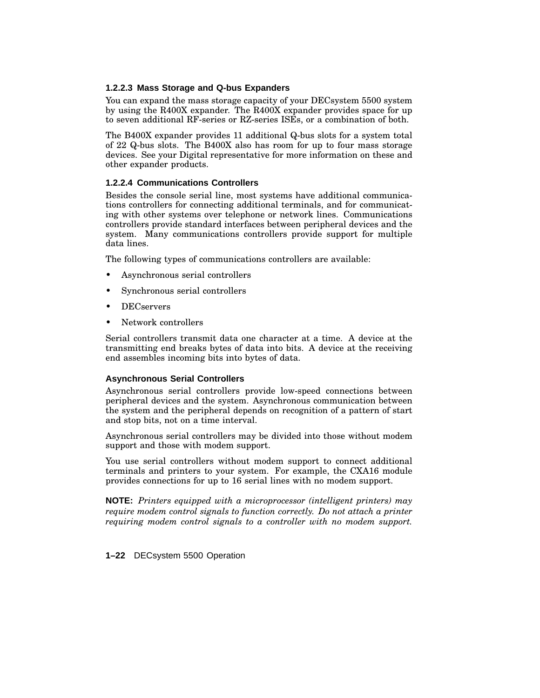#### **1.2.2.3 Mass Storage and Q-bus Expanders**

You can expand the mass storage capacity of your DECsystem 5500 system by using the R400X expander. The R400X expander provides space for up to seven additional RF-series or RZ-series ISEs, or a combination of both.

The B400X expander provides 11 additional Q-bus slots for a system total of 22 Q-bus slots. The B400X also has room for up to four mass storage devices. See your Digital representative for more information on these and other expander products.

#### **1.2.2.4 Communications Controllers**

Besides the console serial line, most systems have additional communications controllers for connecting additional terminals, and for communicating with other systems over telephone or network lines. Communications controllers provide standard interfaces between peripheral devices and the system. Many communications controllers provide support for multiple data lines.

The following types of communications controllers are available:

- Asynchronous serial controllers
- Synchronous serial controllers
- DECservers
- Network controllers

Serial controllers transmit data one character at a time. A device at the transmitting end breaks bytes of data into bits. A device at the receiving end assembles incoming bits into bytes of data.

#### **Asynchronous Serial Controllers**

Asynchronous serial controllers provide low-speed connections between peripheral devices and the system. Asynchronous communication between the system and the peripheral depends on recognition of a pattern of start and stop bits, not on a time interval.

Asynchronous serial controllers may be divided into those without modem support and those with modem support.

You use serial controllers without modem support to connect additional terminals and printers to your system. For example, the CXA16 module provides connections for up to 16 serial lines with no modem support.

**NOTE:** *Printers equipped with a microprocessor (intelligent printers) may require modem control signals to function correctly. Do not attach a printer requiring modem control signals to a controller with no modem support.*

**1–22** DECsystem 5500 Operation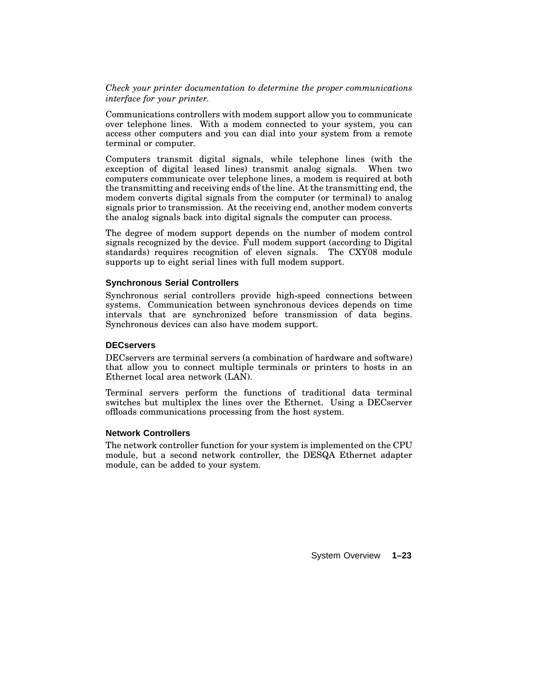#### *Check your printer documentation to determine the proper communications interface for your printer.*

Communications controllers with modem support allow you to communicate over telephone lines. With a modem connected to your system, you can access other computers and you can dial into your system from a remote terminal or computer.

Computers transmit digital signals, while telephone lines (with the exception of digital leased lines) transmit analog signals. When two computers communicate over telephone lines, a modem is required at both the transmitting and receiving ends of the line. At the transmitting end, the modem converts digital signals from the computer (or terminal) to analog signals prior to transmission. At the receiving end, another modem converts the analog signals back into digital signals the computer can process.

The degree of modem support depends on the number of modem control signals recognized by the device. Full modem support (according to Digital standards) requires recognition of eleven signals. The CXY08 module supports up to eight serial lines with full modem support.

#### **Synchronous Serial Controllers**

Synchronous serial controllers provide high-speed connections between systems. Communication between synchronous devices depends on time intervals that are synchronized before transmission of data begins. Synchronous devices can also have modem support.

#### **DECservers**

DECservers are terminal servers (a combination of hardware and software) that allow you to connect multiple terminals or printers to hosts in an Ethernet local area network (LAN).

Terminal servers perform the functions of traditional data terminal switches but multiplex the lines over the Ethernet. Using a DECserver offloads communications processing from the host system.

#### **Network Controllers**

The network controller function for your system is implemented on the CPU module, but a second network controller, the DESQA Ethernet adapter module, can be added to your system.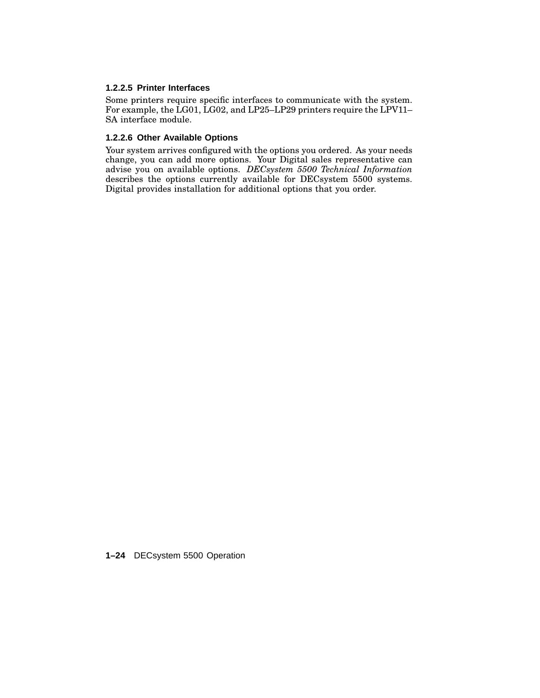#### **1.2.2.5 Printer Interfaces**

Some printers require specific interfaces to communicate with the system. For example, the LG01, LG02, and LP25–LP29 printers require the LPV11– SA interface module.

#### **1.2.2.6 Other Available Options**

Your system arrives configured with the options you ordered. As your needs change, you can add more options. Your Digital sales representative can advise you on available options. *DECsystem 5500 Technical Information* describes the options currently available for DECsystem 5500 systems. Digital provides installation for additional options that you order.

**1–24** DECsystem 5500 Operation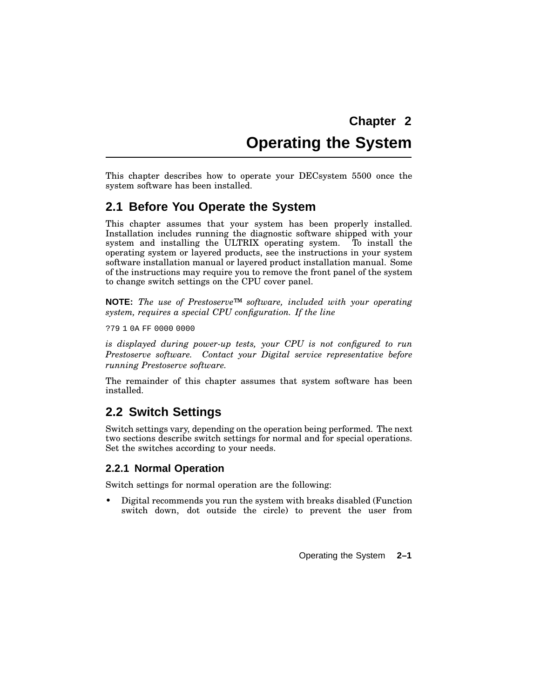# **Chapter 2 Operating the System**

This chapter describes how to operate your DECsystem 5500 once the system software has been installed.

### **2.1 Before You Operate the System**

This chapter assumes that your system has been properly installed. Installation includes running the diagnostic software shipped with your system and installing the ULTRIX operating system. To install the operating system or layered products, see the instructions in your system software installation manual or layered product installation manual. Some of the instructions may require you to remove the front panel of the system to change switch settings on the CPU cover panel.

**NOTE:** *The use of Prestoserve™ software, included with your operating system, requires a special CPU configuration. If the line*

?79 1 0A FF 0000 0000

*is displayed during power-up tests, your CPU is not configured to run Prestoserve software. Contact your Digital service representative before running Prestoserve software.*

The remainder of this chapter assumes that system software has been installed.

### **2.2 Switch Settings**

Switch settings vary, depending on the operation being performed. The next two sections describe switch settings for normal and for special operations. Set the switches according to your needs.

#### **2.2.1 Normal Operation**

Switch settings for normal operation are the following:

• Digital recommends you run the system with breaks disabled (Function switch down, dot outside the circle) to prevent the user from

Operating the System **2–1**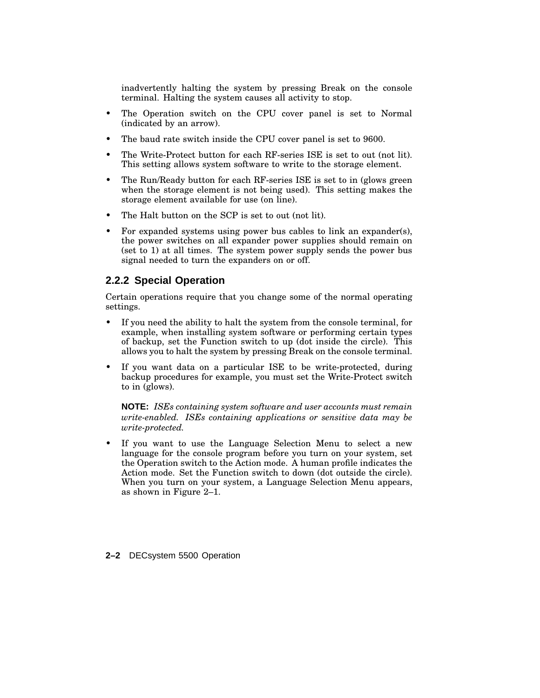inadvertently halting the system by pressing Break on the console terminal. Halting the system causes all activity to stop.

- The Operation switch on the CPU cover panel is set to Normal (indicated by an arrow).
- The baud rate switch inside the CPU cover panel is set to 9600.
- The Write-Protect button for each RF-series ISE is set to out (not lit). This setting allows system software to write to the storage element.
- The Run/Ready button for each RF-series ISE is set to in (glows green when the storage element is not being used). This setting makes the storage element available for use (on line).
- The Halt button on the SCP is set to out (not lit).
- For expanded systems using power bus cables to link an expander(s), the power switches on all expander power supplies should remain on (set to 1) at all times. The system power supply sends the power bus signal needed to turn the expanders on or off.

#### **2.2.2 Special Operation**

Certain operations require that you change some of the normal operating settings.

- If you need the ability to halt the system from the console terminal, for example, when installing system software or performing certain types of backup, set the Function switch to up (dot inside the circle). This allows you to halt the system by pressing Break on the console terminal.
- If you want data on a particular ISE to be write-protected, during backup procedures for example, you must set the Write-Protect switch to in (glows).

**NOTE:** *ISEs containing system software and user accounts must remain write-enabled. ISEs containing applications or sensitive data may be write-protected.*

- If you want to use the Language Selection Menu to select a new language for the console program before you turn on your system, set the Operation switch to the Action mode. A human profile indicates the Action mode. Set the Function switch to down (dot outside the circle). When you turn on your system, a Language Selection Menu appears, as shown in Figure 2–1.
- **2–2** DECsystem 5500 Operation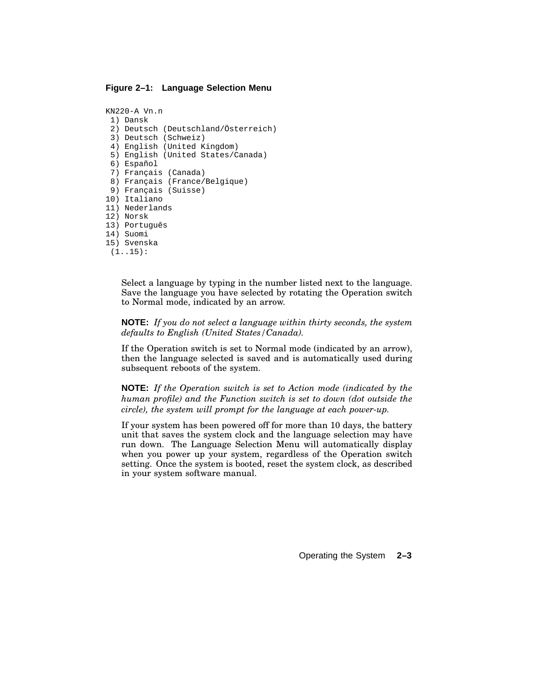#### **Figure 2–1: Language Selection Menu**

```
KN220-A Vn.n
 1) Dansk
 2) Deutsch (Deutschland/Österreich)
 3) Deutsch (Schweiz)
 4) English (United Kingdom)
 5) English (United States/Canada)
 6) Español
 7) Français (Canada)
 8) Français (France/Belgique)
 9) Français (Suisse)
10) Italiano
11) Nederlands
12) Norsk
13) Português
14) Suomi
15) Svenska
```
(1..15):

Select a language by typing in the number listed next to the language. Save the language you have selected by rotating the Operation switch to Normal mode, indicated by an arrow.

**NOTE:** *If you do not select a language within thirty seconds, the system defaults to English (United States/Canada).*

If the Operation switch is set to Normal mode (indicated by an arrow), then the language selected is saved and is automatically used during subsequent reboots of the system.

**NOTE:** *If the Operation switch is set to Action mode (indicated by the human profile) and the Function switch is set to down (dot outside the circle), the system will prompt for the language at each power-up.*

If your system has been powered off for more than 10 days, the battery unit that saves the system clock and the language selection may have run down. The Language Selection Menu will automatically display when you power up your system, regardless of the Operation switch setting. Once the system is booted, reset the system clock, as described in your system software manual.

Operating the System **2–3**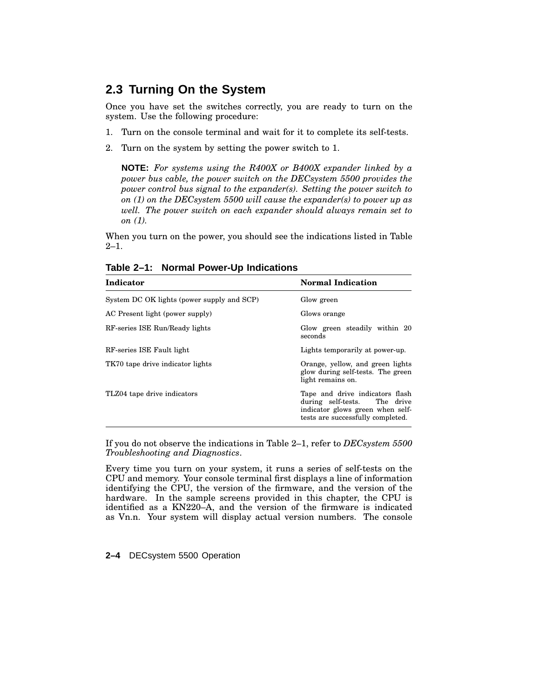## **2.3 Turning On the System**

Once you have set the switches correctly, you are ready to turn on the system. Use the following procedure:

- 1. Turn on the console terminal and wait for it to complete its self-tests.
- 2. Turn on the system by setting the power switch to 1.

**NOTE:** *For systems using the R400X or B400X expander linked by a power bus cable, the power switch on the DECsystem 5500 provides the power control bus signal to the expander(s). Setting the power switch to on (1) on the DECsystem 5500 will cause the expander(s) to power up as well. The power switch on each expander should always remain set to on (1).*

When you turn on the power, you should see the indications listed in Table 2–1.

| Indicator                                  | <b>Normal Indication</b>                                                                                                                 |
|--------------------------------------------|------------------------------------------------------------------------------------------------------------------------------------------|
| System DC OK lights (power supply and SCP) | Glow green                                                                                                                               |
| AC Present light (power supply)            | Glows orange                                                                                                                             |
| RF-series ISE Run/Ready lights             | Glow green steadily within 20<br>seconds                                                                                                 |
| RF-series ISE Fault light                  | Lights temporarily at power-up.                                                                                                          |
| TK70 tape drive indicator lights           | Orange, yellow, and green lights<br>glow during self-tests. The green<br>light remains on.                                               |
| TLZ04 tape drive indicators                | Tape and drive indicators flash<br>during self-tests. The drive<br>indicator glows green when self-<br>tests are successfully completed. |

**Table 2–1: Normal Power-Up Indications**

If you do not observe the indications in Table 2–1, refer to *DECsystem 5500 Troubleshooting and Diagnostics*.

Every time you turn on your system, it runs a series of self-tests on the CPU and memory. Your console terminal first displays a line of information identifying the CPU, the version of the firmware, and the version of the hardware. In the sample screens provided in this chapter, the CPU is identified as a KN220–A, and the version of the firmware is indicated as Vn.n. Your system will display actual version numbers. The console

**2–4** DECsystem 5500 Operation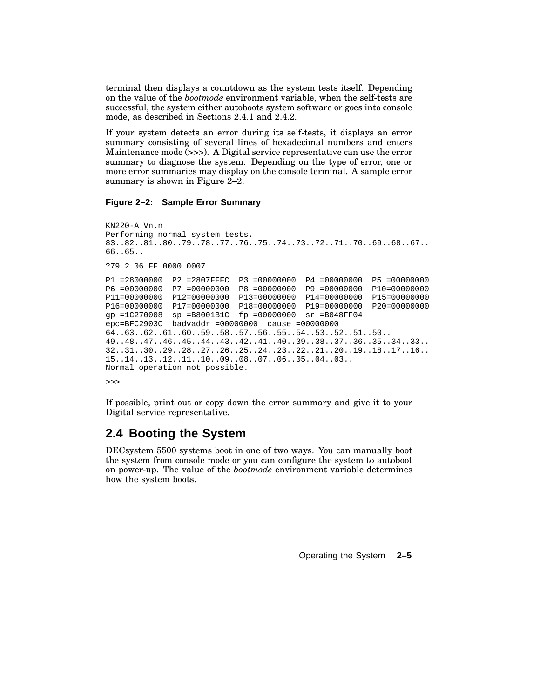terminal then displays a countdown as the system tests itself. Depending on the value of the *bootmode* environment variable, when the self-tests are successful, the system either autoboots system software or goes into console mode, as described in Sections 2.4.1 and 2.4.2.

If your system detects an error during its self-tests, it displays an error summary consisting of several lines of hexadecimal numbers and enters Maintenance mode (>>>). A Digital service representative can use the error summary to diagnose the system. Depending on the type of error, one or more error summaries may display on the console terminal. A sample error summary is shown in Figure 2–2.

#### **Figure 2–2: Sample Error Summary**

```
KN220-A Vn.n
Performing normal system tests.
83..82..81..80..79..78..77..76..75..74..73..72..71..70..69..68..67..
66..65..
?79 2 06 FF 0000 0007
P1 =28000000 P2 =2807FFFC P3 =00000000 P4 =00000000 P5 =00000000
P6 =00000000 P7 =00000000 P8 =00000000 P9 =00000000 P10=00000000
P11=00000000 P12=00000000 P13=00000000 P14=00000000 P15=00000000
P16=00000000 P17=00000000 P18=00000000 P19=00000000 P20=00000000
gp =1C270008 sp =B8001B1C fp =00000000 sr =B048FF04
epc=BFC2903C badvaddr =00000000 cause =00000000
64..63..62..61..60..59..58..57..56..55..54..53..52..51..50..
49..48..47..46..45..44..43..42..41..40..39..38..37..36..35..34..33..
32..31..30..29..28..27..26..25..24..23..22..21..20..19..18..17..16..
15..14..13..12..11..10..09..08..07..06..05..04..03..
Normal operation not possible.
```
>>>

If possible, print out or copy down the error summary and give it to your Digital service representative.

## **2.4 Booting the System**

DECsystem 5500 systems boot in one of two ways. You can manually boot the system from console mode or you can configure the system to autoboot on power-up. The value of the *bootmode* environment variable determines how the system boots.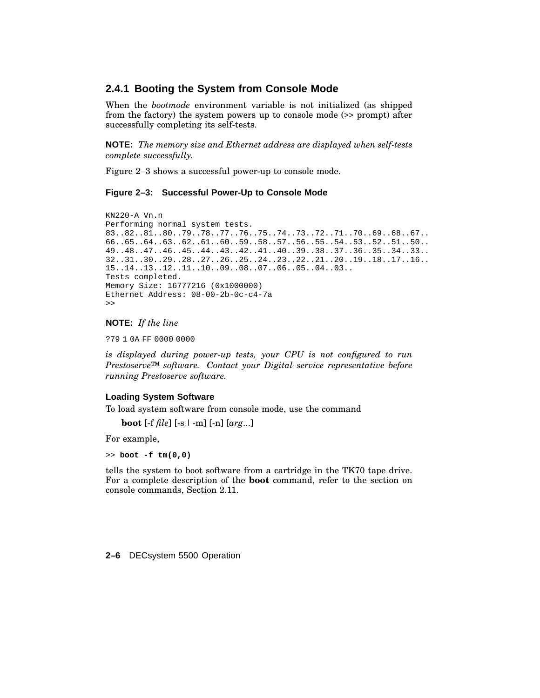### **2.4.1 Booting the System from Console Mode**

When the *bootmode* environment variable is not initialized (as shipped from the factory) the system powers up to console mode (>> prompt) after successfully completing its self-tests.

**NOTE:** *The memory size and Ethernet address are displayed when self-tests complete successfully.*

Figure 2–3 shows a successful power-up to console mode.

#### **Figure 2–3: Successful Power-Up to Console Mode**

```
KN220-A Vn.n
Performing normal system tests.
83..82..81..80..79..78..77..76..75..74..73..72..71..70..69..68..67..
66..65..64..63..62..61..60..59..58..57..56..55..54..53..52..51..50..
49..48..47..46..45..44..43..42..41..40..39..38..37..36..35..34..33..
32..31..30..29..28..27..26..25..24..23..22..21..20..19..18..17..16..
15..14..13..12..11..10..09..08..07..06..05..04..03..
Tests completed.
Memory Size: 16777216 (0x1000000)
Ethernet Address: 08-00-2b-0c-c4-7a
>>
```
#### **NOTE:** *If the line*

?79 1 0A FF 0000 0000

*is displayed during power-up tests, your CPU is not configured to run Prestoserve™ software. Contact your Digital service representative before running Prestoserve software.*

#### **Loading System Software**

To load system software from console mode, use the command

**boot** [-f *file*] [-s | -m] [-n] [*arg*...]

For example,

>> **boot -f tm(0,0)**

tells the system to boot software from a cartridge in the TK70 tape drive. For a complete description of the **boot** command, refer to the section on console commands, Section 2.11.

**2–6** DECsystem 5500 Operation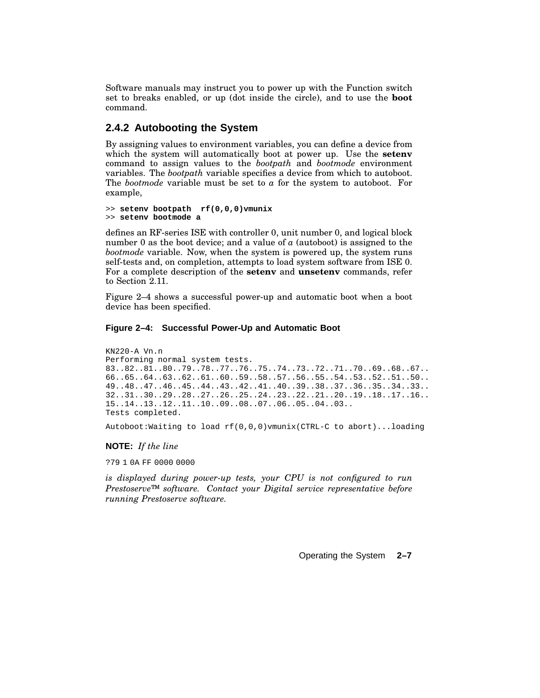Software manuals may instruct you to power up with the Function switch set to breaks enabled, or up (dot inside the circle), and to use the **boot** command.

### **2.4.2 Autobooting the System**

By assigning values to environment variables, you can define a device from which the system will automatically boot at power up. Use the **setenv** command to assign values to the *bootpath* and *bootmode* environment variables. The *bootpath* variable specifies a device from which to autoboot. The *bootmode* variable must be set to *a* for the system to autoboot. For example,

```
>> setenv bootpath rf(0,0,0)vmunix
>> setenv bootmode a
```
defines an RF-series ISE with controller 0, unit number 0, and logical block number 0 as the boot device; and a value of *a* (autoboot) is assigned to the *bootmode* variable. Now, when the system is powered up, the system runs self-tests and, on completion, attempts to load system software from ISE 0. For a complete description of the **setenv** and **unsetenv** commands, refer to Section 2.11.

Figure 2–4 shows a successful power-up and automatic boot when a boot device has been specified.

#### **Figure 2–4: Successful Power-Up and Automatic Boot**

```
KN220-A Vn.n
Performing normal system tests.
83..82..81..80..79..78..77..76..75..74..73..72..71..70..69..68..67..
66..65..64..63..62..61..60..59..58..57..56..55..54..53..52..51..50..
49..48..47..46..45..44..43..42..41..40..39..38..37..36..35..34..33..
32..31..30..29..28..27..26..25..24..23..22..21..20..19..18..17..16..
15..14..13..12..11..10..09..08..07..06..05..04..03..
Tests completed.
```
Autoboot:Waiting to load rf(0,0,0)vmunix(CTRL-C to abort)...loading

#### **NOTE:** *If the line*

?79 1 0A FF 0000 0000

*is displayed during power-up tests, your CPU is not configured to run Prestoserve™ software. Contact your Digital service representative before running Prestoserve software.*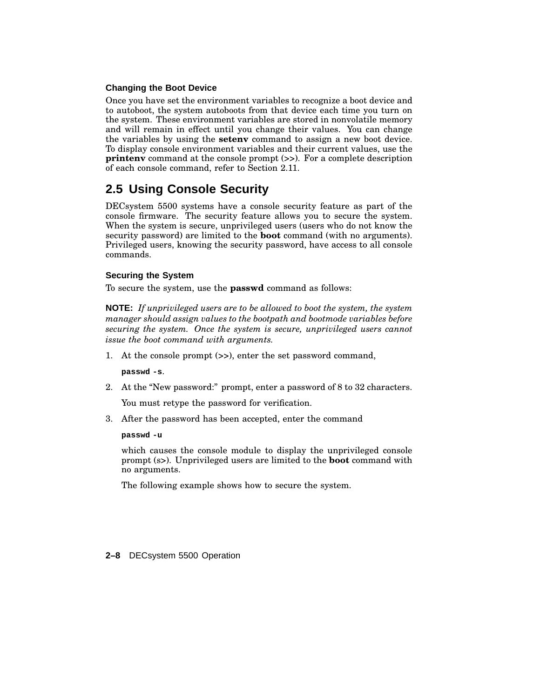#### **Changing the Boot Device**

Once you have set the environment variables to recognize a boot device and to autoboot, the system autoboots from that device each time you turn on the system. These environment variables are stored in nonvolatile memory and will remain in effect until you change their values. You can change the variables by using the **setenv** command to assign a new boot device. To display console environment variables and their current values, use the **printenv** command at the console prompt  $(>)$ . For a complete description of each console command, refer to Section 2.11.

## **2.5 Using Console Security**

DECsystem 5500 systems have a console security feature as part of the console firmware. The security feature allows you to secure the system. When the system is secure, unprivileged users (users who do not know the security password) are limited to the **boot** command (with no arguments). Privileged users, knowing the security password, have access to all console commands.

### **Securing the System**

To secure the system, use the **passwd** command as follows:

**NOTE:** *If unprivileged users are to be allowed to boot the system, the system manager should assign values to the bootpath and bootmode variables before securing the system. Once the system is secure, unprivileged users cannot issue the boot command with arguments.*

1. At the console prompt (>>), enter the set password command,

**passwd -s**.

2. At the "New password:" prompt, enter a password of 8 to 32 characters.

You must retype the password for verification.

3. After the password has been accepted, enter the command

#### **passwd -u**

which causes the console module to display the unprivileged console prompt (s>). Unprivileged users are limited to the **boot** command with no arguments.

The following example shows how to secure the system.

#### **2–8** DECsystem 5500 Operation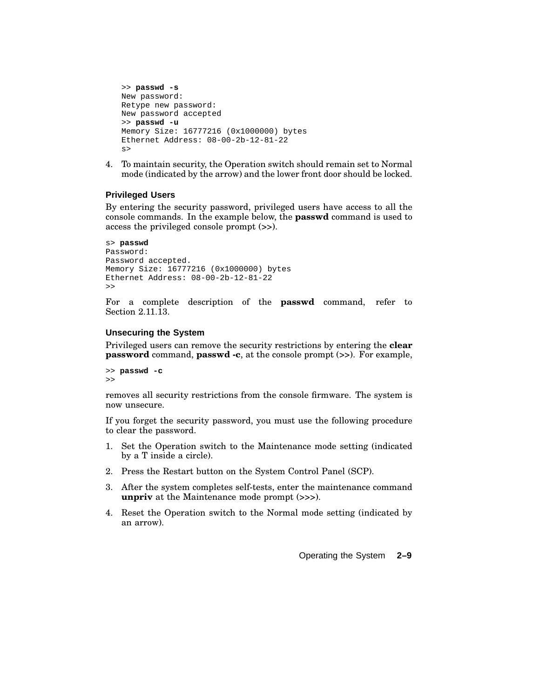```
>> passwd -s
New password:
Retype new password:
New password accepted
>> passwd -u
Memory Size: 16777216 (0x1000000) bytes
Ethernet Address: 08-00-2b-12-81-22
s>
```
4. To maintain security, the Operation switch should remain set to Normal mode (indicated by the arrow) and the lower front door should be locked.

#### **Privileged Users**

By entering the security password, privileged users have access to all the console commands. In the example below, the **passwd** command is used to access the privileged console prompt (>>).

```
s> passwd
Password:
Password accepted.
Memory Size: 16777216 (0x1000000) bytes
Ethernet Address: 08-00-2b-12-81-22
\rightarrow
```
For a complete description of the **passwd** command, refer to Section 2.11.13.

#### **Unsecuring the System**

Privileged users can remove the security restrictions by entering the **clear password** command, **passwd -c**, at the console prompt (>>). For example,

```
>> passwd -c
>>
```
removes all security restrictions from the console firmware. The system is now unsecure.

If you forget the security password, you must use the following procedure to clear the password.

- 1. Set the Operation switch to the Maintenance mode setting (indicated by a T inside a circle).
- 2. Press the Restart button on the System Control Panel (SCP).
- 3. After the system completes self-tests, enter the maintenance command **unpriv** at the Maintenance mode prompt (>>>).
- 4. Reset the Operation switch to the Normal mode setting (indicated by an arrow).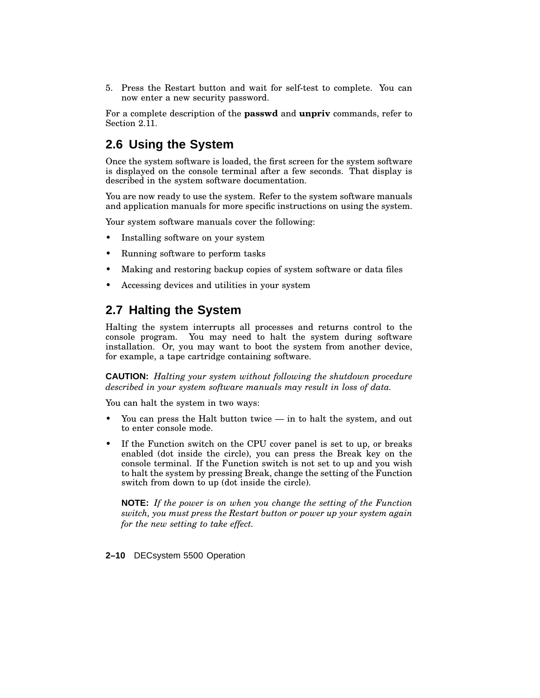5. Press the Restart button and wait for self-test to complete. You can now enter a new security password.

For a complete description of the **passwd** and **unpriv** commands, refer to Section 2.11.

## **2.6 Using the System**

Once the system software is loaded, the first screen for the system software is displayed on the console terminal after a few seconds. That display is described in the system software documentation.

You are now ready to use the system. Refer to the system software manuals and application manuals for more specific instructions on using the system.

Your system software manuals cover the following:

- Installing software on your system
- Running software to perform tasks
- Making and restoring backup copies of system software or data files
- Accessing devices and utilities in your system

## **2.7 Halting the System**

Halting the system interrupts all processes and returns control to the console program. You may need to halt the system during software installation. Or, you may want to boot the system from another device, for example, a tape cartridge containing software.

**CAUTION:** *Halting your system without following the shutdown procedure described in your system software manuals may result in loss of data.*

You can halt the system in two ways:

- You can press the Halt button twice  $-$  in to halt the system, and out to enter console mode.
- If the Function switch on the CPU cover panel is set to up, or breaks enabled (dot inside the circle), you can press the Break key on the console terminal. If the Function switch is not set to up and you wish to halt the system by pressing Break, change the setting of the Function switch from down to up (dot inside the circle).

**NOTE:** *If the power is on when you change the setting of the Function switch, you must press the Restart button or power up your system again for the new setting to take effect.*

**2–10** DECsystem 5500 Operation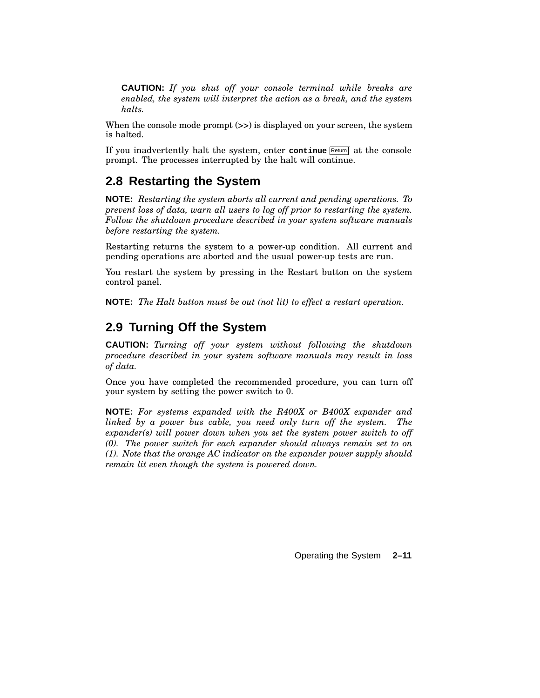**CAUTION:** *If you shut off your console terminal while breaks are enabled, the system will interpret the action as a break, and the system halts.*

When the console mode prompt  $(\gg)$  is displayed on your screen, the system is halted.

If you inadvertently halt the system, enter continue Return at the console prompt. The processes interrupted by the halt will continue.

## **2.8 Restarting the System**

**NOTE:** *Restarting the system aborts all current and pending operations. To prevent loss of data, warn all users to log off prior to restarting the system. Follow the shutdown procedure described in your system software manuals before restarting the system.*

Restarting returns the system to a power-up condition. All current and pending operations are aborted and the usual power-up tests are run.

You restart the system by pressing in the Restart button on the system control panel.

**NOTE:** *The Halt button must be out (not lit) to effect a restart operation.*

## **2.9 Turning Off the System**

**CAUTION:** *Turning off your system without following the shutdown procedure described in your system software manuals may result in loss of data.*

Once you have completed the recommended procedure, you can turn off your system by setting the power switch to 0.

**NOTE:** *For systems expanded with the R400X or B400X expander and linked by a power bus cable, you need only turn off the system. The expander(s) will power down when you set the system power switch to off (0). The power switch for each expander should always remain set to on (1). Note that the orange AC indicator on the expander power supply should remain lit even though the system is powered down.*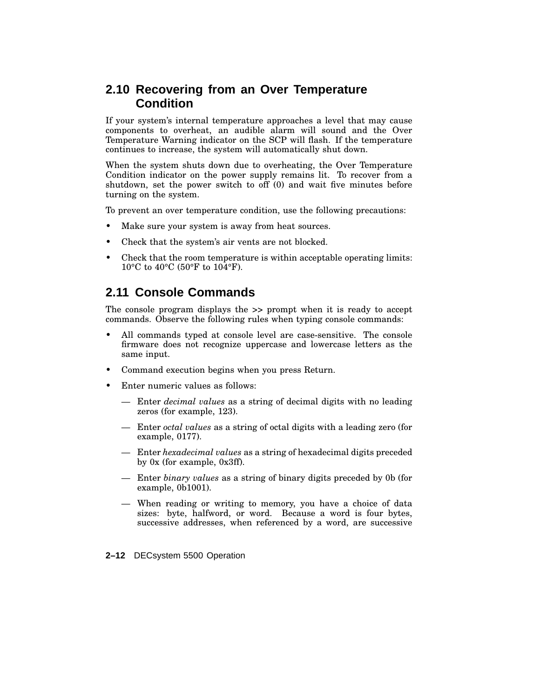## **2.10 Recovering from an Over Temperature Condition**

If your system's internal temperature approaches a level that may cause components to overheat, an audible alarm will sound and the Over Temperature Warning indicator on the SCP will flash. If the temperature continues to increase, the system will automatically shut down.

When the system shuts down due to overheating, the Over Temperature Condition indicator on the power supply remains lit. To recover from a shutdown, set the power switch to off (0) and wait five minutes before turning on the system.

To prevent an over temperature condition, use the following precautions:

- Make sure your system is away from heat sources.
- Check that the system's air vents are not blocked.
- Check that the room temperature is within acceptable operating limits: 10°C to 40°C (50°F to 104°F).

## **2.11 Console Commands**

The console program displays the >> prompt when it is ready to accept commands. Observe the following rules when typing console commands:

- All commands typed at console level are case-sensitive. The console firmware does not recognize uppercase and lowercase letters as the same input.
- Command execution begins when you press Return.
- Enter numeric values as follows:
	- Enter *decimal values* as a string of decimal digits with no leading zeros (for example, 123).
	- Enter *octal values* as a string of octal digits with a leading zero (for example, 0177).
	- Enter *hexadecimal values* as a string of hexadecimal digits preceded by 0x (for example, 0x3ff).
	- Enter *binary values* as a string of binary digits preceded by 0b (for example, 0b1001).
	- When reading or writing to memory, you have a choice of data sizes: byte, halfword, or word. Because a word is four bytes, successive addresses, when referenced by a word, are successive
- **2–12** DECsystem 5500 Operation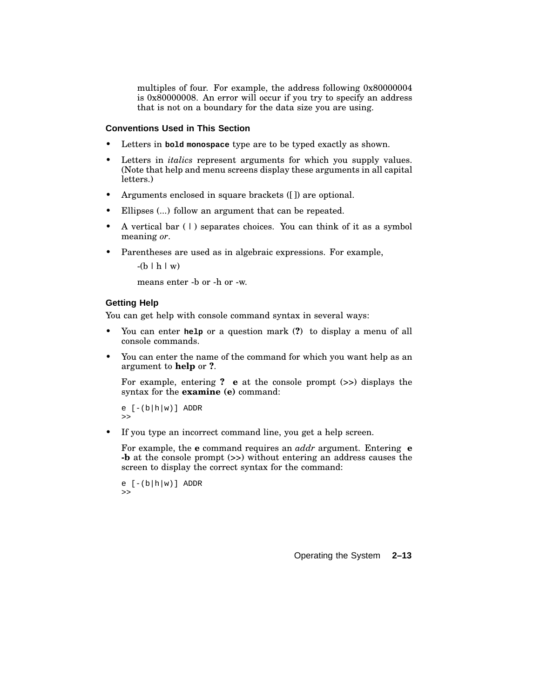multiples of four. For example, the address following 0x80000004 is 0x80000008. An error will occur if you try to specify an address that is not on a boundary for the data size you are using.

#### **Conventions Used in This Section**

- Letters in **bold monospace** type are to be typed exactly as shown.
- Letters in *italics* represent arguments for which you supply values. (Note that help and menu screens display these arguments in all capital letters.)
- Arguments enclosed in square brackets ([]) are optional.
- Ellipses  $(...)$  follow an argument that can be repeated.
- A vertical bar ( | ) separates choices. You can think of it as a symbol meaning *or*.
- Parentheses are used as in algebraic expressions. For example,

 $-(b \mid h \mid w)$ 

means enter -b or -h or -w.

#### **Getting Help**

You can get help with console command syntax in several ways:

- You can enter **help** or a question mark (**?**) to display a menu of all console commands.
- You can enter the name of the command for which you want help as an argument to **help** or **?**.

For example, entering **? e** at the console prompt (>>) displays the syntax for the **examine (e)** command:

```
e [-(b|h|w)] ADDR
>>
```
If you type an incorrect command line, you get a help screen.

For example, the **e** command requires an *addr* argument. Entering **e -b** at the console prompt (>>) without entering an address causes the screen to display the correct syntax for the command:

```
e [-(b|h|w)] ADDR
\geq
```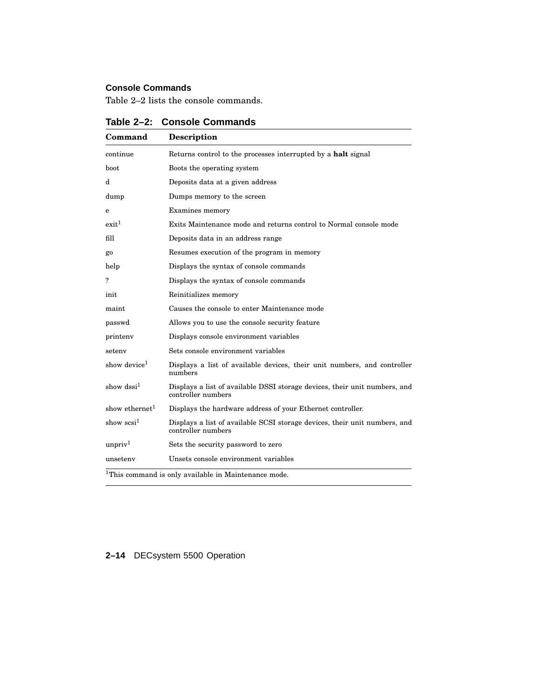## **Console Commands**

Table 2–2 lists the console commands.

| Command                    | <b>Description</b>                                                                               |
|----------------------------|--------------------------------------------------------------------------------------------------|
| continue                   | Returns control to the processes interrupted by a halt signal                                    |
| <b>boot</b>                | Boots the operating system                                                                       |
| d                          | Deposits data at a given address                                                                 |
| dump                       | Dumps memory to the screen                                                                       |
| e                          | Examines memory                                                                                  |
| exit <sup>1</sup>          | Exits Maintenance mode and returns control to Normal console mode                                |
| fill                       | Deposits data in an address range                                                                |
| go                         | Resumes execution of the program in memory                                                       |
| help                       | Displays the syntax of console commands                                                          |
| ?                          | Displays the syntax of console commands                                                          |
| init                       | Reinitializes memory                                                                             |
| maint                      | Causes the console to enter Maintenance mode                                                     |
| passwd                     | Allows you to use the console security feature                                                   |
| printeny                   | Displays console environment variables                                                           |
| seteny                     | Sets console environment variables                                                               |
| show device <sup>1</sup>   | Displays a list of available devices, their unit numbers, and controller<br>numbers              |
| show $dssi^1$              | Displays a list of available DSSI storage devices, their unit numbers, and<br>controller numbers |
| show ethernet <sup>1</sup> | Displays the hardware address of your Ethernet controller.                                       |
| show $scsi^1$              | Displays a list of available SCSI storage devices, their unit numbers, and<br>controller numbers |
| unpriv <sup>1</sup>        | Sets the security password to zero                                                               |
| unseteny                   | Unsets console environment variables                                                             |
|                            | <sup>1</sup> This command is only available in Maintenance mode.                                 |

**Table 2–2: Console Commands**

## **2–14** DECsystem 5500 Operation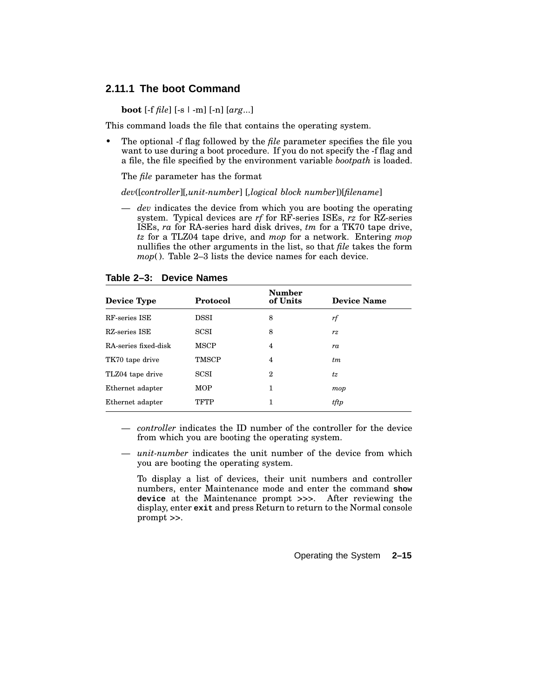### **2.11.1 The boot Command**

**boot** [-f *file*] [-s | -m] [-n] [*arg*...]

This command loads the file that contains the operating system.

• The optional -f flag followed by the *file* parameter specifies the file you want to use during a boot procedure. If you do not specify the -f flag and a file, the file specified by the environment variable *bootpath* is loaded.

The *file* parameter has the format

*dev*([*controller*][*,unit-number*] [*,logical block number*])[*filename*]

— *dev* indicates the device from which you are booting the operating system. Typical devices are *rf* for RF-series ISEs, *rz* for RZ-series ISEs, *ra* for RA-series hard disk drives, *tm* for a TK70 tape drive, *tz* for a TLZ04 tape drive, and *mop* for a network. Entering *mop* nullifies the other arguments in the list, so that *file* takes the form *mop*(). Table 2–3 lists the device names for each device.

| Device Type          | Protocol     | <b>Number</b><br>of Units | <b>Device Name</b> |
|----------------------|--------------|---------------------------|--------------------|
| RF-series ISE        | DSSI         | 8                         | rf                 |
| RZ-series ISE        | <b>SCSI</b>  | 8                         | rz                 |
| RA-series fixed-disk | <b>MSCP</b>  | 4                         | ra                 |
| TK70 tape drive      | <b>TMSCP</b> | 4                         | tm                 |
| TLZ04 tape drive     | <b>SCSI</b>  | 2                         | tz                 |
| Ethernet adapter     | <b>MOP</b>   | 1                         | mop                |
| Ethernet adapter     | TFTP         | 1                         | tftp               |

**Table 2–3: Device Names**

— *controller* indicates the ID number of the controller for the device from which you are booting the operating system.

— *unit-number* indicates the unit number of the device from which you are booting the operating system.

To display a list of devices, their unit numbers and controller numbers, enter Maintenance mode and enter the command **show device** at the Maintenance prompt >>>. After reviewing the display, enter **exit** and press Return to return to the Normal console prompt >>.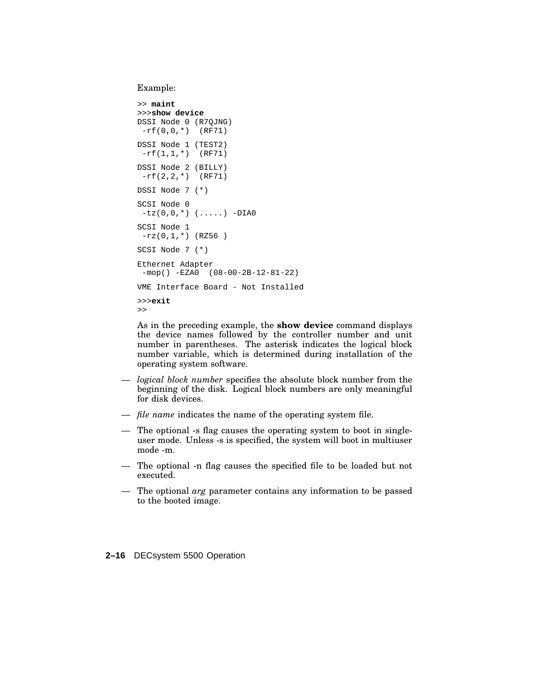Example:

```
>> maint
>>>show device
DSSI Node 0 (R7QJNG)
-rf(0,0,*) (RF71)
DSSI Node 1 (TEST2)
 -rf(1,1,*) (RF71)
DSSI Node 2 (BILLY)
 -rf(2,2,*) (RF71)
DSSI Node 7 (*)
SCSI Node 0
-tz(0,0,'') (......) -DIA0SCSI Node 1
 -rz(0,1,*) (RZ56)
SCSI Node 7 (*)
Ethernet Adapter
 -mop() -EZA0 (08-00-2B-12-81-22)
VME Interface Board - Not Installed
>>>exit
>>
```
As in the preceding example, the **show device** command displays the device names followed by the controller number and unit number in parentheses. The asterisk indicates the logical block number variable, which is determined during installation of the operating system software.

- *logical block number* specifies the absolute block number from the beginning of the disk. Logical block numbers are only meaningful for disk devices.
- *file name* indicates the name of the operating system file.
- The optional -s flag causes the operating system to boot in singleuser mode. Unless -s is specified, the system will boot in multiuser mode -m.
- The optional -n flag causes the specified file to be loaded but not executed.
- The optional *arg* parameter contains any information to be passed to the booted image.

**2–16** DECsystem 5500 Operation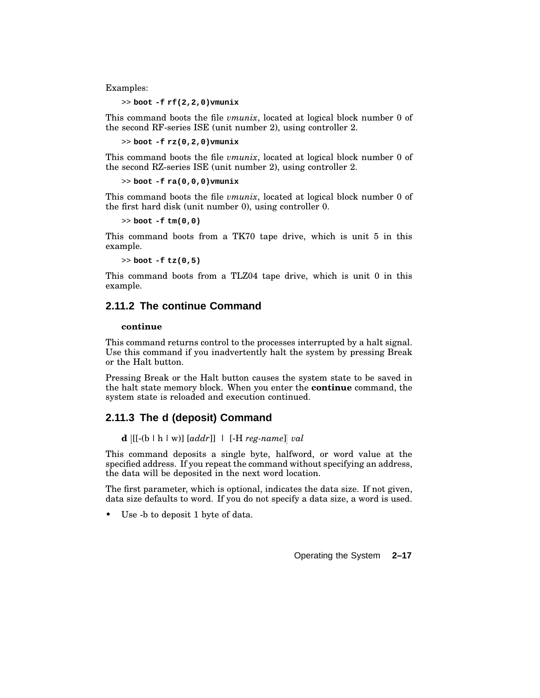Examples:

>> **boot -f rf(2,2,0)vmunix**

This command boots the file *vmunix*, located at logical block number 0 of the second RF-series ISE (unit number 2), using controller 2.

>> **boot -f rz(0,2,0)vmunix**

This command boots the file *vmunix*, located at logical block number 0 of the second RZ-series ISE (unit number 2), using controller 2.

>> **boot -f ra(0,0,0)vmunix**

This command boots the file *vmunix*, located at logical block number 0 of the first hard disk (unit number 0), using controller 0.

>> **boot -f tm(0,0)**

This command boots from a TK70 tape drive, which is unit 5 in this example.

>> **boot -f tz(0,5)**

This command boots from a TLZ04 tape drive, which is unit 0 in this example.

## **2.11.2 The continue Command**

#### **continue**

This command returns control to the processes interrupted by a halt signal. Use this command if you inadvertently halt the system by pressing Break or the Halt button.

Pressing Break or the Halt button causes the system state to be saved in the halt state memory block. When you enter the **continue** command, the system state is reloaded and execution continued.

#### **2.11.3 The d (deposit) Command**

**d** [[-(b | h | w)] [*addr*]] | [-H *reg-name*] *val*

This command deposits a single byte, halfword, or word value at the specified address. If you repeat the command without specifying an address, the data will be deposited in the next word location.

The first parameter, which is optional, indicates the data size. If not given, data size defaults to word. If you do not specify a data size, a word is used.

Use -b to deposit 1 byte of data.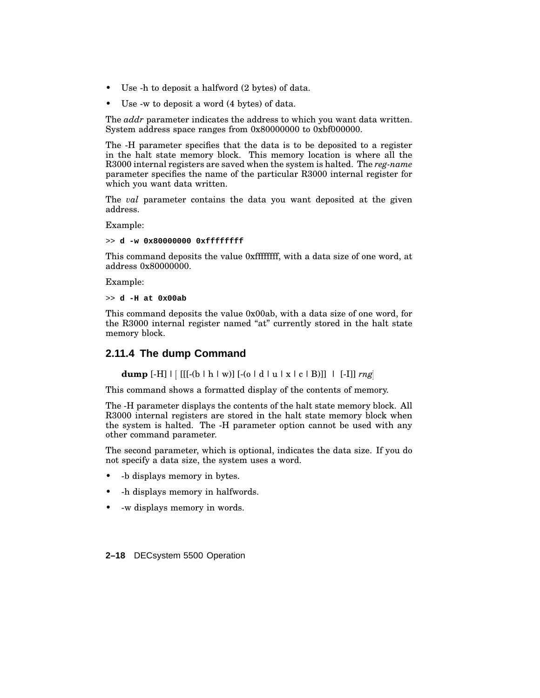- Use -h to deposit a halfword (2 bytes) of data.
- Use -w to deposit a word  $(4 \text{ bytes})$  of data.

The *addr* parameter indicates the address to which you want data written. System address space ranges from 0x80000000 to 0xbf000000.

The -H parameter specifies that the data is to be deposited to a register in the halt state memory block. This memory location is where all the R3000 internal registers are saved when the system is halted. The *reg-name* parameter specifies the name of the particular R3000 internal register for which you want data written.

The *val* parameter contains the data you want deposited at the given address.

Example:

>> **d -w 0x80000000 0xffffffff**

This command deposits the value 0xffffffff, with a data size of one word, at address 0x80000000.

Example:

>> **d -H at 0x00ab**

This command deposits the value 0x00ab, with a data size of one word, for the R3000 internal register named "at" currently stored in the halt state memory block.

### **2.11.4 The dump Command**

**dump** [-H] | [[[-(b | h | w)] [-(o | d | u | x | c | B)]] | [-I]] *rng*

This command shows a formatted display of the contents of memory.

The -H parameter displays the contents of the halt state memory block. All R3000 internal registers are stored in the halt state memory block when the system is halted. The -H parameter option cannot be used with any other command parameter.

The second parameter, which is optional, indicates the data size. If you do not specify a data size, the system uses a word.

- -b displays memory in bytes.
- -h displays memory in halfwords.
- -w displays memory in words.

**2–18** DECsystem 5500 Operation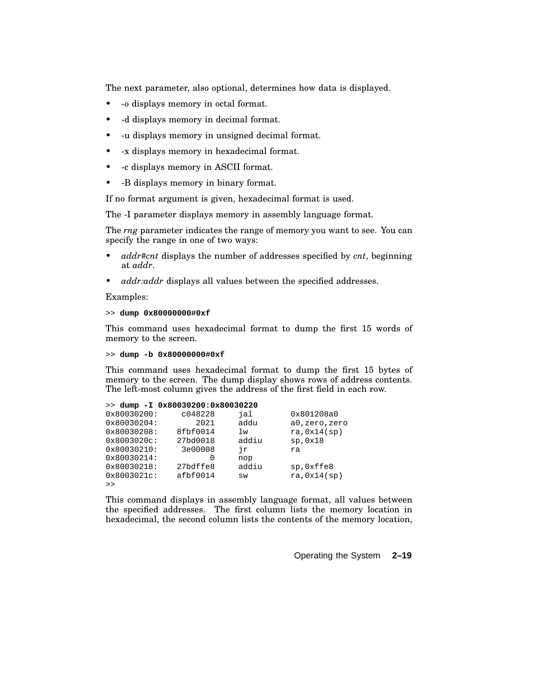The next parameter, also optional, determines how data is displayed.

- -o displays memory in octal format.
- -d displays memory in decimal format.
- -u displays memory in unsigned decimal format.
- -x displays memory in hexadecimal format.
- -c displays memory in ASCII format.
- -B displays memory in binary format.

If no format argument is given, hexadecimal format is used.

The -I parameter displays memory in assembly language format.

The *rng* parameter indicates the range of memory you want to see. You can specify the range in one of two ways:

- *addr#cnt* displays the number of addresses specified by *cnt*, beginning at *addr*.
- *addr:addr* displays all values between the specified addresses.

Examples:

>> **dump 0x80000000#0xf**

This command uses hexadecimal format to dump the first 15 words of memory to the screen.

>> **dump -b 0x80000000#0xf**

This command uses hexadecimal format to dump the first 15 bytes of memory to the screen. The dump display shows rows of address contents. The left-most column gives the address of the first field in each row.

|                       | $>>$ dump $-I$ 0x80030200:0x80030220 |       |              |
|-----------------------|--------------------------------------|-------|--------------|
| 0x80030200:           | c048228                              | jal   | 0x801208a0   |
| 0x80030204:           | 2021                                 | addu  | a0,zero,zero |
| 0x80030208:           | 8fbf0014                             | lw    | ra, 0x14(sp) |
| $0x8003020c$ :        | 27bd0018                             | addiu | sp,0x18      |
| 0x80030210:           | 3e00008                              | ήr    | ra           |
| $0 \times 80030214$ : | O                                    | nop   |              |
| 0x80030218:           | 27bdffe8                             | addiu | sp, 0xffe8   |
| $0x8003021c$ :        | afbf0014                             | SW    | ra, 0x14(sp) |
| >                     |                                      |       |              |

This command displays in assembly language format, all values between the specified addresses. The first column lists the memory location in hexadecimal, the second column lists the contents of the memory location,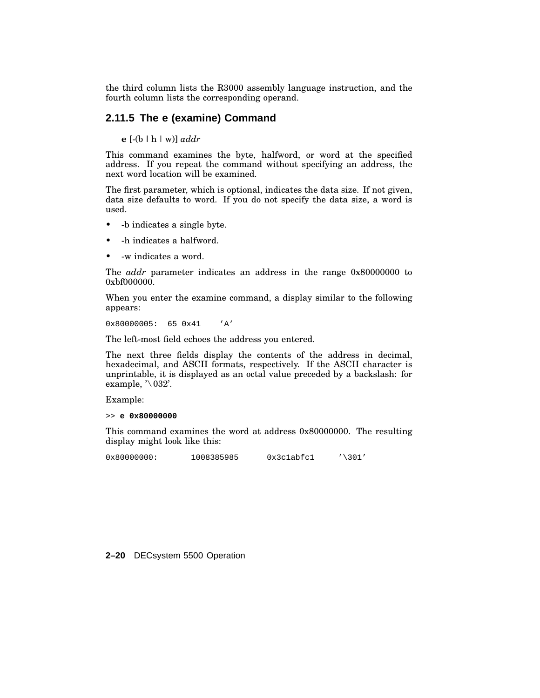the third column lists the R3000 assembly language instruction, and the fourth column lists the corresponding operand.

### **2.11.5 The e (examine) Command**

**e** [-(b | h | w)] *addr*

This command examines the byte, halfword, or word at the specified address. If you repeat the command without specifying an address, the next word location will be examined.

The first parameter, which is optional, indicates the data size. If not given, data size defaults to word. If you do not specify the data size, a word is used.

- -b indicates a single byte.
- -h indicates a halfword.
- -w indicates a word.

The *addr* parameter indicates an address in the range 0x80000000 to 0xbf000000.

When you enter the examine command, a display similar to the following appears:

0x80000005: 65 0x41 'A'

The left-most field echoes the address you entered.

The next three fields display the contents of the address in decimal, hexadecimal, and ASCII formats, respectively. If the ASCII character is unprintable, it is displayed as an octal value preceded by a backslash: for example,  $\sqrt[3]{032}$ .

Example:

>> **e 0x80000000**

This command examines the word at address 0x80000000. The resulting display might look like this:

0x800000000: 1008385985 0x3c1abfc1 '\301'

**2–20** DECsystem 5500 Operation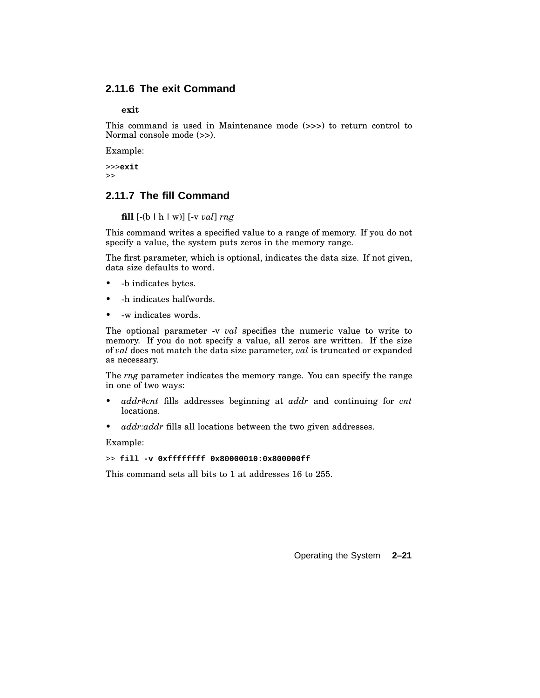## **2.11.6 The exit Command**

**exit**

This command is used in Maintenance mode (>>>) to return control to Normal console mode (>>).

Example:

>>>**exit** >>

### **2.11.7 The fill Command**

**fill** [-(b | h | w)] [-v *val*] *rng*

This command writes a specified value to a range of memory. If you do not specify a value, the system puts zeros in the memory range.

The first parameter, which is optional, indicates the data size. If not given, data size defaults to word.

- -b indicates bytes.
- -h indicates halfwords.
- -w indicates words.

The optional parameter -v *val* specifies the numeric value to write to memory. If you do not specify a value, all zeros are written. If the size of *val* does not match the data size parameter, *val* is truncated or expanded as necessary.

The *rng* parameter indicates the memory range. You can specify the range in one of two ways:

- *addr#cnt* fills addresses beginning at *addr* and continuing for *cnt* locations.
- *addr:addr* fills all locations between the two given addresses.

Example:

>> **fill -v 0xffffffff 0x80000010:0x800000ff**

This command sets all bits to 1 at addresses 16 to 255.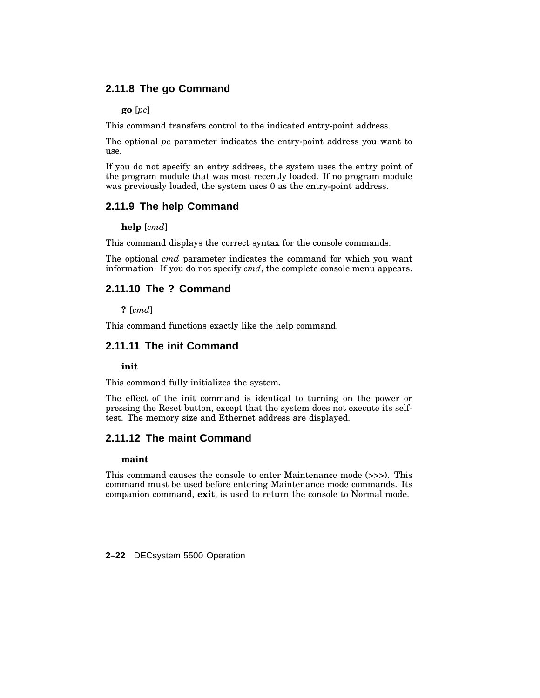## **2.11.8 The go Command**

**go** [*pc*]

This command transfers control to the indicated entry-point address.

The optional *pc* parameter indicates the entry-point address you want to use.

If you do not specify an entry address, the system uses the entry point of the program module that was most recently loaded. If no program module was previously loaded, the system uses 0 as the entry-point address.

## **2.11.9 The help Command**

**help** [*cmd*]

This command displays the correct syntax for the console commands.

The optional *cmd* parameter indicates the command for which you want information. If you do not specify *cmd*, the complete console menu appears.

## **2.11.10 The ? Command**

**?** [*cmd*]

This command functions exactly like the help command.

### **2.11.11 The init Command**

**init**

This command fully initializes the system.

The effect of the init command is identical to turning on the power or pressing the Reset button, except that the system does not execute its selftest. The memory size and Ethernet address are displayed.

### **2.11.12 The maint Command**

#### **maint**

This command causes the console to enter Maintenance mode (>>>). This command must be used before entering Maintenance mode commands. Its companion command, **exit**, is used to return the console to Normal mode.

**2–22** DECsystem 5500 Operation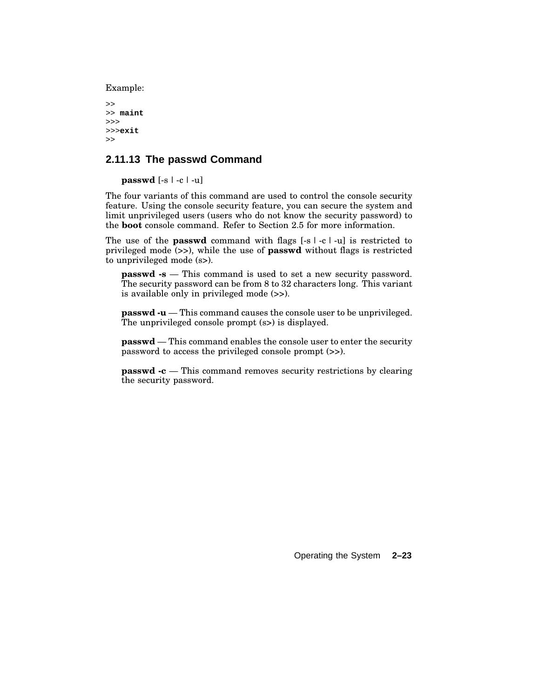Example:

```
>>
>> maint
>>>
>>>exit
>>
```
## **2.11.13 The passwd Command**

**passwd** [-s | -c | -u]

The four variants of this command are used to control the console security feature. Using the console security feature, you can secure the system and limit unprivileged users (users who do not know the security password) to the **boot** console command. Refer to Section 2.5 for more information.

The use of the **passwd** command with flags [-s | -c | -u] is restricted to privileged mode (>>), while the use of **passwd** without flags is restricted to unprivileged mode (s>).

**passwd -s** — This command is used to set a new security password. The security password can be from 8 to 32 characters long. This variant is available only in privileged mode (>>).

**passwd -u** — This command causes the console user to be unprivileged. The unprivileged console prompt (s>) is displayed.

**passwd** — This command enables the console user to enter the security password to access the privileged console prompt (>>).

**passwd -c** — This command removes security restrictions by clearing the security password.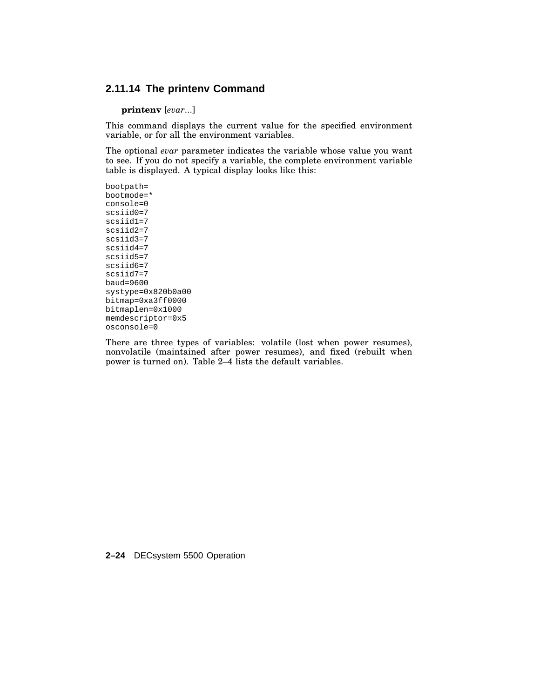## **2.11.14 The printenv Command**

**printenv** [*evar*...]

This command displays the current value for the specified environment variable, or for all the environment variables.

The optional *evar* parameter indicates the variable whose value you want to see. If you do not specify a variable, the complete environment variable table is displayed. A typical display looks like this:

bootpath= bootmode=\* console=0 scsiid0=7 scsiid1=7 scsiid2=7 scsiid3=7 scsiid4=7 scsiid5=7 scsiid6=7 scsiid7=7 baud=9600 systype=0x820b0a00 bitmap=0xa3ff0000 bitmaplen=0x1000 memdescriptor=0x5 osconsole=0

There are three types of variables: volatile (lost when power resumes), nonvolatile (maintained after power resumes), and fixed (rebuilt when power is turned on). Table 2–4 lists the default variables.

**2–24** DECsystem 5500 Operation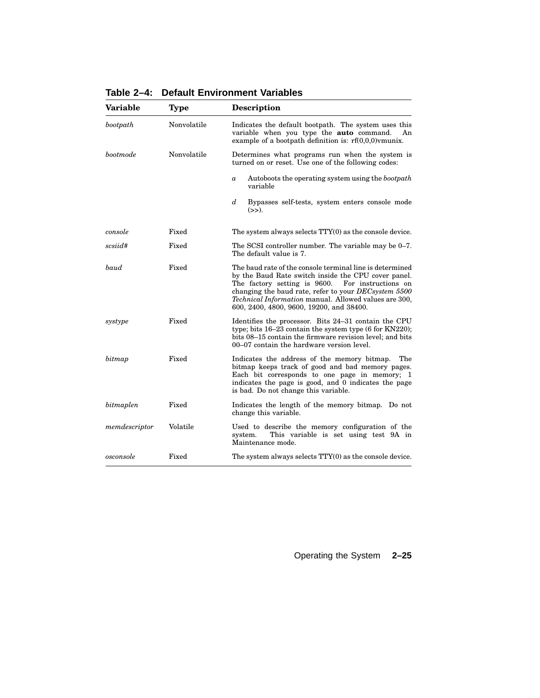| Variable      | Type        | <b>Description</b>                                                                                                                                                                                                                                                                                                                         |
|---------------|-------------|--------------------------------------------------------------------------------------------------------------------------------------------------------------------------------------------------------------------------------------------------------------------------------------------------------------------------------------------|
| bootpath      | Nonvolatile | Indicates the default bootpath. The system uses this<br>variable when you type the auto command.<br>An<br>example of a bootpath definition is: $rf(0,0,0)$ vmunix.                                                                                                                                                                         |
| bootmode      | Nonvolatile | Determines what programs run when the system is<br>turned on or reset. Use one of the following codes:                                                                                                                                                                                                                                     |
|               |             | Autoboots the operating system using the bootpath<br>$\boldsymbol{a}$<br>variable                                                                                                                                                                                                                                                          |
|               |             | $\boldsymbol{d}$<br>Bypasses self-tests, system enters console mode<br>(>>).                                                                                                                                                                                                                                                               |
| console       | Fixed       | The system always selects TTY(0) as the console device.                                                                                                                                                                                                                                                                                    |
| scsiid#       | Fixed       | The SCSI controller number. The variable may be 0–7.<br>The default value is 7.                                                                                                                                                                                                                                                            |
| baud          | Fixed       | The baud rate of the console terminal line is determined<br>by the Baud Rate switch inside the CPU cover panel.<br>The factory setting is 9600.<br>For instructions on<br>changing the baud rate, refer to your DECsystem 5500<br><i>Technical Information</i> manual. Allowed values are 300,<br>600, 2400, 4800, 9600, 19200, and 38400. |
| systype       | Fixed       | Identifies the processor. Bits 24–31 contain the CPU<br>type; bits $16-23$ contain the system type $(6$ for KN220);<br>bits 08–15 contain the firmware revision level; and bits<br>00–07 contain the hardware version level.                                                                                                               |
| bitmap        | Fixed       | Indicates the address of the memory bitmap.<br>The<br>bitmap keeps track of good and bad memory pages.<br>Each bit corresponds to one page in memory; 1<br>indicates the page is good, and 0 indicates the page<br>is bad. Do not change this variable.                                                                                    |
| bitmaplen     | Fixed       | Indicates the length of the memory bitmap. Do not<br>change this variable.                                                                                                                                                                                                                                                                 |
| memdescriptor | Volatile    | Used to describe the memory configuration of the<br>This variable is set using test 9A in<br>system.<br>Maintenance mode.                                                                                                                                                                                                                  |
| osconsole     | Fixed       | The system always selects TTY(0) as the console device.                                                                                                                                                                                                                                                                                    |

**Table 2–4: Default Environment Variables**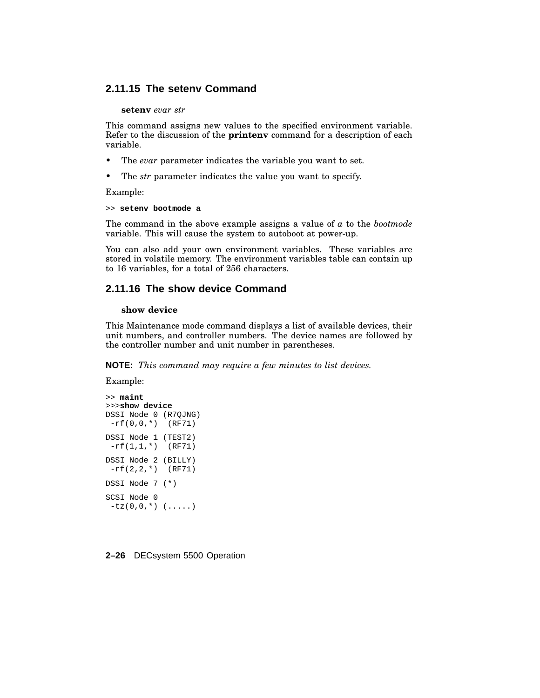## **2.11.15 The setenv Command**

#### **setenv** *evar str*

This command assigns new values to the specified environment variable. Refer to the discussion of the **printenv** command for a description of each variable.

- The *evar* parameter indicates the variable you want to set.
- The *str* parameter indicates the value you want to specify.

Example:

```
>> setenv bootmode a
```
The command in the above example assigns a value of *a* to the *bootmode* variable. This will cause the system to autoboot at power-up.

You can also add your own environment variables. These variables are stored in volatile memory. The environment variables table can contain up to 16 variables, for a total of 256 characters.

## **2.11.16 The show device Command**

#### **show device**

This Maintenance mode command displays a list of available devices, their unit numbers, and controller numbers. The device names are followed by the controller number and unit number in parentheses.

**NOTE:** *This command may require a few minutes to list devices.*

Example:

```
>> maint
>>>show device
DSSI Node 0 (R7QJNG)
 -rf(0,0,*) (RF71)
DSSI Node 1 (TEST2)
 -rf(1,1,*) (RF71)
DSSI Node 2 (BILLY)
-rf(2,2,*) (RF71)
DSSI Node 7 (*)
SCSI Node 0
-tz(0,0,*) (\ldots)
```
#### **2–26** DECsystem 5500 Operation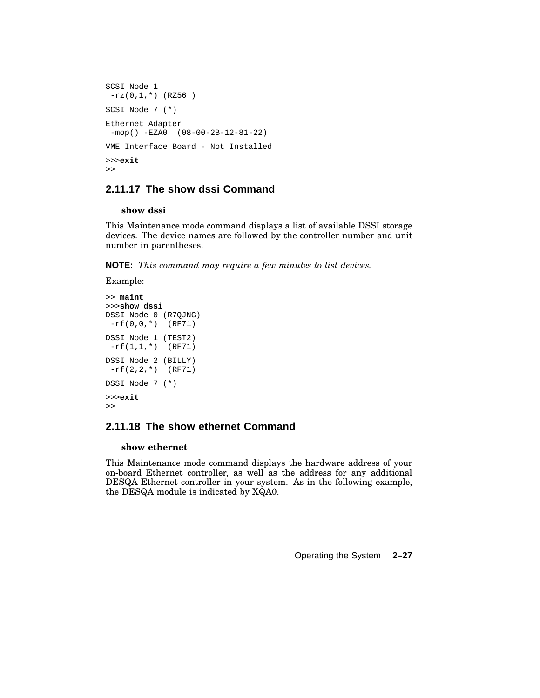```
SCSI Node 1
-rz(0,1,*) (RZ56)
SCSI Node 7 (*)
Ethernet Adapter
-mop() -EZA0 (08-00-2B-12-81-22)
VME Interface Board - Not Installed
>>>exit
\gt
```
## **2.11.17 The show dssi Command**

#### **show dssi**

This Maintenance mode command displays a list of available DSSI storage devices. The device names are followed by the controller number and unit number in parentheses.

**NOTE:** *This command may require a few minutes to list devices.*

Example:

```
>> maint
>>>show dssi
DSSI Node 0 (R7QJNG)
-rf(0,0,*) (RF71)
DSSI Node 1 (TEST2)
-rf(1,1,*) (RF71)
DSSI Node 2 (BILLY)
-rf(2,2,*) (RF71)
DSSI Node 7 (*)
>>>exit
\gt
```
## **2.11.18 The show ethernet Command**

#### **show ethernet**

This Maintenance mode command displays the hardware address of your on-board Ethernet controller, as well as the address for any additional DESQA Ethernet controller in your system. As in the following example, the DESQA module is indicated by XQA0.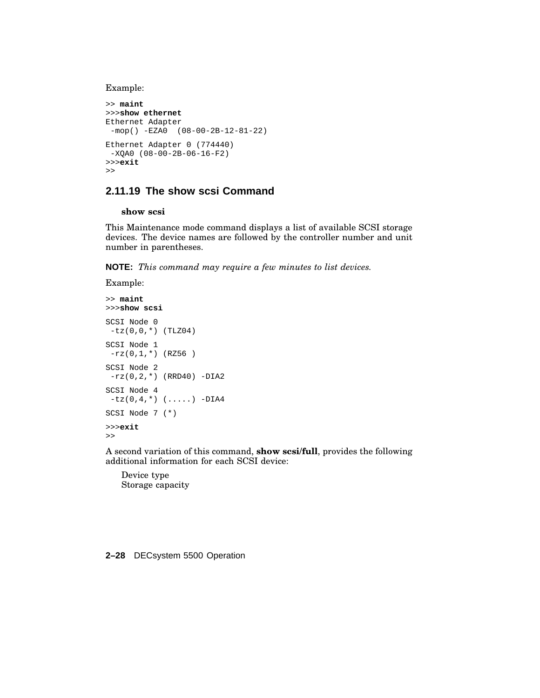Example:

```
>> maint
>>>show ethernet
Ethernet Adapter
-mop() -EZA0 (08-00-2B-12-81-22)
Ethernet Adapter 0 (774440)
-XQA0 (08-00-2B-06-16-F2)
>>>exit
>>
```
## **2.11.19 The show scsi Command**

#### **show scsi**

This Maintenance mode command displays a list of available SCSI storage devices. The device names are followed by the controller number and unit number in parentheses.

**NOTE:** *This command may require a few minutes to list devices.*

```
Example:
>> maint
>>>show scsi
```

```
SCSI Node 0
-tz(0,0,*) (TLZ04)
SCSI Node 1
 -rz(0,1,*) (RZ56 )
SCSI Node 2
-rz(0, 2, *) (RRD40) -DIA2
SCSI Node 4
 -tz(0, 4, *) (.....) -DIA4
SCSI Node 7 (*)
>>>exit
\gt
```
A second variation of this command, **show scsi/full**, provides the following additional information for each SCSI device:

Device type Storage capacity

#### **2–28** DECsystem 5500 Operation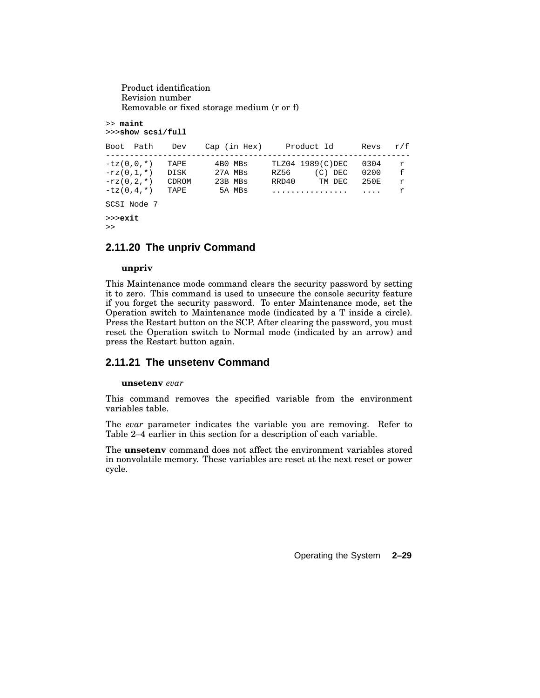Product identification Revision number Removable or fixed storage medium (r or f)

>> **maint** >>>**show scsi/full**

| Boot Path                                                    | Dev                           | Cap (in Hex)                            | Product Id                                                    | Revs                             | r/f                         |
|--------------------------------------------------------------|-------------------------------|-----------------------------------------|---------------------------------------------------------------|----------------------------------|-----------------------------|
| $-tz(0,0,*)$<br>$-rz(0,1,*)$<br>$-rz(0.2.*)$<br>$-tz(0,4,*)$ | TAPE<br>DISK<br>CDROM<br>TAPE | 4B0 MBs<br>27A MBs<br>23B MBs<br>5A MBs | TLZ04 1989(C)DEC<br>$(C)$ DEC<br>RZ56<br>RRD40<br>TM DEC<br>. | 0304<br>0200<br>250円<br>$\cdots$ | r<br>$\mathsf{f}$<br>r<br>r |
| SCSI Node 7                                                  |                               |                                         |                                                               |                                  |                             |

>>>**exit**

## $>$

## **2.11.20 The unpriv Command**

#### **unpriv**

This Maintenance mode command clears the security password by setting it to zero. This command is used to unsecure the console security feature if you forget the security password. To enter Maintenance mode, set the Operation switch to Maintenance mode (indicated by a T inside a circle). Press the Restart button on the SCP. After clearing the password, you must reset the Operation switch to Normal mode (indicated by an arrow) and press the Restart button again.

## **2.11.21 The unsetenv Command**

#### **unsetenv** *evar*

This command removes the specified variable from the environment variables table.

The *evar* parameter indicates the variable you are removing. Refer to Table 2–4 earlier in this section for a description of each variable.

The **unsetenv** command does not affect the environment variables stored in nonvolatile memory. These variables are reset at the next reset or power cycle.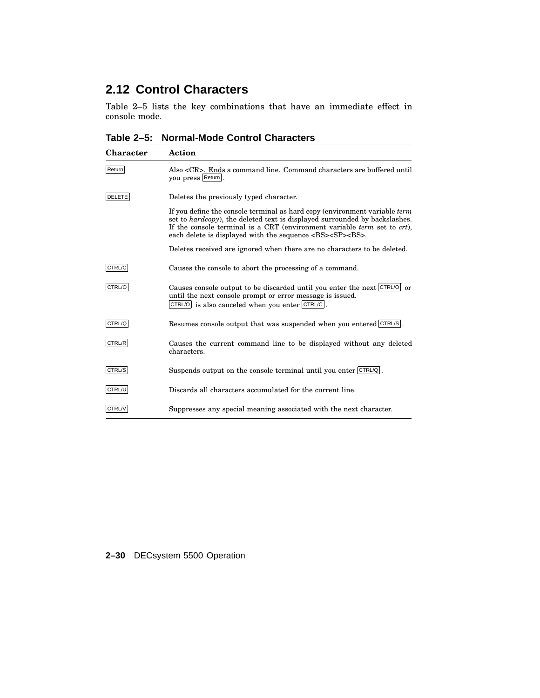## **2.12 Control Characters**

Table 2–5 lists the key combinations that have an immediate effect in console mode.

**Table 2–5: Normal-Mode Control Characters**

| <b>Character</b> | Action                                                                                                                                                                                                                                                                                                                                          |
|------------------|-------------------------------------------------------------------------------------------------------------------------------------------------------------------------------------------------------------------------------------------------------------------------------------------------------------------------------------------------|
| Return           | Also <cr>. Ends a command line. Command characters are buffered until<br/>you press Return.</cr>                                                                                                                                                                                                                                                |
| <b>DELETE</b>    | Deletes the previously typed character.                                                                                                                                                                                                                                                                                                         |
|                  | If you define the console terminal as hard copy (environment variable <i>term</i> )<br>set to <i>hardcopy</i> ), the deleted text is displayed surrounded by backslashes.<br>If the console terminal is a CRT (environment variable <i>term</i> set to <i>crt</i> ),<br>each delete is displayed with the sequence <bs><sp><bs>.</bs></sp></bs> |
|                  | Deletes received are ignored when there are no characters to be deleted.                                                                                                                                                                                                                                                                        |
| CTRL/C           | Causes the console to abort the processing of a command.                                                                                                                                                                                                                                                                                        |
| CTRL/O           | Causes console output to be discarded until you enter the next CTRL/O or<br>until the next console prompt or error message is issued.<br>$CTRLO$ is also canceled when you enter $CTRUC$ .                                                                                                                                                      |
| CTRL/Q           | Resumes console output that was suspended when you entered CTRL/S.                                                                                                                                                                                                                                                                              |
| CTRL/R           | Causes the current command line to be displayed without any deleted<br>characters.                                                                                                                                                                                                                                                              |
| CTRL/S           | Suspends output on the console terminal until you enter CTRLO.                                                                                                                                                                                                                                                                                  |
| CTRL/U           | Discards all characters accumulated for the current line.                                                                                                                                                                                                                                                                                       |
| CTRL/V           | Suppresses any special meaning associated with the next character.                                                                                                                                                                                                                                                                              |

## **2–30** DECsystem 5500 Operation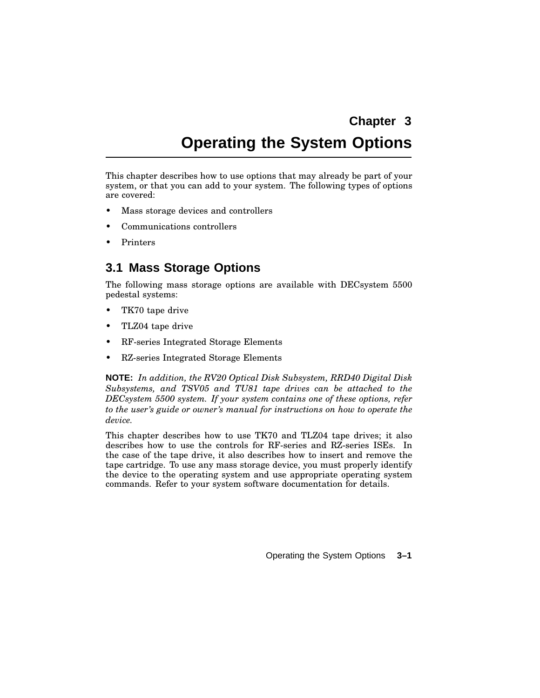## **Chapter 3**

# **Operating the System Options**

This chapter describes how to use options that may already be part of your system, or that you can add to your system. The following types of options are covered:

- Mass storage devices and controllers
- Communications controllers
- Printers

## **3.1 Mass Storage Options**

The following mass storage options are available with DECsystem 5500 pedestal systems:

- TK70 tape drive
- TLZ04 tape drive
- RF-series Integrated Storage Elements
- RZ-series Integrated Storage Elements

**NOTE:** *In addition, the RV20 Optical Disk Subsystem, RRD40 Digital Disk Subsystems, and TSV05 and TU81 tape drives can be attached to the DECsystem 5500 system. If your system contains one of these options, refer to the user's guide or owner's manual for instructions on how to operate the device.*

This chapter describes how to use TK70 and TLZ04 tape drives; it also describes how to use the controls for RF-series and RZ-series ISEs. In the case of the tape drive, it also describes how to insert and remove the tape cartridge. To use any mass storage device, you must properly identify the device to the operating system and use appropriate operating system commands. Refer to your system software documentation for details.

Operating the System Options **3–1**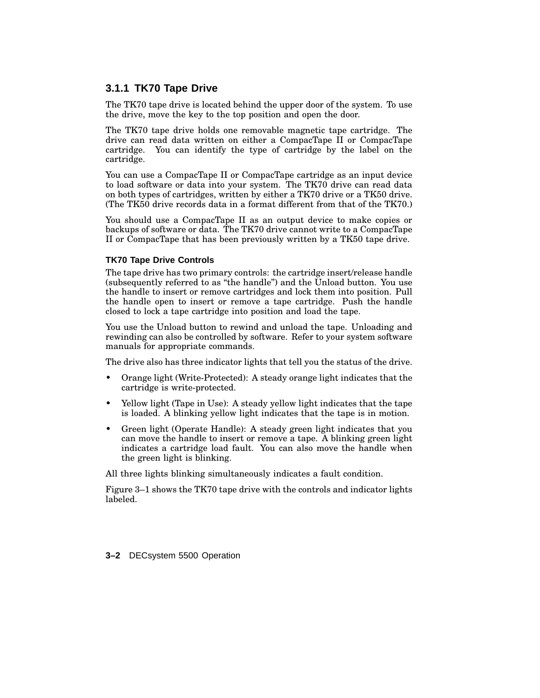## **3.1.1 TK70 Tape Drive**

The TK70 tape drive is located behind the upper door of the system. To use the drive, move the key to the top position and open the door.

The TK70 tape drive holds one removable magnetic tape cartridge. The drive can read data written on either a CompacTape II or CompacTape cartridge. You can identify the type of cartridge by the label on the cartridge.

You can use a CompacTape II or CompacTape cartridge as an input device to load software or data into your system. The TK70 drive can read data on both types of cartridges, written by either a TK70 drive or a TK50 drive. (The TK50 drive records data in a format different from that of the TK70.)

You should use a CompacTape II as an output device to make copies or backups of software or data. The TK70 drive cannot write to a CompacTape II or CompacTape that has been previously written by a TK50 tape drive.

#### **TK70 Tape Drive Controls**

The tape drive has two primary controls: the cartridge insert/release handle (subsequently referred to as ''the handle'') and the Unload button. You use the handle to insert or remove cartridges and lock them into position. Pull the handle open to insert or remove a tape cartridge. Push the handle closed to lock a tape cartridge into position and load the tape.

You use the Unload button to rewind and unload the tape. Unloading and rewinding can also be controlled by software. Refer to your system software manuals for appropriate commands.

The drive also has three indicator lights that tell you the status of the drive.

- Orange light (Write-Protected): A steady orange light indicates that the cartridge is write-protected.
- Yellow light (Tape in Use): A steady yellow light indicates that the tape is loaded. A blinking yellow light indicates that the tape is in motion.
- Green light (Operate Handle): A steady green light indicates that you can move the handle to insert or remove a tape. A blinking green light indicates a cartridge load fault. You can also move the handle when the green light is blinking.

All three lights blinking simultaneously indicates a fault condition.

Figure 3–1 shows the TK70 tape drive with the controls and indicator lights labeled.

**3–2** DECsystem 5500 Operation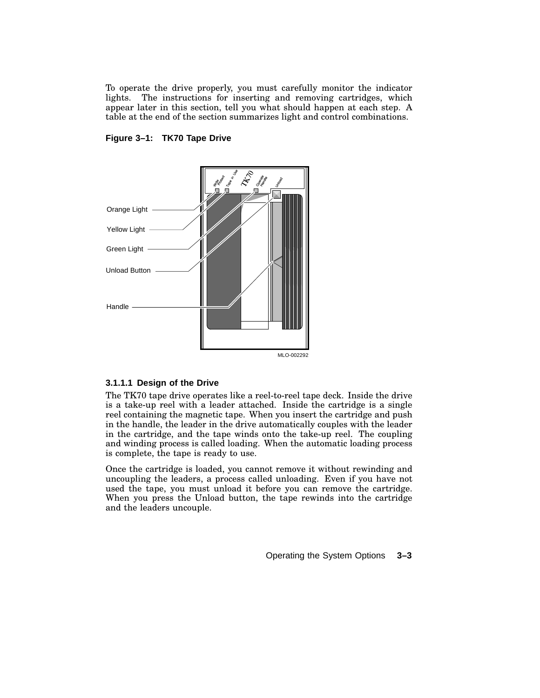To operate the drive properly, you must carefully monitor the indicator lights. The instructions for inserting and removing cartridges, which appear later in this section, tell you what should happen at each step. A table at the end of the section summarizes light and control combinations.





#### **3.1.1.1 Design of the Drive**

The TK70 tape drive operates like a reel-to-reel tape deck. Inside the drive is a take-up reel with a leader attached. Inside the cartridge is a single reel containing the magnetic tape. When you insert the cartridge and push in the handle, the leader in the drive automatically couples with the leader in the cartridge, and the tape winds onto the take-up reel. The coupling and winding process is called loading. When the automatic loading process is complete, the tape is ready to use.

Once the cartridge is loaded, you cannot remove it without rewinding and uncoupling the leaders, a process called unloading. Even if you have not used the tape, you must unload it before you can remove the cartridge. When you press the Unload button, the tape rewinds into the cartridge and the leaders uncouple.

Operating the System Options **3–3**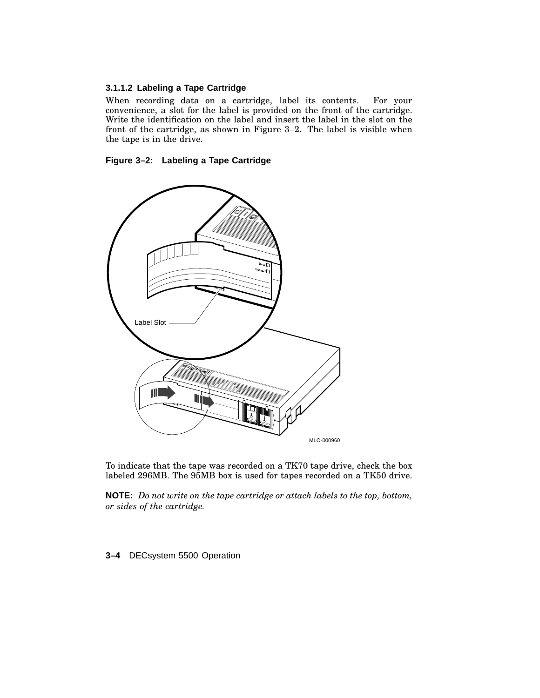### **3.1.1.2 Labeling a Tape Cartridge**

When recording data on a cartridge, label its contents. For your convenience, a slot for the label is provided on the front of the cartridge. Write the identification on the label and insert the label in the slot on the front of the cartridge, as shown in Figure 3–2. The label is visible when the tape is in the drive.





To indicate that the tape was recorded on a TK70 tape drive, check the box labeled 296MB. The 95MB box is used for tapes recorded on a TK50 drive.

**NOTE:** *Do not write on the tape cartridge or attach labels to the top, bottom, or sides of the cartridge.*

**3–4** DECsystem 5500 Operation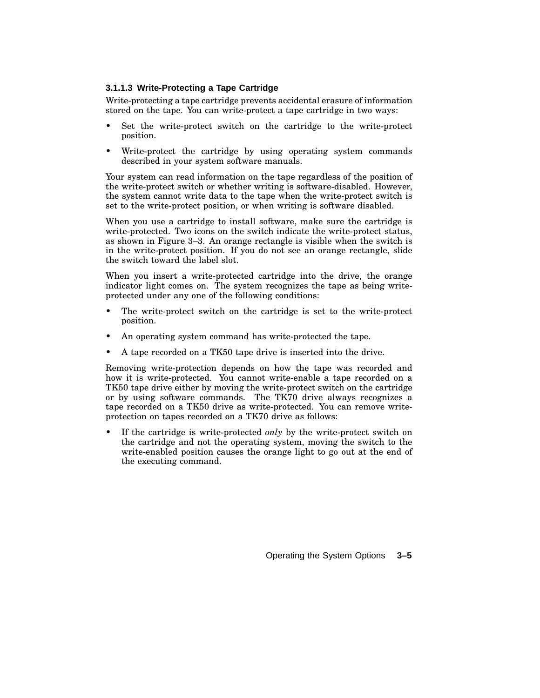#### **3.1.1.3 Write-Protecting a Tape Cartridge**

Write-protecting a tape cartridge prevents accidental erasure of information stored on the tape. You can write-protect a tape cartridge in two ways:

- Set the write-protect switch on the cartridge to the write-protect position.
- Write-protect the cartridge by using operating system commands described in your system software manuals.

Your system can read information on the tape regardless of the position of the write-protect switch or whether writing is software-disabled. However, the system cannot write data to the tape when the write-protect switch is set to the write-protect position, or when writing is software disabled.

When you use a cartridge to install software, make sure the cartridge is write-protected. Two icons on the switch indicate the write-protect status, as shown in Figure 3–3. An orange rectangle is visible when the switch is in the write-protect position. If you do not see an orange rectangle, slide the switch toward the label slot.

When you insert a write-protected cartridge into the drive, the orange indicator light comes on. The system recognizes the tape as being writeprotected under any one of the following conditions:

- The write-protect switch on the cartridge is set to the write-protect position.
- An operating system command has write-protected the tape.
- A tape recorded on a TK50 tape drive is inserted into the drive.

Removing write-protection depends on how the tape was recorded and how it is write-protected. You cannot write-enable a tape recorded on a TK50 tape drive either by moving the write-protect switch on the cartridge or by using software commands. The TK70 drive always recognizes a tape recorded on a TK50 drive as write-protected. You can remove writeprotection on tapes recorded on a TK70 drive as follows:

• If the cartridge is write-protected *only* by the write-protect switch on the cartridge and not the operating system, moving the switch to the write-enabled position causes the orange light to go out at the end of the executing command.

Operating the System Options **3–5**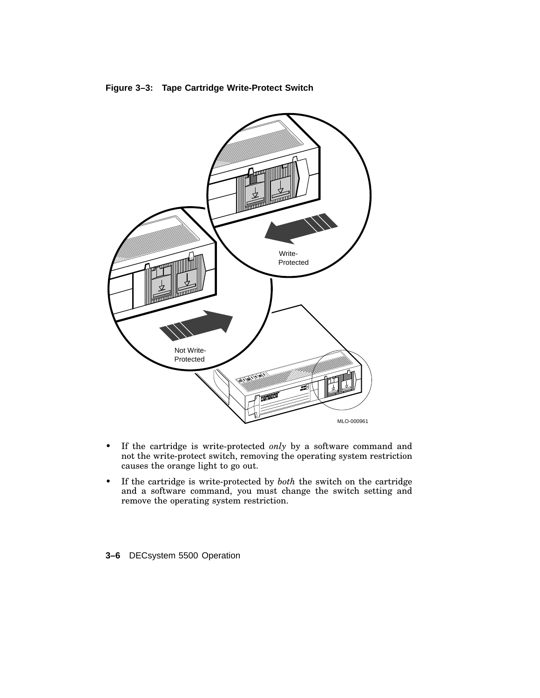



- If the cartridge is write-protected *only* by a software command and not the write-protect switch, removing the operating system restriction causes the orange light to go out.
- If the cartridge is write-protected by *both* the switch on the cartridge and a software command, you must change the switch setting and remove the operating system restriction.

## **3–6** DECsystem 5500 Operation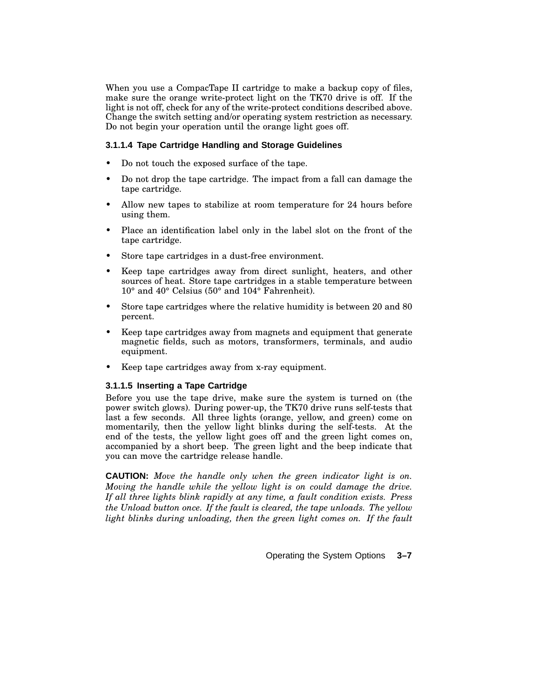When you use a CompacTape II cartridge to make a backup copy of files, make sure the orange write-protect light on the TK70 drive is off. If the light is not off, check for any of the write-protect conditions described above. Change the switch setting and/or operating system restriction as necessary. Do not begin your operation until the orange light goes off.

#### **3.1.1.4 Tape Cartridge Handling and Storage Guidelines**

- Do not touch the exposed surface of the tape.
- Do not drop the tape cartridge. The impact from a fall can damage the tape cartridge.
- Allow new tapes to stabilize at room temperature for 24 hours before using them.
- Place an identification label only in the label slot on the front of the tape cartridge.
- Store tape cartridges in a dust-free environment.
- Keep tape cartridges away from direct sunlight, heaters, and other sources of heat. Store tape cartridges in a stable temperature between 10° and 40° Celsius (50° and 104° Fahrenheit).
- Store tape cartridges where the relative humidity is between 20 and 80 percent.
- Keep tape cartridges away from magnets and equipment that generate magnetic fields, such as motors, transformers, terminals, and audio equipment.
- Keep tape cartridges away from x-ray equipment.

#### **3.1.1.5 Inserting a Tape Cartridge**

Before you use the tape drive, make sure the system is turned on (the power switch glows). During power-up, the TK70 drive runs self-tests that last a few seconds. All three lights (orange, yellow, and green) come on momentarily, then the yellow light blinks during the self-tests. At the end of the tests, the yellow light goes off and the green light comes on, accompanied by a short beep. The green light and the beep indicate that you can move the cartridge release handle.

**CAUTION:** *Move the handle only when the green indicator light is on. Moving the handle while the yellow light is on could damage the drive. If all three lights blink rapidly at any time, a fault condition exists. Press the Unload button once. If the fault is cleared, the tape unloads. The yellow light blinks during unloading, then the green light comes on. If the fault*

Operating the System Options **3–7**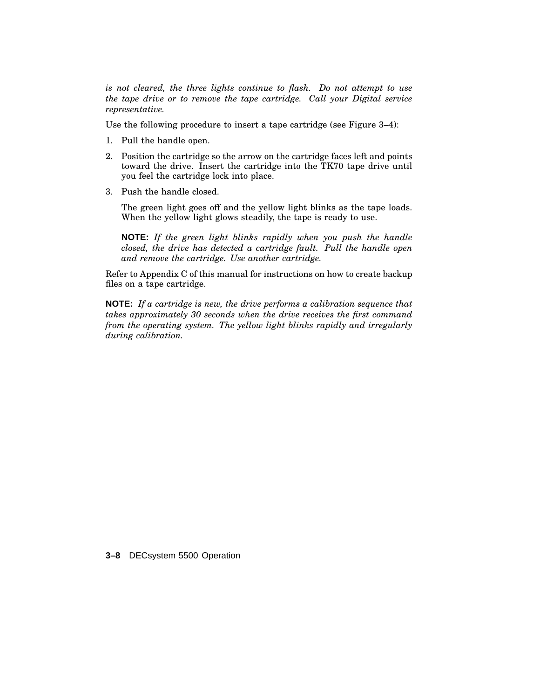*is not cleared, the three lights continue to flash. Do not attempt to use the tape drive or to remove the tape cartridge. Call your Digital service representative.*

Use the following procedure to insert a tape cartridge (see Figure 3–4):

- 1. Pull the handle open.
- 2. Position the cartridge so the arrow on the cartridge faces left and points toward the drive. Insert the cartridge into the TK70 tape drive until you feel the cartridge lock into place.
- 3. Push the handle closed.

The green light goes off and the yellow light blinks as the tape loads. When the yellow light glows steadily, the tape is ready to use.

**NOTE:** *If the green light blinks rapidly when you push the handle closed, the drive has detected a cartridge fault. Pull the handle open and remove the cartridge. Use another cartridge.*

Refer to Appendix C of this manual for instructions on how to create backup files on a tape cartridge.

**NOTE:** *If a cartridge is new, the drive performs a calibration sequence that takes approximately 30 seconds when the drive receives the first command from the operating system. The yellow light blinks rapidly and irregularly during calibration.*

**3–8** DECsystem 5500 Operation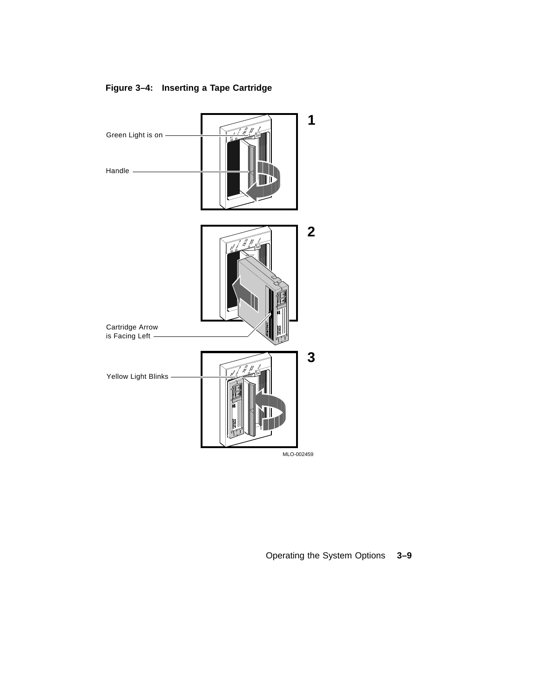

## **Figure 3–4: Inserting a Tape Cartridge**

Operating the System Options **3–9**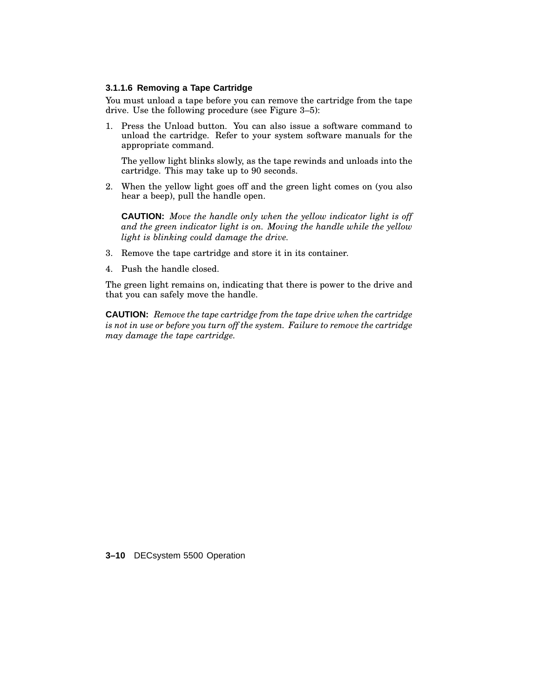#### **3.1.1.6 Removing a Tape Cartridge**

You must unload a tape before you can remove the cartridge from the tape drive. Use the following procedure (see Figure 3–5):

1. Press the Unload button. You can also issue a software command to unload the cartridge. Refer to your system software manuals for the appropriate command.

The yellow light blinks slowly, as the tape rewinds and unloads into the cartridge. This may take up to 90 seconds.

2. When the yellow light goes off and the green light comes on (you also hear a beep), pull the handle open.

**CAUTION:** *Move the handle only when the yellow indicator light is off and the green indicator light is on. Moving the handle while the yellow light is blinking could damage the drive.*

- 3. Remove the tape cartridge and store it in its container.
- 4. Push the handle closed.

The green light remains on, indicating that there is power to the drive and that you can safely move the handle.

**CAUTION:** *Remove the tape cartridge from the tape drive when the cartridge is not in use or before you turn off the system. Failure to remove the cartridge may damage the tape cartridge.*

**3–10** DECsystem 5500 Operation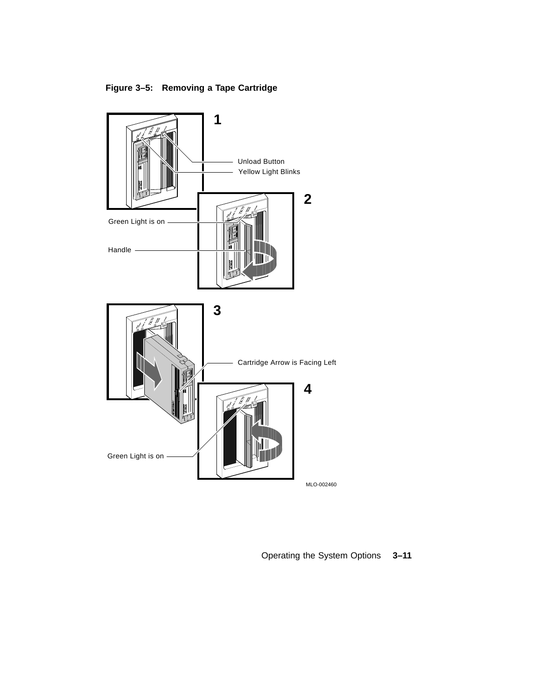**Figure 3–5: Removing a Tape Cartridge**



Operating the System Options **3–11**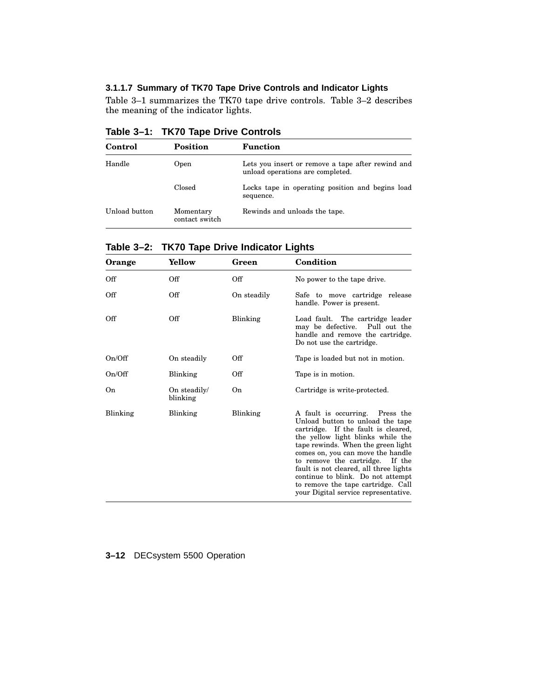#### **3.1.1.7 Summary of TK70 Tape Drive Controls and Indicator Lights**

Table 3–1 summarizes the TK70 tape drive controls. Table 3–2 describes the meaning of the indicator lights.

**Table 3–1: TK70 Tape Drive Controls**

| Control       | Position                    | <b>Function</b>                                                                       |
|---------------|-----------------------------|---------------------------------------------------------------------------------------|
| Handle        | Open                        | Lets you insert or remove a tape after rewind and<br>unload operations are completed. |
|               | Closed                      | Locks tape in operating position and begins load<br>sequence.                         |
| Unload button | Momentary<br>contact switch | Rewinds and unloads the tape.                                                         |

**Table 3–2: TK70 Tape Drive Indicator Lights**

| Orange   | Yellow                   | Green       | Condition                                                                                                                                                                                                                                                                                                                                                                                                                  |
|----------|--------------------------|-------------|----------------------------------------------------------------------------------------------------------------------------------------------------------------------------------------------------------------------------------------------------------------------------------------------------------------------------------------------------------------------------------------------------------------------------|
| Off      | Off                      | Off         | No power to the tape drive.                                                                                                                                                                                                                                                                                                                                                                                                |
| Off      | Off                      | On steadily | Safe to move cartridge release<br>handle. Power is present.                                                                                                                                                                                                                                                                                                                                                                |
| Off      | Off                      | Blinking    | Load fault. The cartridge leader<br>may be defective. Pull out the<br>handle and remove the cartridge.<br>Do not use the cartridge.                                                                                                                                                                                                                                                                                        |
| On/Off   | On steadily              | Off         | Tape is loaded but not in motion.                                                                                                                                                                                                                                                                                                                                                                                          |
| On/Off   | Blinking                 | Off         | Tape is in motion.                                                                                                                                                                                                                                                                                                                                                                                                         |
| On       | On steadily/<br>blinking | On          | Cartridge is write-protected.                                                                                                                                                                                                                                                                                                                                                                                              |
| Blinking | Blinking                 | Blinking    | A fault is occurring. Press the<br>Unload button to unload the tape<br>cartridge. If the fault is cleared,<br>the yellow light blinks while the<br>tape rewinds. When the green light<br>comes on, you can move the handle<br>to remove the cartridge. If the<br>fault is not cleared, all three lights<br>continue to blink. Do not attempt<br>to remove the tape cartridge. Call<br>your Digital service representative. |

#### **3–12** DECsystem 5500 Operation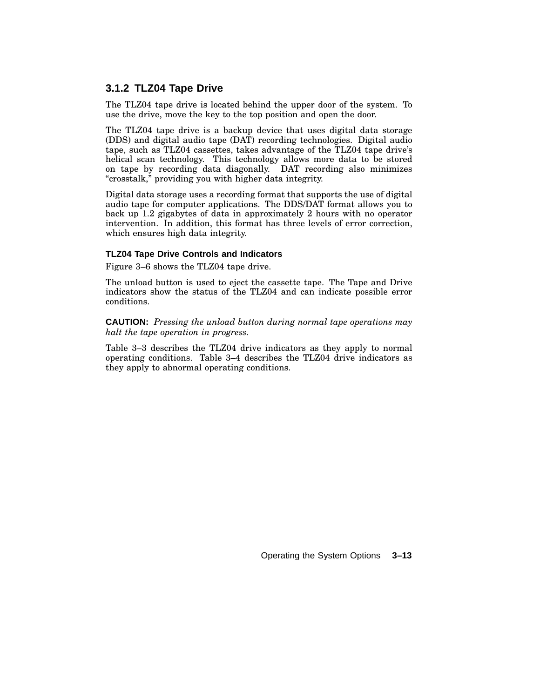#### **3.1.2 TLZ04 Tape Drive**

The TLZ04 tape drive is located behind the upper door of the system. To use the drive, move the key to the top position and open the door.

The TLZ04 tape drive is a backup device that uses digital data storage (DDS) and digital audio tape (DAT) recording technologies. Digital audio tape, such as TLZ04 cassettes, takes advantage of the TLZ04 tape drive's helical scan technology. This technology allows more data to be stored on tape by recording data diagonally. DAT recording also minimizes ''crosstalk,'' providing you with higher data integrity.

Digital data storage uses a recording format that supports the use of digital audio tape for computer applications. The DDS/DAT format allows you to back up 1.2 gigabytes of data in approximately 2 hours with no operator intervention. In addition, this format has three levels of error correction, which ensures high data integrity.

#### **TLZ04 Tape Drive Controls and Indicators**

Figure 3–6 shows the TLZ04 tape drive.

The unload button is used to eject the cassette tape. The Tape and Drive indicators show the status of the TLZ04 and can indicate possible error conditions.

**CAUTION:** *Pressing the unload button during normal tape operations may halt the tape operation in progress.*

Table 3–3 describes the TLZ04 drive indicators as they apply to normal operating conditions. Table 3–4 describes the TLZ04 drive indicators as they apply to abnormal operating conditions.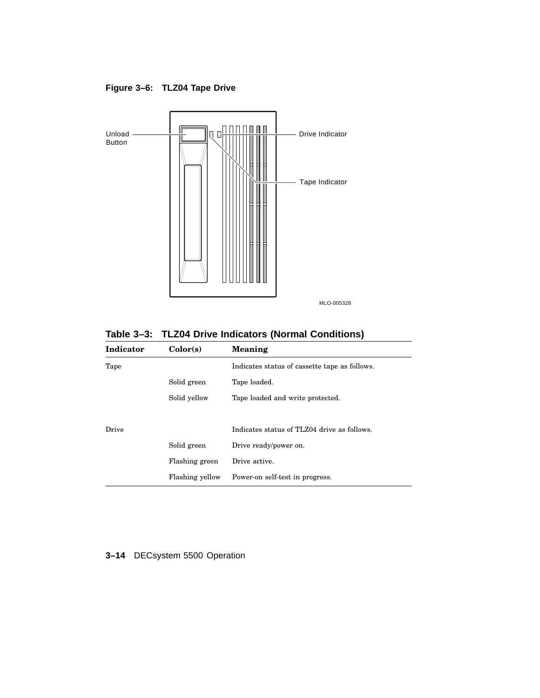**Figure 3–6: TLZ04 Tape Drive**



**Table 3–3: TLZ04 Drive Indicators (Normal Conditions)**

| Indicator | Color(s)        | Meaning                                       |
|-----------|-----------------|-----------------------------------------------|
| Tape      |                 | Indicates status of cassette tape as follows. |
|           | Solid green     | Tape loaded.                                  |
|           | Solid yellow    | Tape loaded and write protected.              |
|           |                 |                                               |
| Drive     |                 | Indicates status of TLZ04 drive as follows.   |
|           | Solid green     | Drive ready/power on.                         |
|           | Flashing green  | Drive active.                                 |
|           | Flashing yellow | Power-on self-test in progress.               |
|           |                 |                                               |

### **3–14** DECsystem 5500 Operation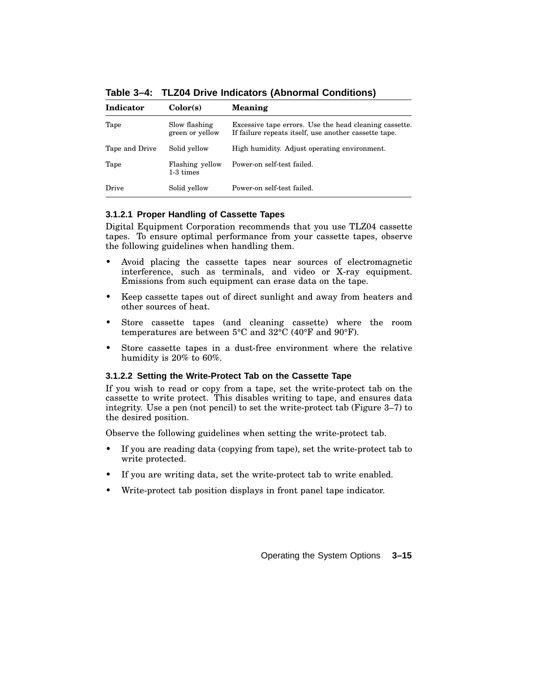| Indicator      | Color(s)                         | <b>Meaning</b>                                                                                                  |
|----------------|----------------------------------|-----------------------------------------------------------------------------------------------------------------|
| Tape           | Slow flashing<br>green or yellow | Excessive tape errors. Use the head cleaning cassette.<br>If failure repeats itself, use another cassette tape. |
| Tape and Drive | Solid yellow                     | High humidity. Adjust operating environment.                                                                    |
| Tape           | Flashing yellow<br>1-3 times     | Power-on self-test failed.                                                                                      |
| Drive          | Solid yellow                     | Power-on self-test failed.                                                                                      |

**Table 3–4: TLZ04 Drive Indicators (Abnormal Conditions)**

#### **3.1.2.1 Proper Handling of Cassette Tapes**

Digital Equipment Corporation recommends that you use TLZ04 cassette tapes. To ensure optimal performance from your cassette tapes, observe the following guidelines when handling them.

- Avoid placing the cassette tapes near sources of electromagnetic interference, such as terminals, and video or X-ray equipment. Emissions from such equipment can erase data on the tape.
- Keep cassette tapes out of direct sunlight and away from heaters and other sources of heat.
- Store cassette tapes (and cleaning cassette) where the room temperatures are between 5°C and 32°C (40°F and 90°F).
- Store cassette tapes in a dust-free environment where the relative humidity is 20% to 60%.

#### **3.1.2.2 Setting the Write-Protect Tab on the Cassette Tape**

If you wish to read or copy from a tape, set the write-protect tab on the cassette to write protect. This disables writing to tape, and ensures data integrity. Use a pen (not pencil) to set the write-protect tab (Figure 3–7) to the desired position.

Observe the following guidelines when setting the write-protect tab.

- If you are reading data (copying from tape), set the write-protect tab to write protected.
- If you are writing data, set the write-protect tab to write enabled.
- Write-protect tab position displays in front panel tape indicator.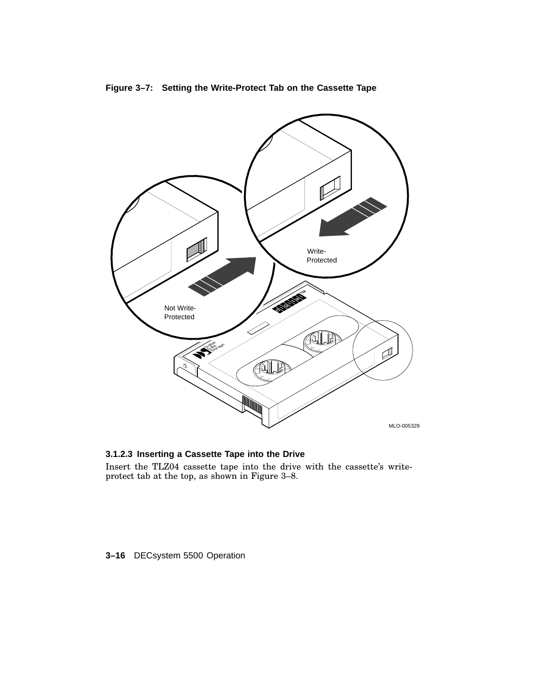

### **Figure 3–7: Setting the Write-Protect Tab on the Cassette Tape**

**3.1.2.3 Inserting a Cassette Tape into the Drive**

Insert the TLZ04 cassette tape into the drive with the cassette's writeprotect tab at the top, as shown in Figure 3–8.

#### **3–16** DECsystem 5500 Operation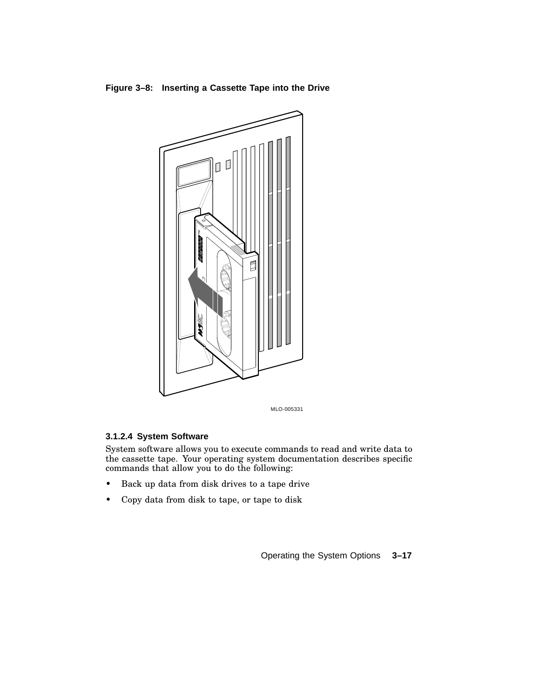



MLO-005331

#### **3.1.2.4 System Software**

System software allows you to execute commands to read and write data to the cassette tape. Your operating system documentation describes specific commands that allow you to do the following:

- Back up data from disk drives to a tape drive
- Copy data from disk to tape, or tape to disk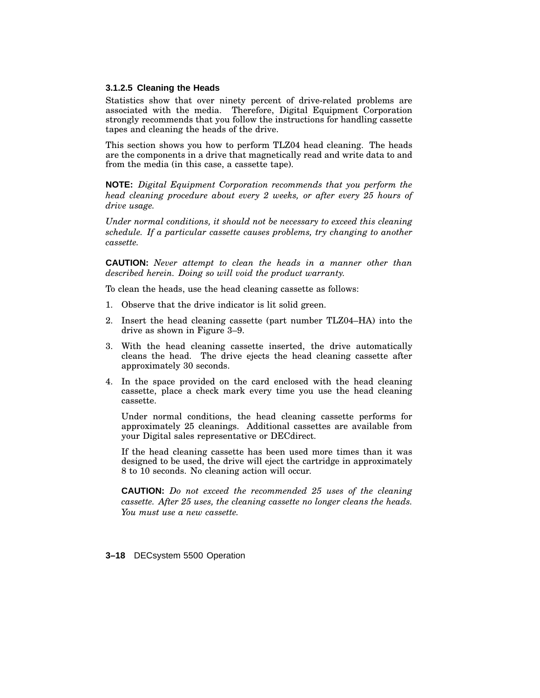#### **3.1.2.5 Cleaning the Heads**

Statistics show that over ninety percent of drive-related problems are associated with the media. Therefore, Digital Equipment Corporation strongly recommends that you follow the instructions for handling cassette tapes and cleaning the heads of the drive.

This section shows you how to perform TLZ04 head cleaning. The heads are the components in a drive that magnetically read and write data to and from the media (in this case, a cassette tape).

**NOTE:** *Digital Equipment Corporation recommends that you perform the head cleaning procedure about every 2 weeks, or after every 25 hours of drive usage.*

*Under normal conditions, it should not be necessary to exceed this cleaning schedule. If a particular cassette causes problems, try changing to another cassette.*

**CAUTION:** *Never attempt to clean the heads in a manner other than described herein. Doing so will void the product warranty.*

To clean the heads, use the head cleaning cassette as follows:

- 1. Observe that the drive indicator is lit solid green.
- 2. Insert the head cleaning cassette (part number TLZ04–HA) into the drive as shown in Figure 3–9.
- 3. With the head cleaning cassette inserted, the drive automatically cleans the head. The drive ejects the head cleaning cassette after approximately 30 seconds.
- 4. In the space provided on the card enclosed with the head cleaning cassette, place a check mark every time you use the head cleaning cassette.

Under normal conditions, the head cleaning cassette performs for approximately 25 cleanings. Additional cassettes are available from your Digital sales representative or DECdirect.

If the head cleaning cassette has been used more times than it was designed to be used, the drive will eject the cartridge in approximately 8 to 10 seconds. No cleaning action will occur.

**CAUTION:** *Do not exceed the recommended 25 uses of the cleaning cassette. After 25 uses, the cleaning cassette no longer cleans the heads. You must use a new cassette.*

**3–18** DECsystem 5500 Operation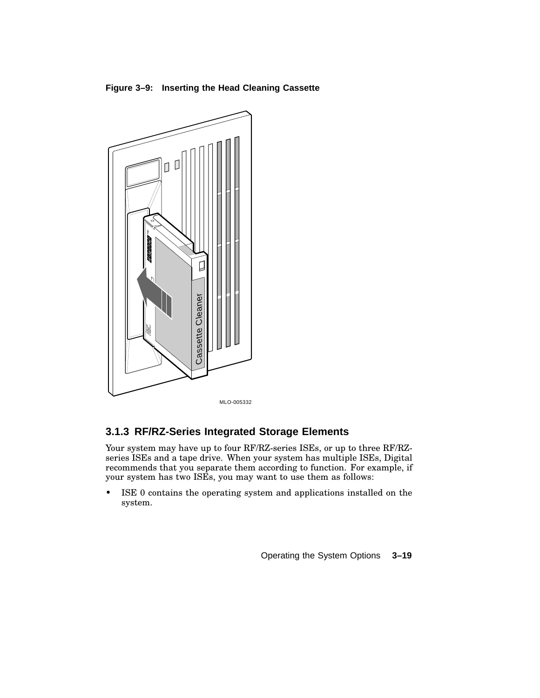**Figure 3–9: Inserting the Head Cleaning Cassette**



### **3.1.3 RF/RZ-Series Integrated Storage Elements**

Your system may have up to four RF/RZ-series ISEs, or up to three RF/RZseries ISEs and a tape drive. When your system has multiple ISEs, Digital recommends that you separate them according to function. For example, if your system has two ISEs, you may want to use them as follows:

ISE 0 contains the operating system and applications installed on the system.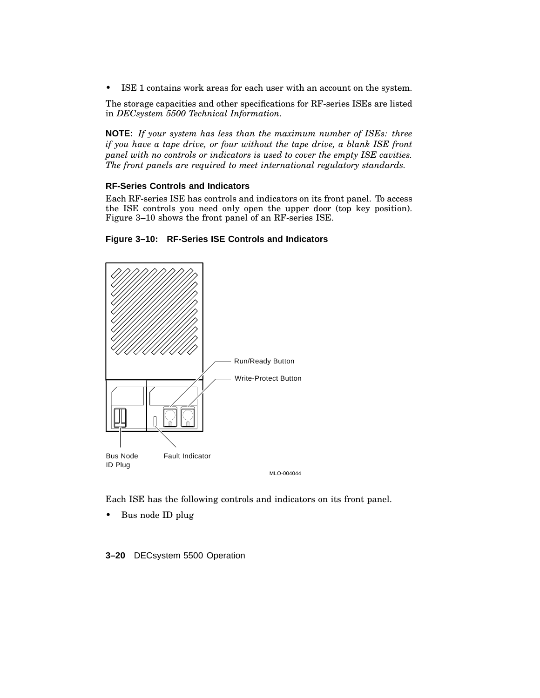• ISE 1 contains work areas for each user with an account on the system.

The storage capacities and other specifications for RF-series ISEs are listed in *DECsystem 5500 Technical Information*.

**NOTE:** *If your system has less than the maximum number of ISEs: three if you have a tape drive, or four without the tape drive, a blank ISE front panel with no controls or indicators is used to cover the empty ISE cavities. The front panels are required to meet international regulatory standards.*

#### **RF-Series Controls and Indicators**

Each RF-series ISE has controls and indicators on its front panel. To access the ISE controls you need only open the upper door (top key position). Figure 3–10 shows the front panel of an RF-series ISE.





Each ISE has the following controls and indicators on its front panel.

• Bus node ID plug

**3–20** DECsystem 5500 Operation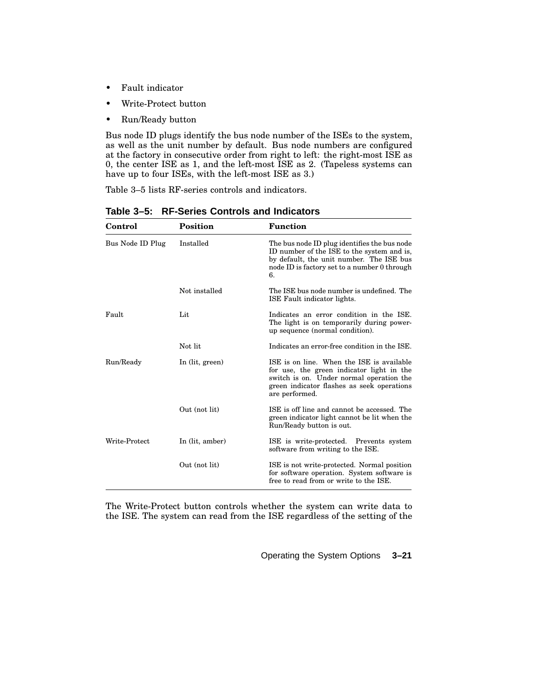- Fault indicator
- Write-Protect button
- Run/Ready button

Bus node ID plugs identify the bus node number of the ISEs to the system, as well as the unit number by default. Bus node numbers are configured at the factory in consecutive order from right to left: the right-most ISE as 0, the center ISE as 1, and the left-most ISE as 2. (Tapeless systems can have up to four ISEs, with the left-most ISE as 3.)

Table 3–5 lists RF-series controls and indicators.

| Control          | Position        | <b>Function</b>                                                                                                                                                                                    |
|------------------|-----------------|----------------------------------------------------------------------------------------------------------------------------------------------------------------------------------------------------|
| Bus Node ID Plug | Installed       | The bus node ID plug identifies the bus node<br>ID number of the ISE to the system and is,<br>by default, the unit number. The ISE bus<br>node ID is factory set to a number 0 through<br>6.       |
|                  | Not installed   | The ISE bus node number is undefined. The<br>ISE Fault indicator lights.                                                                                                                           |
| Fault            | Lit             | Indicates an error condition in the ISE.<br>The light is on temporarily during power-<br>up sequence (normal condition).                                                                           |
|                  | Not lit         | Indicates an error-free condition in the ISE.                                                                                                                                                      |
| Run/Ready        | In (lit, green) | ISE is on line. When the ISE is available<br>for use, the green indicator light in the<br>switch is on. Under normal operation the<br>green indicator flashes as seek operations<br>are performed. |
|                  | Out (not lit)   | ISE is off line and cannot be accessed. The<br>green indicator light cannot be lit when the<br>Run/Ready button is out.                                                                            |
| Write-Protect    | In (lit, amber) | ISE is write-protected. Prevents system<br>software from writing to the ISE.                                                                                                                       |
|                  | Out (not lit)   | ISE is not write-protected. Normal position<br>for software operation. System software is<br>free to read from or write to the ISE.                                                                |

**Table 3–5: RF-Series Controls and Indicators**

The Write-Protect button controls whether the system can write data to the ISE. The system can read from the ISE regardless of the setting of the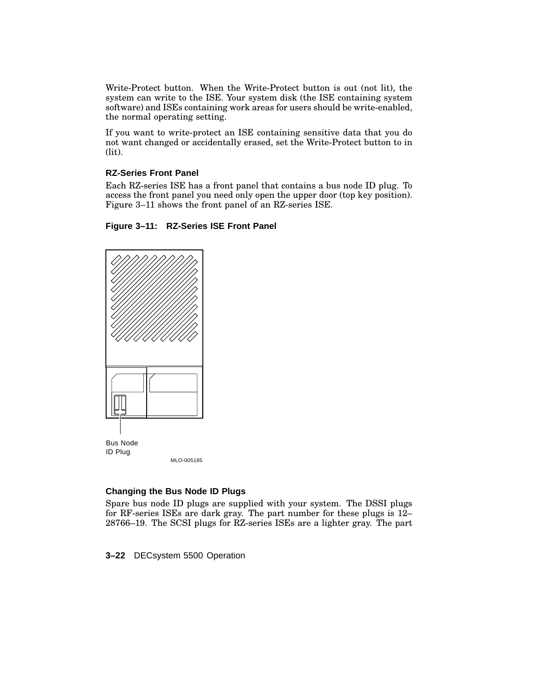Write-Protect button. When the Write-Protect button is out (not lit), the system can write to the ISE. Your system disk (the ISE containing system software) and ISEs containing work areas for users should be write-enabled, the normal operating setting.

If you want to write-protect an ISE containing sensitive data that you do not want changed or accidentally erased, set the Write-Protect button to in (lit).

#### **RZ-Series Front Panel**

Each RZ-series ISE has a front panel that contains a bus node ID plug. To access the front panel you need only open the upper door (top key position). Figure 3–11 shows the front panel of an RZ-series ISE.





#### **Changing the Bus Node ID Plugs**

Spare bus node ID plugs are supplied with your system. The DSSI plugs for RF-series ISEs are dark gray. The part number for these plugs is 12– 28766–19. The SCSI plugs for RZ-series ISEs are a lighter gray. The part

**3–22** DECsystem 5500 Operation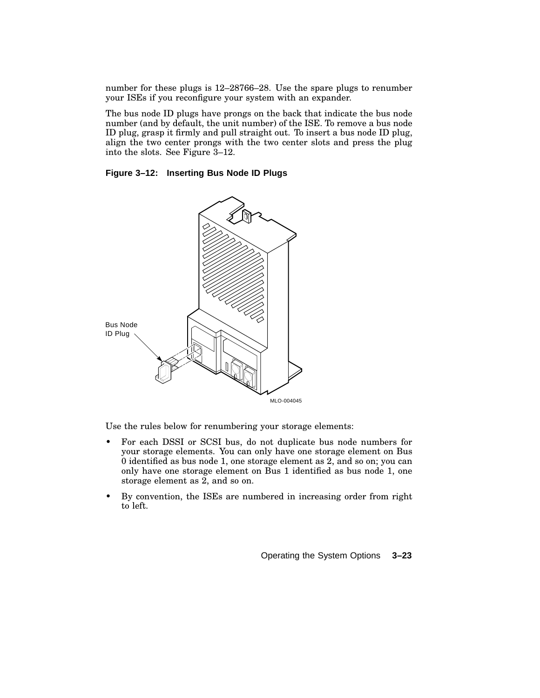number for these plugs is 12–28766–28. Use the spare plugs to renumber your ISEs if you reconfigure your system with an expander.

The bus node ID plugs have prongs on the back that indicate the bus node number (and by default, the unit number) of the ISE. To remove a bus node ID plug, grasp it firmly and pull straight out. To insert a bus node ID plug, align the two center prongs with the two center slots and press the plug into the slots. See Figure 3–12.

#### **Figure 3–12: Inserting Bus Node ID Plugs**



Use the rules below for renumbering your storage elements:

- For each DSSI or SCSI bus, do not duplicate bus node numbers for your storage elements. You can only have one storage element on Bus 0 identified as bus node 1, one storage element as 2, and so on; you can only have one storage element on Bus 1 identified as bus node 1, one storage element as 2, and so on.
- By convention, the ISEs are numbered in increasing order from right to left.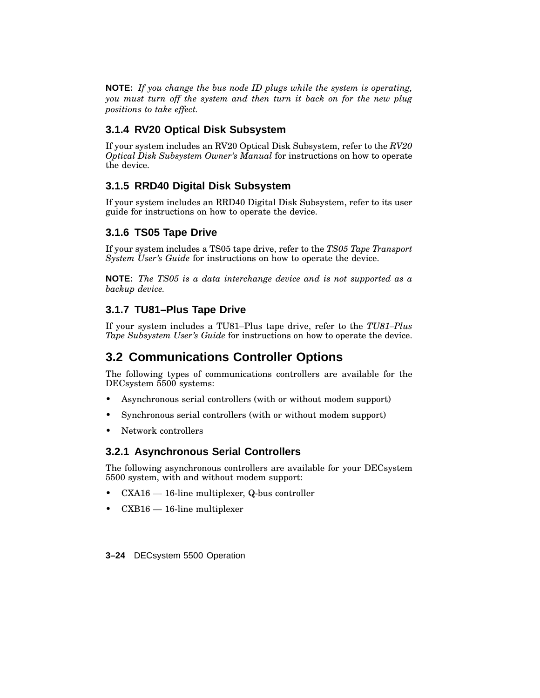**NOTE:** *If you change the bus node ID plugs while the system is operating, you must turn off the system and then turn it back on for the new plug positions to take effect.*

### **3.1.4 RV20 Optical Disk Subsystem**

If your system includes an RV20 Optical Disk Subsystem, refer to the *RV20 Optical Disk Subsystem Owner's Manual* for instructions on how to operate the device.

### **3.1.5 RRD40 Digital Disk Subsystem**

If your system includes an RRD40 Digital Disk Subsystem, refer to its user guide for instructions on how to operate the device.

### **3.1.6 TS05 Tape Drive**

If your system includes a TS05 tape drive, refer to the *TS05 Tape Transport System User's Guide* for instructions on how to operate the device.

**NOTE:** *The TS05 is a data interchange device and is not supported as a backup device.*

### **3.1.7 TU81–Plus Tape Drive**

If your system includes a TU81–Plus tape drive, refer to the *TU81–Plus Tape Subsystem User's Guide* for instructions on how to operate the device.

### **3.2 Communications Controller Options**

The following types of communications controllers are available for the DECsystem 5500 systems:

- Asynchronous serial controllers (with or without modem support)
- Synchronous serial controllers (with or without modem support)
- Network controllers

### **3.2.1 Asynchronous Serial Controllers**

The following asynchronous controllers are available for your DECsystem 5500 system, with and without modem support:

- $\text{CXA16} 16$ -line multiplexer, Q-bus controller
- $\text{CXB16} \rightarrow \text{16-line multiplier}$

#### **3–24** DECsystem 5500 Operation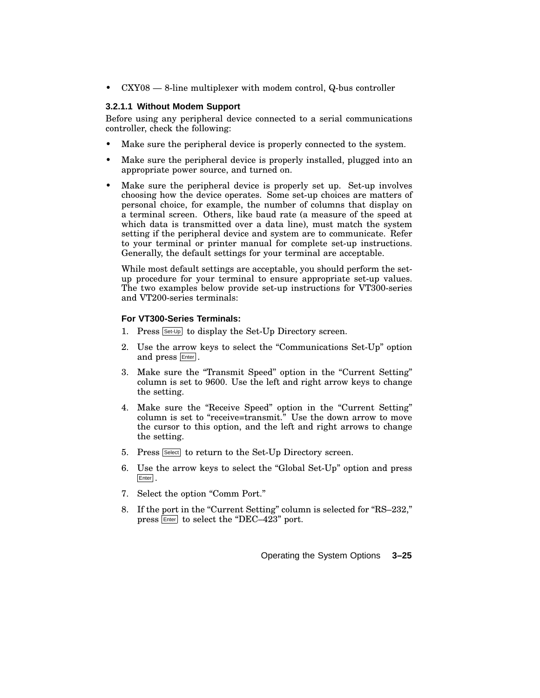$cXY08 - 8$ -line multiplexer with modem control, Q-bus controller

#### **3.2.1.1 Without Modem Support**

Before using any peripheral device connected to a serial communications controller, check the following:

- Make sure the peripheral device is properly connected to the system.
- Make sure the peripheral device is properly installed, plugged into an appropriate power source, and turned on.
- Make sure the peripheral device is properly set up. Set-up involves choosing how the device operates. Some set-up choices are matters of personal choice, for example, the number of columns that display on a terminal screen. Others, like baud rate (a measure of the speed at which data is transmitted over a data line), must match the system setting if the peripheral device and system are to communicate. Refer to your terminal or printer manual for complete set-up instructions. Generally, the default settings for your terminal are acceptable.

While most default settings are acceptable, you should perform the setup procedure for your terminal to ensure appropriate set-up values. The two examples below provide set-up instructions for VT300-series and VT200-series terminals:

#### **For VT300-Series Terminals:**

- 1. Press  $S_{\text{Set-Up}}$  to display the Set-Up Directory screen.
- 2. Use the arrow keys to select the "Communications Set-Up" option and press **Enter**.
- 3. Make sure the "Transmit Speed" option in the "Current Setting" column is set to 9600. Use the left and right arrow keys to change the setting.
- 4. Make sure the "Receive Speed" option in the "Current Setting" column is set to "receive=transmit." Use the down arrow to move the cursor to this option, and the left and right arrows to change the setting.
- 5. Press Select to return to the Set-Up Directory screen.
- 6. Use the arrow keys to select the ''Global Set-Up'' option and press Enter .
- 7. Select the option "Comm Port."
- 8. If the port in the "Current Setting" column is selected for "RS–232," press  $F<sub>other</sub>$  to select the "DEC–423" port.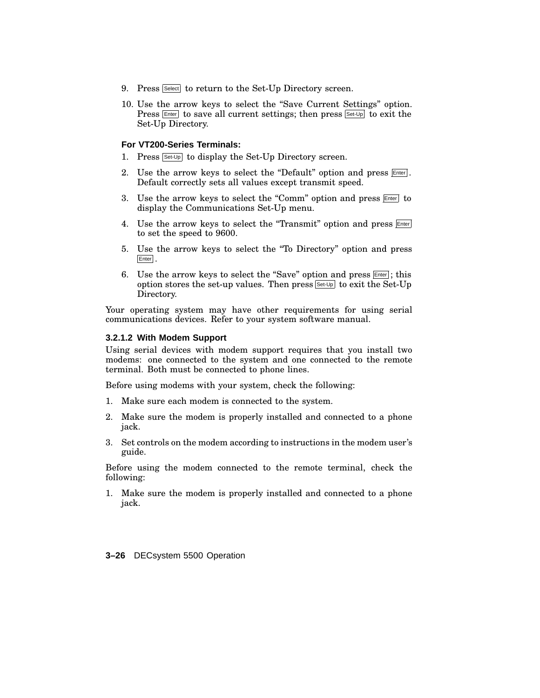- 9. Press Select to return to the Set-Up Directory screen.
- 10. Use the arrow keys to select the ''Save Current Settings'' option. Press  $\boxed{\text{Enter}}$  to save all current settings; then press  $\boxed{\text{Set-Up}}$  to exit the Set-Up Directory.

#### **For VT200-Series Terminals:**

- 1. Press Set-Up to display the Set-Up Directory screen.
- 2. Use the arrow keys to select the "Default" option and press **Enter**. Default correctly sets all values except transmit speed.
- 3. Use the arrow keys to select the "Comm" option and press  $F_{\text{inter}}$  to display the Communications Set-Up menu.
- 4. Use the arrow keys to select the "Transmit" option and press **Enter** to set the speed to 9600.
- 5. Use the arrow keys to select the ''To Directory'' option and press Enter .
- 6. Use the arrow keys to select the "Save" option and press  $[Enter]$ ; this option stores the set-up values. Then press Set-Up to exit the Set-Up Directory.

Your operating system may have other requirements for using serial communications devices. Refer to your system software manual.

#### **3.2.1.2 With Modem Support**

Using serial devices with modem support requires that you install two modems: one connected to the system and one connected to the remote terminal. Both must be connected to phone lines.

Before using modems with your system, check the following:

- 1. Make sure each modem is connected to the system.
- 2. Make sure the modem is properly installed and connected to a phone jack.
- 3. Set controls on the modem according to instructions in the modem user's guide.

Before using the modem connected to the remote terminal, check the following:

1. Make sure the modem is properly installed and connected to a phone jack.

**3–26** DECsystem 5500 Operation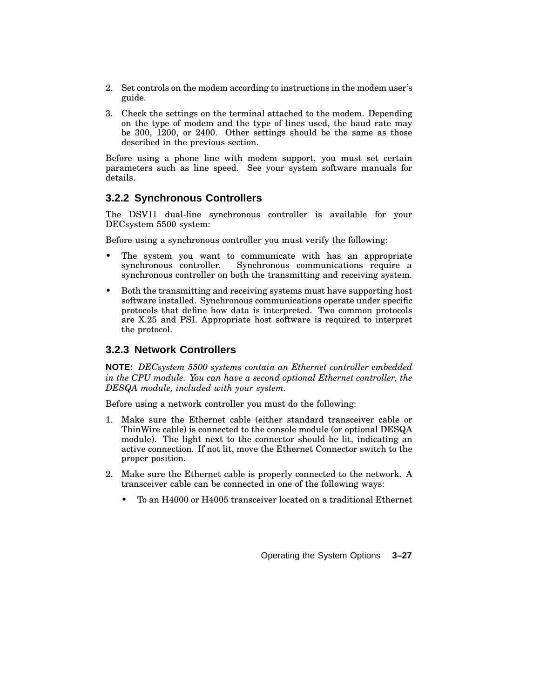- 2. Set controls on the modem according to instructions in the modem user's guide.
- 3. Check the settings on the terminal attached to the modem. Depending on the type of modem and the type of lines used, the baud rate may be 300, 1200, or 2400. Other settings should be the same as those described in the previous section.

Before using a phone line with modem support, you must set certain parameters such as line speed. See your system software manuals for details.

### **3.2.2 Synchronous Controllers**

The DSV11 dual-line synchronous controller is available for your DECsystem 5500 system:

Before using a synchronous controller you must verify the following:

- The system you want to communicate with has an appropriate synchronous controller. Synchronous communications require a synchronous controller on both the transmitting and receiving system.
- Both the transmitting and receiving systems must have supporting host software installed. Synchronous communications operate under specific protocols that define how data is interpreted. Two common protocols are X.25 and PSI. Appropriate host software is required to interpret the protocol.

### **3.2.3 Network Controllers**

**NOTE:** *DECsystem 5500 systems contain an Ethernet controller embedded in the CPU module. You can have a second optional Ethernet controller, the DESQA module, included with your system.*

Before using a network controller you must do the following:

- 1. Make sure the Ethernet cable (either standard transceiver cable or ThinWire cable) is connected to the console module (or optional DESQA module). The light next to the connector should be lit, indicating an active connection. If not lit, move the Ethernet Connector switch to the proper position.
- 2. Make sure the Ethernet cable is properly connected to the network. A transceiver cable can be connected in one of the following ways:
	- To an H4000 or H4005 transceiver located on a traditional Ethernet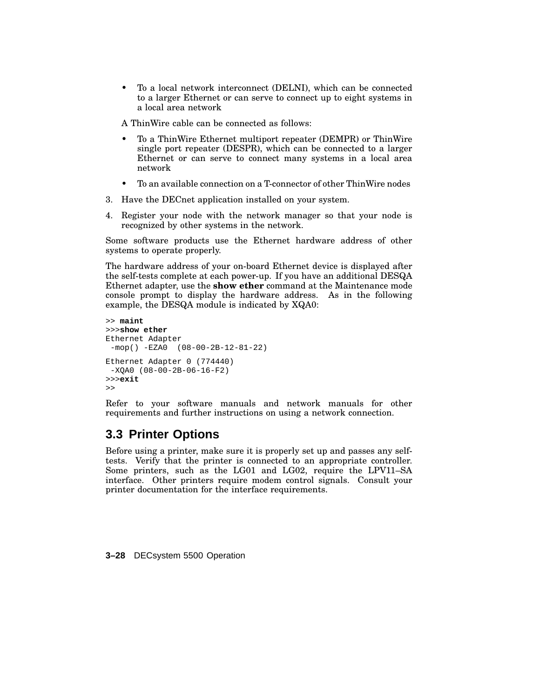• To a local network interconnect (DELNI), which can be connected to a larger Ethernet or can serve to connect up to eight systems in a local area network

A ThinWire cable can be connected as follows:

- To a ThinWire Ethernet multiport repeater (DEMPR) or ThinWire single port repeater (DESPR), which can be connected to a larger Ethernet or can serve to connect many systems in a local area network
- To an available connection on a T-connector of other ThinWire nodes
- 3. Have the DECnet application installed on your system.
- 4. Register your node with the network manager so that your node is recognized by other systems in the network.

Some software products use the Ethernet hardware address of other systems to operate properly.

The hardware address of your on-board Ethernet device is displayed after the self-tests complete at each power-up. If you have an additional DESQA Ethernet adapter, use the **show ether** command at the Maintenance mode console prompt to display the hardware address. As in the following example, the DESQA module is indicated by XQA0:

```
>> maint
>>>show ether
Ethernet Adapter
 -mop() -EZA0 (08-00-2B-12-81-22)
Ethernet Adapter 0 (774440)
 -XQA0 (08-00-2B-06-16-F2)
>>>exit
>>
```
Refer to your software manuals and network manuals for other requirements and further instructions on using a network connection.

### **3.3 Printer Options**

Before using a printer, make sure it is properly set up and passes any selftests. Verify that the printer is connected to an appropriate controller. Some printers, such as the LG01 and LG02, require the LPV11–SA interface. Other printers require modem control signals. Consult your printer documentation for the interface requirements.

**3–28** DECsystem 5500 Operation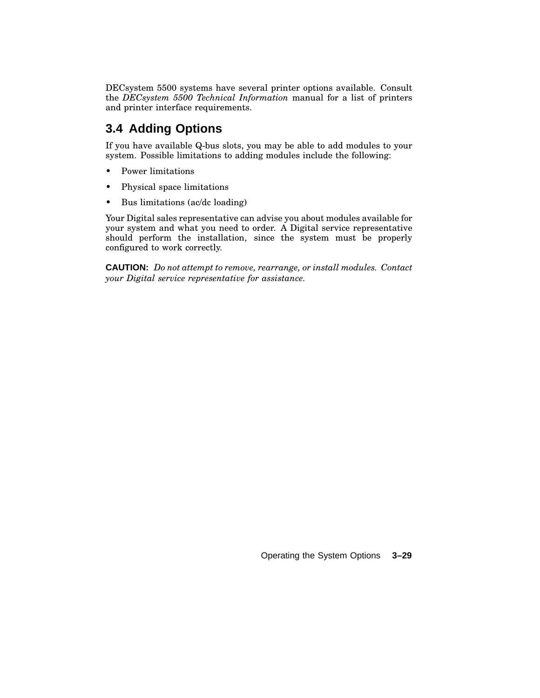DECsystem 5500 systems have several printer options available. Consult the *DECsystem 5500 Technical Information* manual for a list of printers and printer interface requirements.

### **3.4 Adding Options**

If you have available Q-bus slots, you may be able to add modules to your system. Possible limitations to adding modules include the following:

- Power limitations
- Physical space limitations
- Bus limitations (ac/dc loading)

Your Digital sales representative can advise you about modules available for your system and what you need to order. A Digital service representative should perform the installation, since the system must be properly configured to work correctly.

**CAUTION:** *Do not attempt to remove, rearrange, or install modules. Contact your Digital service representative for assistance.*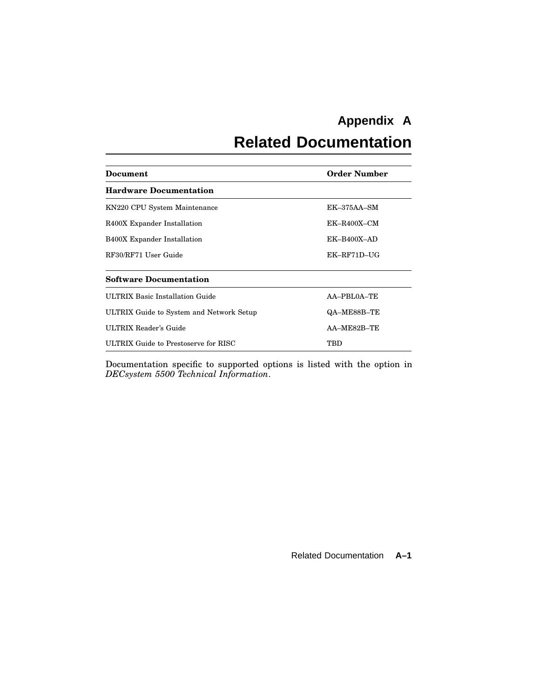# **Appendix A**

# **Related Documentation**

| Document                                 | <b>Order Number</b> |
|------------------------------------------|---------------------|
| <b>Hardware Documentation</b>            |                     |
| KN220 CPU System Maintenance             | $EK-375AA-SM$       |
| R400X Expander Installation              | $EK-R400X-CM$       |
| <b>B400X Expander Installation</b>       | $EK-B400X-AD$       |
| RF30/RF71 User Guide                     | $EK$ -RF71D-UG      |
| <b>Software Documentation</b>            |                     |
| <b>ULTRIX Basic Installation Guide</b>   | AA-PBL0A-TE         |
| ULTRIX Guide to System and Network Setup | QA-ME88B-TE         |
| ULTRIX Reader's Guide                    | AA-ME82B-TE         |
| ULTRIX Guide to Prestoserve for RISC     | TBD                 |

Documentation specific to supported options is listed with the option in *DECsystem 5500 Technical Information*.

Related Documentation **A–1**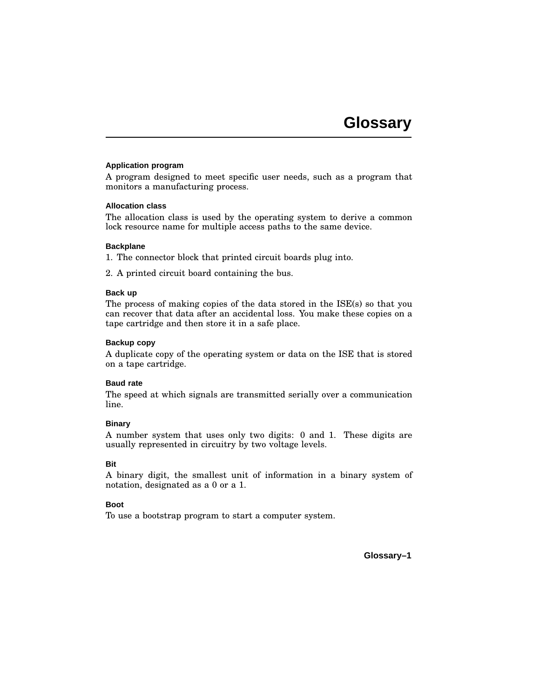#### **Application program**

A program designed to meet specific user needs, such as a program that monitors a manufacturing process.

#### **Allocation class**

The allocation class is used by the operating system to derive a common lock resource name for multiple access paths to the same device.

#### **Backplane**

1. The connector block that printed circuit boards plug into.

2. A printed circuit board containing the bus.

#### **Back up**

The process of making copies of the data stored in the ISE(s) so that you can recover that data after an accidental loss. You make these copies on a tape cartridge and then store it in a safe place.

#### **Backup copy**

A duplicate copy of the operating system or data on the ISE that is stored on a tape cartridge.

#### **Baud rate**

The speed at which signals are transmitted serially over a communication line.

#### **Binary**

A number system that uses only two digits: 0 and 1. These digits are usually represented in circuitry by two voltage levels.

#### **Bit**

A binary digit, the smallest unit of information in a binary system of notation, designated as a 0 or a 1.

#### **Boot**

To use a bootstrap program to start a computer system.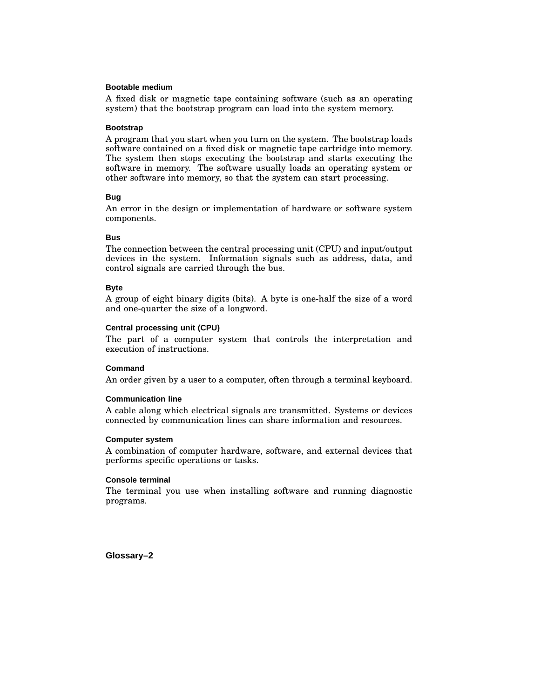#### **Bootable medium**

A fixed disk or magnetic tape containing software (such as an operating system) that the bootstrap program can load into the system memory.

#### **Bootstrap**

A program that you start when you turn on the system. The bootstrap loads software contained on a fixed disk or magnetic tape cartridge into memory. The system then stops executing the bootstrap and starts executing the software in memory. The software usually loads an operating system or other software into memory, so that the system can start processing.

#### **Bug**

An error in the design or implementation of hardware or software system components.

#### **Bus**

The connection between the central processing unit (CPU) and input/output devices in the system. Information signals such as address, data, and control signals are carried through the bus.

#### **Byte**

A group of eight binary digits (bits). A byte is one-half the size of a word and one-quarter the size of a longword.

#### **Central processing unit (CPU)**

The part of a computer system that controls the interpretation and execution of instructions.

#### **Command**

An order given by a user to a computer, often through a terminal keyboard.

#### **Communication line**

A cable along which electrical signals are transmitted. Systems or devices connected by communication lines can share information and resources.

#### **Computer system**

A combination of computer hardware, software, and external devices that performs specific operations or tasks.

#### **Console terminal**

The terminal you use when installing software and running diagnostic programs.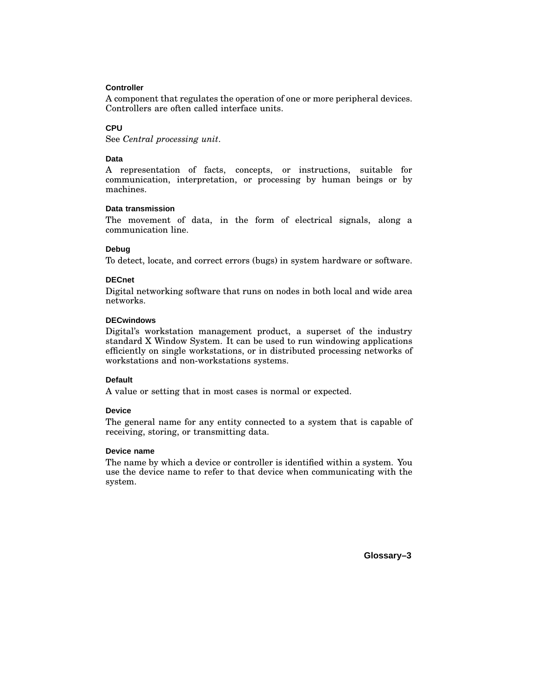#### **Controller**

A component that regulates the operation of one or more peripheral devices. Controllers are often called interface units.

#### **CPU**

See *Central processing unit*.

#### **Data**

A representation of facts, concepts, or instructions, suitable for communication, interpretation, or processing by human beings or by machines.

#### **Data transmission**

The movement of data, in the form of electrical signals, along a communication line.

#### **Debug**

To detect, locate, and correct errors (bugs) in system hardware or software.

#### **DECnet**

Digital networking software that runs on nodes in both local and wide area networks.

#### **DECwindows**

Digital's workstation management product, a superset of the industry standard X Window System. It can be used to run windowing applications efficiently on single workstations, or in distributed processing networks of workstations and non-workstations systems.

#### **Default**

A value or setting that in most cases is normal or expected.

#### **Device**

The general name for any entity connected to a system that is capable of receiving, storing, or transmitting data.

#### **Device name**

The name by which a device or controller is identified within a system. You use the device name to refer to that device when communicating with the system.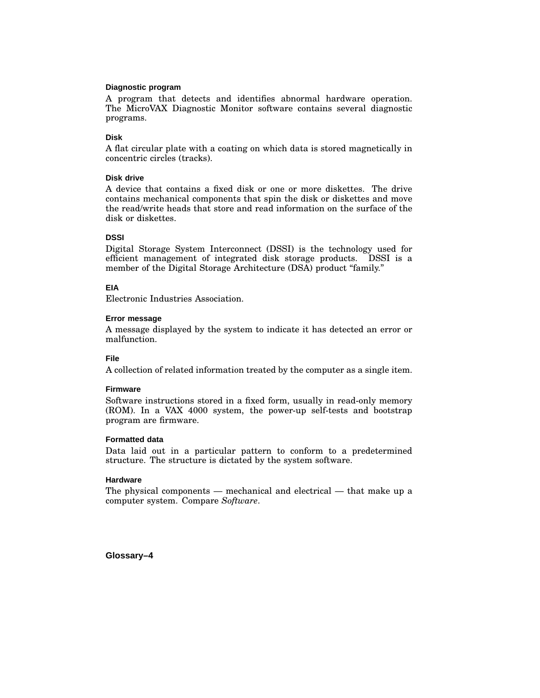#### **Diagnostic program**

A program that detects and identifies abnormal hardware operation. The MicroVAX Diagnostic Monitor software contains several diagnostic programs.

#### **Disk**

A flat circular plate with a coating on which data is stored magnetically in concentric circles (tracks).

#### **Disk drive**

A device that contains a fixed disk or one or more diskettes. The drive contains mechanical components that spin the disk or diskettes and move the read/write heads that store and read information on the surface of the disk or diskettes.

#### **DSSI**

Digital Storage System Interconnect (DSSI) is the technology used for efficient management of integrated disk storage products. DSSI is a member of the Digital Storage Architecture (DSA) product "family."

#### **EIA**

Electronic Industries Association.

#### **Error message**

A message displayed by the system to indicate it has detected an error or malfunction.

#### **File**

A collection of related information treated by the computer as a single item.

#### **Firmware**

Software instructions stored in a fixed form, usually in read-only memory (ROM). In a VAX 4000 system, the power-up self-tests and bootstrap program are firmware.

#### **Formatted data**

Data laid out in a particular pattern to conform to a predetermined structure. The structure is dictated by the system software.

#### **Hardware**

The physical components — mechanical and electrical — that make up a computer system. Compare *Software*.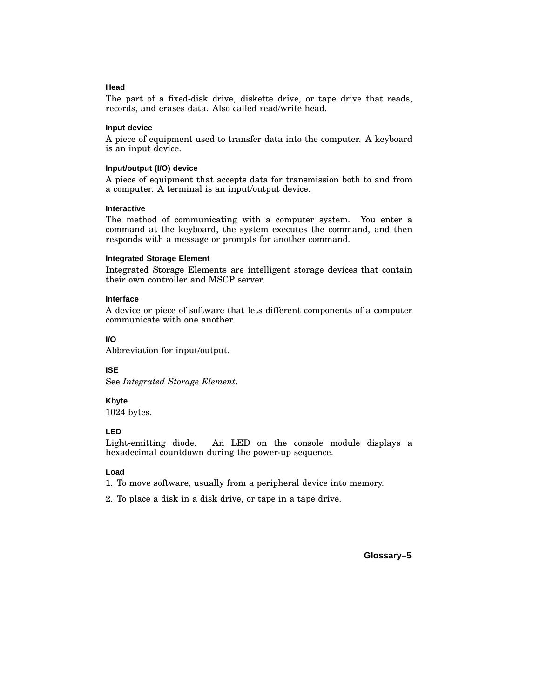#### **Head**

The part of a fixed-disk drive, diskette drive, or tape drive that reads, records, and erases data. Also called read/write head.

#### **Input device**

A piece of equipment used to transfer data into the computer. A keyboard is an input device.

#### **Input/output (I/O) device**

A piece of equipment that accepts data for transmission both to and from a computer. A terminal is an input/output device.

#### **Interactive**

The method of communicating with a computer system. You enter a command at the keyboard, the system executes the command, and then responds with a message or prompts for another command.

#### **Integrated Storage Element**

Integrated Storage Elements are intelligent storage devices that contain their own controller and MSCP server.

#### **Interface**

A device or piece of software that lets different components of a computer communicate with one another.

#### **I/O**

Abbreviation for input/output.

#### **ISE**

See *Integrated Storage Element*.

#### **Kbyte**

1024 bytes.

#### **LED**

Light-emitting diode. An LED on the console module displays a hexadecimal countdown during the power-up sequence.

#### **Load**

1. To move software, usually from a peripheral device into memory.

2. To place a disk in a disk drive, or tape in a tape drive.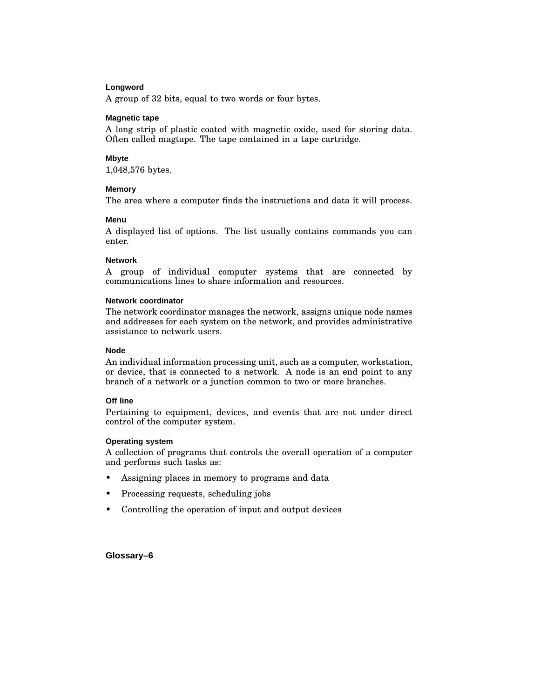#### **Longword**

A group of 32 bits, equal to two words or four bytes.

#### **Magnetic tape**

A long strip of plastic coated with magnetic oxide, used for storing data. Often called magtape. The tape contained in a tape cartridge.

#### **Mbyte**

1,048,576 bytes.

#### **Memory**

The area where a computer finds the instructions and data it will process.

#### **Menu**

A displayed list of options. The list usually contains commands you can enter.

#### **Network**

A group of individual computer systems that are connected by communications lines to share information and resources.

#### **Network coordinator**

The network coordinator manages the network, assigns unique node names and addresses for each system on the network, and provides administrative assistance to network users.

#### **Node**

An individual information processing unit, such as a computer, workstation, or device, that is connected to a network. A node is an end point to any branch of a network or a junction common to two or more branches.

#### **Off line**

Pertaining to equipment, devices, and events that are not under direct control of the computer system.

#### **Operating system**

A collection of programs that controls the overall operation of a computer and performs such tasks as:

- Assigning places in memory to programs and data
- Processing requests, scheduling jobs
- Controlling the operation of input and output devices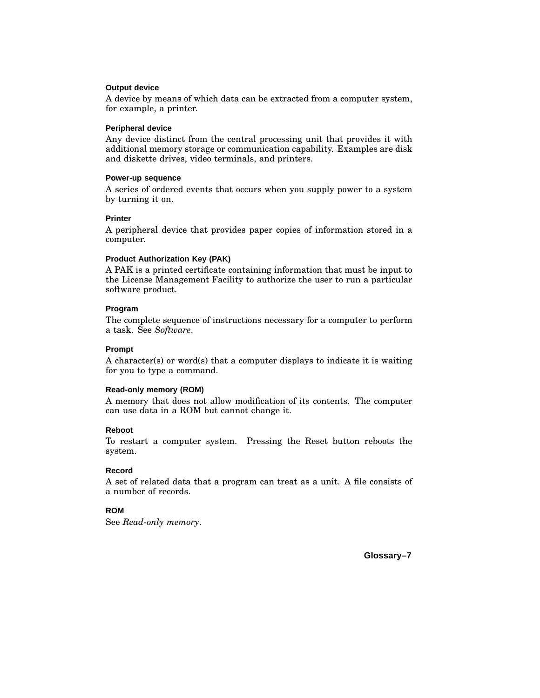#### **Output device**

A device by means of which data can be extracted from a computer system, for example, a printer.

#### **Peripheral device**

Any device distinct from the central processing unit that provides it with additional memory storage or communication capability. Examples are disk and diskette drives, video terminals, and printers.

#### **Power-up sequence**

A series of ordered events that occurs when you supply power to a system by turning it on.

#### **Printer**

A peripheral device that provides paper copies of information stored in a computer.

#### **Product Authorization Key (PAK)**

A PAK is a printed certificate containing information that must be input to the License Management Facility to authorize the user to run a particular software product.

#### **Program**

The complete sequence of instructions necessary for a computer to perform a task. See *Software*.

#### **Prompt**

A character(s) or word(s) that a computer displays to indicate it is waiting for you to type a command.

#### **Read-only memory (ROM)**

A memory that does not allow modification of its contents. The computer can use data in a ROM but cannot change it.

#### **Reboot**

To restart a computer system. Pressing the Reset button reboots the system.

#### **Record**

A set of related data that a program can treat as a unit. A file consists of a number of records.

#### **ROM**

See *Read-only memory*.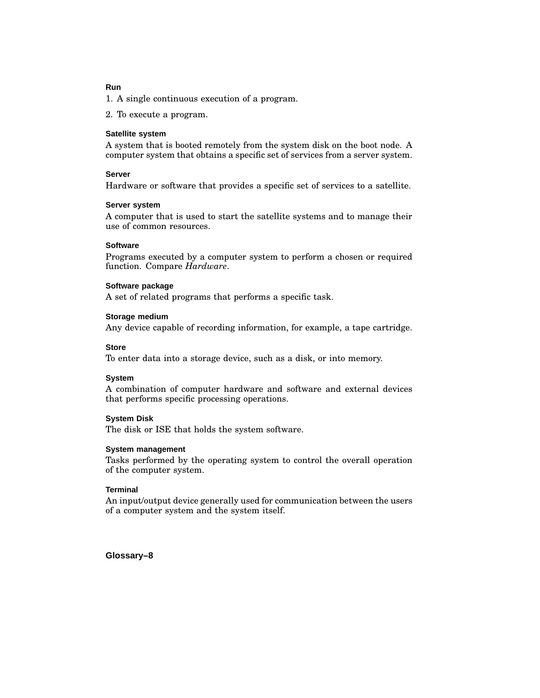#### **Run**

1. A single continuous execution of a program.

2. To execute a program.

#### **Satellite system**

A system that is booted remotely from the system disk on the boot node. A computer system that obtains a specific set of services from a server system.

#### **Server**

Hardware or software that provides a specific set of services to a satellite.

#### **Server system**

A computer that is used to start the satellite systems and to manage their use of common resources.

#### **Software**

Programs executed by a computer system to perform a chosen or required function. Compare *Hardware*.

#### **Software package**

A set of related programs that performs a specific task.

#### **Storage medium**

Any device capable of recording information, for example, a tape cartridge.

#### **Store**

To enter data into a storage device, such as a disk, or into memory.

#### **System**

A combination of computer hardware and software and external devices that performs specific processing operations.

#### **System Disk**

The disk or ISE that holds the system software.

#### **System management**

Tasks performed by the operating system to control the overall operation of the computer system.

#### **Terminal**

An input/output device generally used for communication between the users of a computer system and the system itself.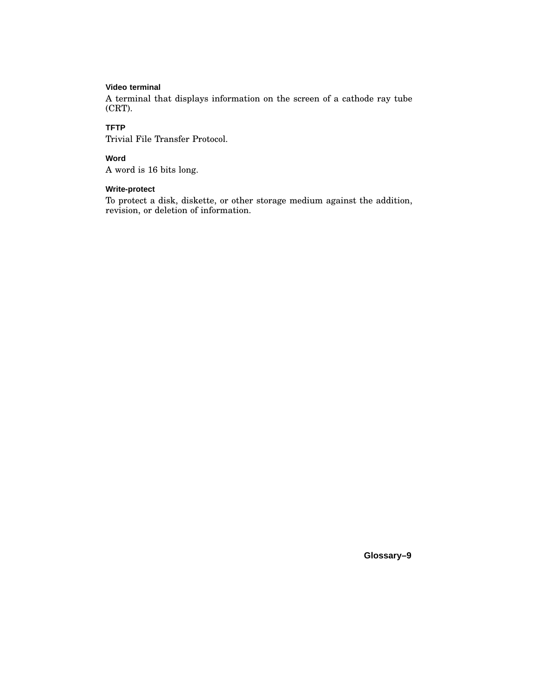#### **Video terminal**

A terminal that displays information on the screen of a cathode ray tube (CRT).

#### **TFTP**

Trivial File Transfer Protocol.

#### **Word**

A word is 16 bits long.

#### **Write-protect**

To protect a disk, diskette, or other storage medium against the addition, revision, or deletion of information.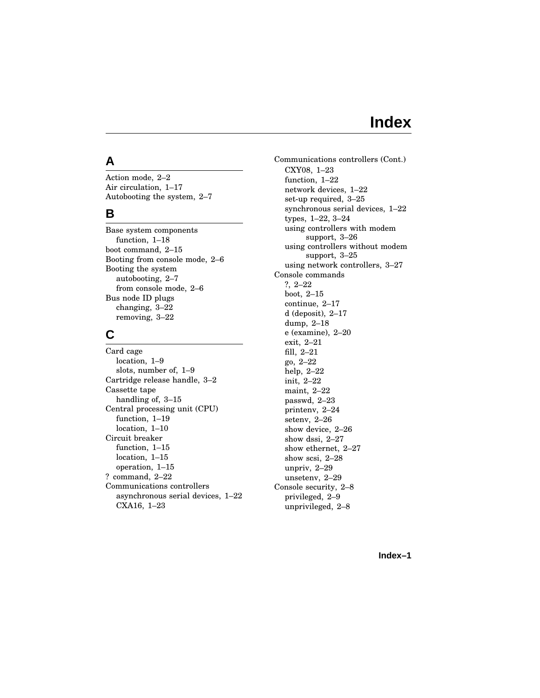## **Index**

### **A**

Action mode, 2–2 Air circulation, 1–17 Autobooting the system, 2–7

### **B**

Base system components function, 1–18 boot command, 2–15 Booting from console mode, 2–6 Booting the system autobooting, 2–7 from console mode, 2–6 Bus node ID plugs changing, 3–22 removing, 3–22

### **C**

Card cage location, 1–9 slots, number of, 1–9 Cartridge release handle, 3–2 Cassette tape handling of, 3-15 Central processing unit (CPU) function, 1–19 location, 1–10 Circuit breaker function, 1–15 location, 1–15 operation, 1–15 ? command, 2–22 Communications controllers asynchronous serial devices, 1–22 CXA16, 1–23

Communications controllers (Cont.) CXY08, 1–23 function, 1–22 network devices, 1–22 set-up required, 3–25 synchronous serial devices, 1–22 types, 1–22, 3–24 using controllers with modem support, 3–26 using controllers without modem support, 3–25 using network controllers, 3–27 Console commands ?, 2–22 boot, 2–15 continue, 2–17 d (deposit), 2–17 dump, 2–18 e (examine), 2–20 exit, 2–21 fill, 2–21 go, 2–22 help, 2–22 init, 2–22 maint, 2–22 passwd, 2–23 printenv, 2–24 setenv, 2–26 show device, 2–26 show dssi, 2–27 show ethernet, 2–27 show scsi, 2–28 unpriv, 2–29 unsetenv, 2–29 Console security, 2–8 privileged, 2–9 unprivileged, 2–8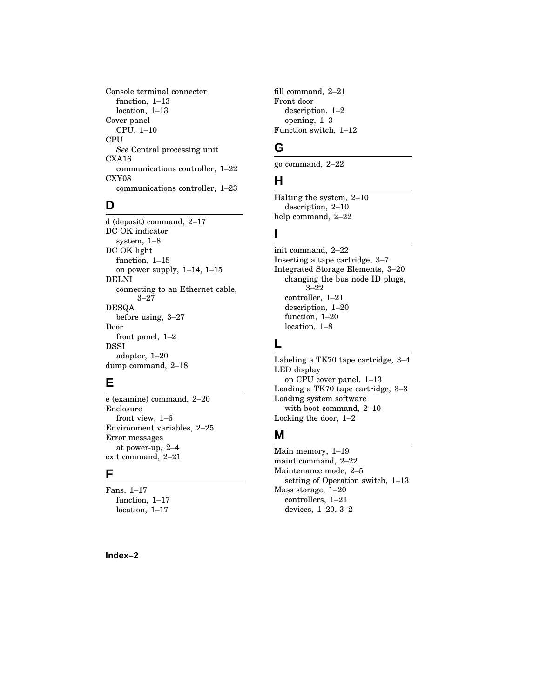Console terminal connector function, 1–13 location, 1–13 Cover panel CPU, 1–10 CPU *See* Central processing unit CXA16 communications controller, 1–22 CXY08 communications controller, 1–23

### **D**

d (deposit) command, 2–17 DC OK indicator system, 1–8 DC OK light function, 1–15 on power supply, 1–14, 1–15 DELNI connecting to an Ethernet cable, 3–27 DESQA before using, 3–27 Door front panel, 1–2 DSSI adapter, 1–20 dump command, 2–18

### **E**

e (examine) command, 2–20 Enclosure front view, 1–6 Environment variables, 2–25 Error messages at power-up, 2–4 exit command, 2–21

### **F**

Fans, 1–17 function, 1–17 location, 1–17

fill command, 2–21 Front door description, 1–2 opening, 1–3 Function switch, 1–12

### **G**

go command, 2–22

### **H**

Halting the system, 2–10 description, 2–10 help command, 2–22

### **I**

init command, 2–22 Inserting a tape cartridge, 3–7 Integrated Storage Elements, 3–20 changing the bus node ID plugs, 3–22 controller, 1–21 description, 1–20 function, 1–20 location, 1–8

### **L**

Labeling a TK70 tape cartridge, 3–4 LED display on CPU cover panel, 1–13 Loading a TK70 tape cartridge, 3–3 Loading system software with boot command, 2–10 Locking the door, 1–2

### **M**

Main memory, 1–19 maint command, 2–22 Maintenance mode, 2–5 setting of Operation switch, 1–13 Mass storage, 1–20 controllers, 1–21 devices, 1–20, 3–2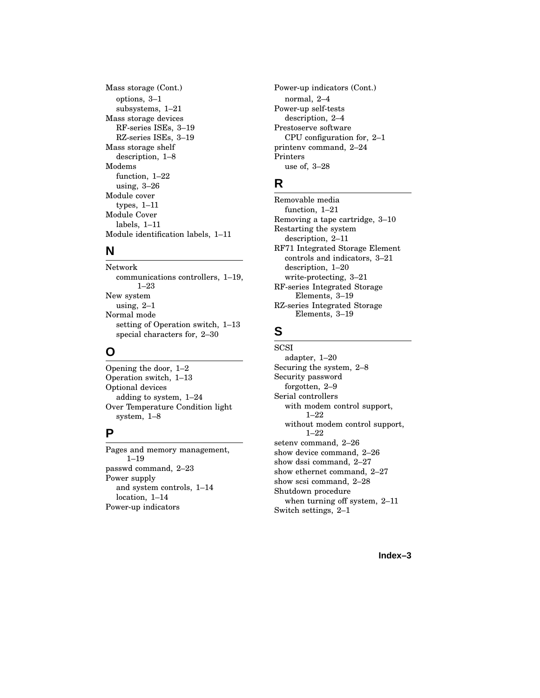Mass storage (Cont.) options, 3–1 subsystems, 1–21 Mass storage devices RF-series ISEs, 3–19 RZ-series ISEs, 3–19 Mass storage shelf description, 1–8 Modems function, 1–22 using, 3–26 Module cover types, 1–11 Module Cover labels, 1–11 Module identification labels, 1–11

### **N**

Network communications controllers, 1–19, 1–23 New system using, 2–1 Normal mode setting of Operation switch, 1–13 special characters for, 2–30

### **O**

Opening the door, 1–2 Operation switch, 1–13 Optional devices adding to system, 1–24 Over Temperature Condition light system, 1–8

### **P**

Pages and memory management, 1–19 passwd command, 2–23 Power supply and system controls, 1–14 location, 1–14 Power-up indicators

Power-up indicators (Cont.) normal, 2–4 Power-up self-tests description, 2–4 Prestoserve software CPU configuration for, 2–1 printenv command, 2–24 Printers use of, 3–28

### **R**

Removable media function, 1–21 Removing a tape cartridge, 3–10 Restarting the system description, 2–11 RF71 Integrated Storage Element controls and indicators, 3–21 description, 1–20 write-protecting, 3–21 RF-series Integrated Storage Elements, 3–19 RZ-series Integrated Storage Elements, 3–19

### **S**

**SCSI** adapter, 1–20 Securing the system, 2–8 Security password forgotten, 2–9 Serial controllers with modem control support, 1–22 without modem control support, 1–22 setenv command, 2–26 show device command, 2–26 show dssi command, 2–27 show ethernet command, 2–27 show scsi command, 2–28 Shutdown procedure when turning off system, 2–11 Switch settings, 2–1